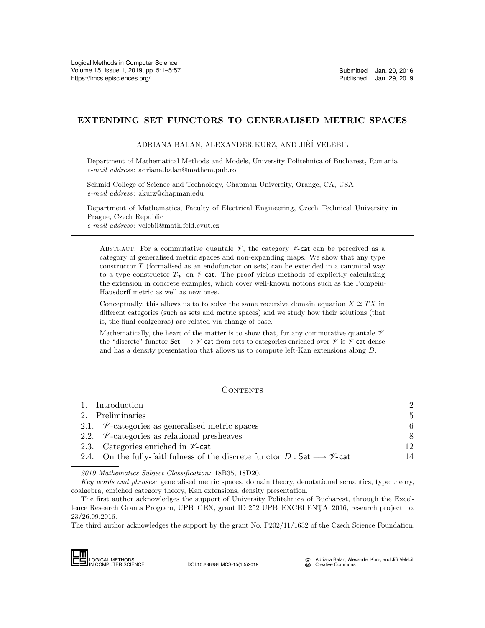# <span id="page-0-0"></span>EXTENDING SET FUNCTORS TO GENERALISED METRIC SPACES

ADRIANA BALAN, ALEXANDER KURZ, AND JIŘÍ VELEBIL

Department of Mathematical Methods and Models, University Politehnica of Bucharest, Romania e-mail address: adriana.balan@mathem.pub.ro

Schmid College of Science and Technology, Chapman University, Orange, CA, USA e-mail address: akurz@chapman.edu

Department of Mathematics, Faculty of Electrical Engineering, Czech Technical University in Prague, Czech Republic e-mail address: velebil@math.feld.cvut.cz

ABSTRACT. For a commutative quantale  $\mathscr V$ , the category  $\mathscr V$ -cat can be perceived as a category of generalised metric spaces and non-expanding maps. We show that any type constructor T (formalised as an endofunctor on sets) can be extended in a canonical way to a type constructor  $T_{\mathscr{V}}$  on  $\mathscr{V}$ -cat. The proof yields methods of explicitly calculating the extension in concrete examples, which cover well-known notions such as the Pompeiu-Hausdorff metric as well as new ones.

Conceptually, this allows us to to solve the same recursive domain equation  $X \cong TX$  in different categories (such as sets and metric spaces) and we study how their solutions (that is, the final coalgebras) are related via change of base.

Mathematically, the heart of the matter is to show that, for any commutative quantale  $\mathscr V$ , the "discrete" functor Set  $\longrightarrow$   $\not\sim$ -cat from sets to categories enriched over  $\not\sim$  is  $\not\sim$ -cat-dense and has a density presentation that allows us to compute left-Kan extensions along D.

# CONTENTS

| 1. Introduction                                                                                    | $\mathfrak{D}$ |
|----------------------------------------------------------------------------------------------------|----------------|
| 2. Preliminaries                                                                                   | .5             |
| 2.1. $\mathcal{V}\text{-categories}$ as generalised metric spaces                                  | 6              |
| 2.2. $\mathcal{V}$ -categories as relational presheaves                                            | 8              |
| 2.3. Categories enriched in $\nu$ -cat                                                             | 12             |
| 2.4. On the fully-faithfulness of the discrete functor $D:$ Set $\longrightarrow \mathscr{V}$ -cat | 14             |

2010 Mathematics Subject Classification: 18B35, 18D20.

Key words and phrases: generalised metric spaces, domain theory, denotational semantics, type theory, coalgebra, enriched category theory, Kan extensions, density presentation.

The first author acknowledges the support of University Politehnica of Bucharest, through the Excellence Research Grants Program, UPB–GEX, grant ID 252 UPB–EXCELENTA–2016, research project no. 23/26.09.2016. 2010 Mathematic<br>  $Key words and p$ <br>
coalgebra, enriched<br>
The first author<br>
lence Research Gran<br>
23/26.09.2016.<br>
The third author ack<br>  $\Box$ <br>  $\Box$ <br>  $\Box$ <br>  $\Box$ <br>  $\Box$ <br>  $\Box$ <br>  $\Box$ <br>  $\Box$ <br>  $\Box$ <br>  $\Box$ <br>  $\Box$ 

The third author acknowledges the support by the grant No. P202/11/1632 of the Czech Science Foundation.

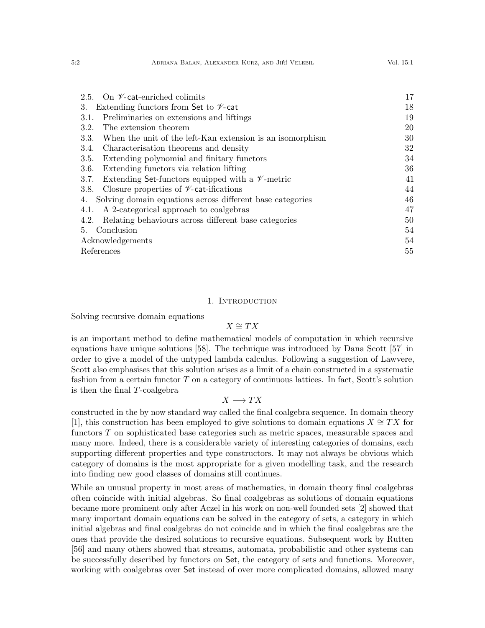| 2.5. On $\nu$ -cat-enriched colimits                                | 17 |
|---------------------------------------------------------------------|----|
| Extending functors from Set to $\nu$ -cat<br>3.                     |    |
| Preliminaries on extensions and liftings<br>3.1.                    | 19 |
| The extension theorem<br>3.2.                                       | 20 |
| When the unit of the left-Kan extension is an isomorphism<br>3.3.   | 30 |
| Characterisation theorems and density<br>3.4.                       | 32 |
| Extending polynomial and finitary functors<br>3.5.                  | 34 |
| Extending functors via relation lifting<br>3.6.                     | 36 |
| Extending Set-functors equipped with a $\mathscr V$ -metric<br>3.7. | 41 |
| Closure properties of $\nu$ -cat-ifications<br>3.8.                 | 44 |
| Solving domain equations across different base categories<br>4.     |    |
| A 2-categorical approach to coalgebras<br>4.1.                      | 47 |
| Relating behaviours across different base categories<br>4.2.        | 50 |
| Conclusion<br>5.                                                    |    |
| Acknowledgements                                                    |    |
| References                                                          |    |

## 1. Introduction

<span id="page-1-0"></span>Solving recursive domain equations

# $X \cong TX$

is an important method to define mathematical models of computation in which recursive equations have unique solutions [\[58\]](#page-55-0). The technique was introduced by Dana Scott [\[57\]](#page-55-1) in order to give a model of the untyped lambda calculus. Following a suggestion of Lawvere, Scott also emphasises that this solution arises as a limit of a chain constructed in a systematic fashion from a certain functor  $T$  on a category of continuous lattices. In fact, Scott's solution is then the final T-coalgebra

# $X \longrightarrow TX$

constructed in the by now standard way called the final coalgebra sequence. In domain theory [\[1\]](#page-54-1), this construction has been employed to give solutions to domain equations  $X \cong TX$  for functors T on sophisticated base categories such as metric spaces, measurable spaces and many more. Indeed, there is a considerable variety of interesting categories of domains, each supporting different properties and type constructors. It may not always be obvious which category of domains is the most appropriate for a given modelling task, and the research into finding new good classes of domains still continues.

While an unusual property in most areas of mathematics, in domain theory final coalgebras often coincide with initial algebras. So final coalgebras as solutions of domain equations became more prominent only after Aczel in his work on non-well founded sets [\[2\]](#page-54-2) showed that many important domain equations can be solved in the category of sets, a category in which initial algebras and final coalgebras do not coincide and in which the final coalgebras are the ones that provide the desired solutions to recursive equations. Subsequent work by Rutten [\[56\]](#page-55-2) and many others showed that streams, automata, probabilistic and other systems can be successfully described by functors on Set, the category of sets and functions. Moreover, working with coalgebras over Set instead of over more complicated domains, allowed many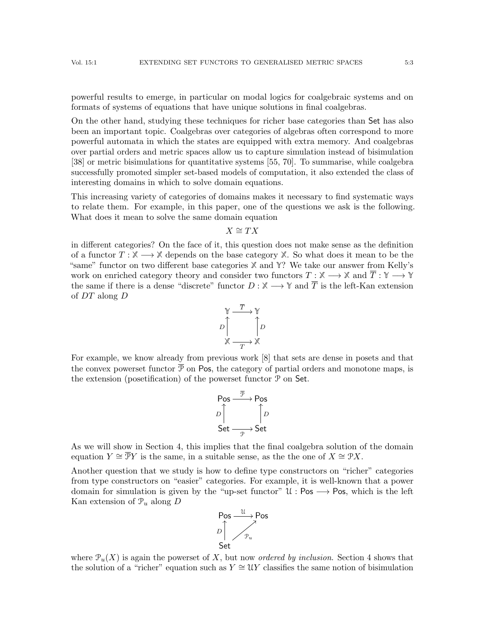powerful results to emerge, in particular on modal logics for coalgebraic systems and on formats of systems of equations that have unique solutions in final coalgebras.

On the other hand, studying these techniques for richer base categories than Set has also been an important topic. Coalgebras over categories of algebras often correspond to more powerful automata in which the states are equipped with extra memory. And coalgebras over partial orders and metric spaces allow us to capture simulation instead of bisimulation [\[38\]](#page-55-3) or metric bisimulations for quantitative systems [\[55,](#page-55-4) [70\]](#page-56-1). To summarise, while coalgebra successfully promoted simpler set-based models of computation, it also extended the class of interesting domains in which to solve domain equations.

This increasing variety of categories of domains makes it necessary to find systematic ways to relate them. For example, in this paper, one of the questions we ask is the following. What does it mean to solve the same domain equation

#### $X \cong TX$

in different categories? On the face of it, this question does not make sense as the definition of a functor  $T : \mathbb{X} \longrightarrow \mathbb{X}$  depends on the base category  $\mathbb{X}$ . So what does it mean to be the "same" functor on two different base categories **X** and **Y**? We take our answer from Kelly's work on enriched category theory and consider two functors  $T : \mathbb{X} \longrightarrow \mathbb{X}$  and  $\overline{T} : \mathbb{Y} \longrightarrow \mathbb{Y}$ the same if there is a dense "discrete" functor  $D : \mathbb{X} \longrightarrow \mathbb{Y}$  and  $\overline{T}$  is the left-Kan extension of DT along D



For example, we know already from previous work [\[8\]](#page-54-3) that sets are dense in posets and that the convex powerset functor  $\overline{\mathcal{P}}$  on Pos, the category of partial orders and monotone maps, is the extension (posetification) of the powerset functor  $P$  on Set.

$$
\begin{array}{ccc}\n\text{Pos} & \xrightarrow{\overline{p}} & \text{Pos} \\
D & \uparrow & \uparrow \\
\text{Set} & \xrightarrow{\frown} & \text{Set}\n\end{array}
$$

As we will show in Section [4,](#page-45-0) this implies that the final coalgebra solution of the domain equation  $Y \cong \overline{\mathcal{P}}Y$  is the same, in a suitable sense, as the the one of  $X \cong \mathcal{P}X$ .

Another question that we study is how to define type constructors on "richer" categories from type constructors on "easier" categories. For example, it is well-known that a power domain for simulation is given by the "up-set functor"  $\mathcal{U}$ : Pos  $\rightarrow$  Pos, which is the left Kan extension of  $\mathcal{P}_u$  along D



where  $\mathcal{P}_{u}(X)$  is again the powerset of X, but now *ordered by inclusion*. Section [4](#page-45-0) shows that the solution of a "richer" equation such as  $Y \cong \mathcal{U}Y$  classifies the same notion of bisimulation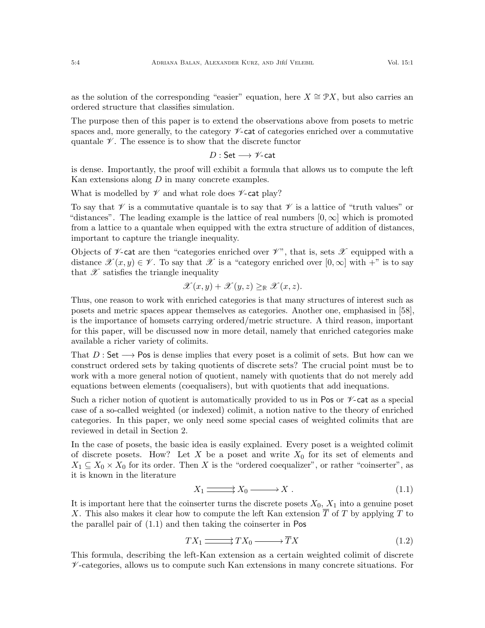The purpose then of this paper is to extend the observations above from posets to metric spaces and, more generally, to the category  $\mathscr V$ -cat of categories enriched over a commutative quantale  $\mathscr V$ . The essence is to show that the discrete functor

$$
D:\mathsf{Set}\longrightarrow\mathscr{V}\text{-}\mathsf{cat}
$$

is dense. Importantly, the proof will exhibit a formula that allows us to compute the left Kan extensions along  $D$  in many concrete examples.

What is modelled by  $\mathscr V$  and what role does  $\mathscr V$ -cat play?

To say that  $\mathscr V$  is a commutative quantale is to say that  $\mathscr V$  is a lattice of "truth values" or "distances". The leading example is the lattice of real numbers  $[0, \infty]$  which is promoted from a lattice to a quantale when equipped with the extra structure of addition of distances, important to capture the triangle inequality.

Objects of  $\nu$ -cat are then "categories enriched over  $\nu$ ", that is, sets  $\mathscr X$  equipped with a distance  $\mathscr{X}(x, y) \in \mathscr{V}$ . To say that  $\mathscr{X}$  is a "category enriched over  $[0, \infty]$  with  $+$ " is to say that  $\mathscr X$  satisfies the triangle inequality

$$
\mathscr{X}(x,y)+\mathscr{X}(y,z)\geq_{\mathbb{R}}\mathscr{X}(x,z).
$$

Thus, one reason to work with enriched categories is that many structures of interest such as posets and metric spaces appear themselves as categories. Another one, emphasised in [\[58\]](#page-55-0), is the importance of homsets carrying ordered/metric structure. A third reason, important for this paper, will be discussed now in more detail, namely that enriched categories make available a richer variety of colimits.

That  $D:$  Set  $\longrightarrow$  Pos is dense implies that every poset is a colimit of sets. But how can we construct ordered sets by taking quotients of discrete sets? The crucial point must be to work with a more general notion of quotient, namely with quotients that do not merely add equations between elements (coequalisers), but with quotients that add inequations.

Such a richer notion of quotient is automatically provided to us in Pos or  $\mathscr V$ -cat as a special case of a so-called weighted (or indexed) colimit, a notion native to the theory of enriched categories. In this paper, we only need some special cases of weighted colimits that are reviewed in detail in Section [2.](#page-4-0)

In the case of posets, the basic idea is easily explained. Every poset is a weighted colimit of discrete posets. How? Let X be a poset and write  $X_0$  for its set of elements and  $X_1 \subseteq X_0 \times X_0$  for its order. Then X is the "ordered coequalizer", or rather "coinserter", as it is known in the literature

<span id="page-3-0"></span>
$$
X_1 \xrightarrow{\text{---}} X_0 \xrightarrow{\text{---}} X \ . \tag{1.1}
$$

It is important here that the coinserter turns the discrete posets  $X_0$ ,  $X_1$  into a genuine poset X. This also makes it clear how to compute the left Kan extension  $\overline{T}$  of T by applying T to the parallel pair of [\(1.1\)](#page-3-0) and then taking the coinserter in Pos

<span id="page-3-1"></span>
$$
TX_1 \longrightarrow TX_0 \longrightarrow \overline{T}X \tag{1.2}
$$

This formula, describing the left-Kan extension as a certain weighted colimit of discrete  $\mathscr V$ -categories, allows us to compute such Kan extensions in many concrete situations. For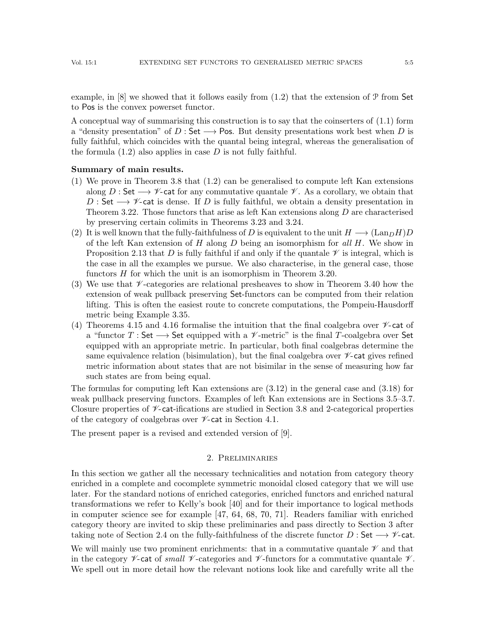example, in  $[8]$  we showed that it follows easily from  $(1.2)$  that the extension of  $\mathcal P$  from Set to Pos is the convex powerset functor.

A conceptual way of summarising this construction is to say that the coinserters of [\(1.1\)](#page-3-0) form a "density presentation" of D : Set  $\longrightarrow$  Pos. But density presentations work best when D is fully faithful, which coincides with the quantal being integral, whereas the generalisation of the formula  $(1.2)$  also applies in case D is not fully faithful.

#### Summary of main results.

- (1) We prove in Theorem [3.8](#page-23-0) that [\(1.2\)](#page-3-1) can be generalised to compute left Kan extensions along D : Set  $\longrightarrow \mathscr{V}$ -cat for any commutative quantale  $\mathscr{V}$ . As a corollary, we obtain that D : Set  $\rightarrow \mathscr{V}$ -cat is dense. If D is fully faithful, we obtain a density presentation in Theorem [3.22.](#page-32-0) Those functors that arise as left Kan extensions along D are characterised by preserving certain colimits in Theorems [3.23](#page-33-1) and [3.24.](#page-33-2)
- (2) It is well known that the fully-faithfulness of D is equivalent to the unit  $H \longrightarrow (LanDH)D$ of the left Kan extension of H along D being an isomorphism for all H. We show in Proposition [2.13](#page-15-0) that D is fully faithful if and only if the quantale  $\mathscr V$  is integral, which is the case in all the examples we pursue. We also characterise, in the general case, those functors H for which the unit is an isomorphism in Theorem [3.20.](#page-30-0)
- (3) We use that  $\mathscr V$ -categories are relational presheaves to show in Theorem [3.40](#page-39-0) how the extension of weak pullback preserving Set-functors can be computed from their relation lifting. This is often the easiest route to concrete computations, the Pompeiu-Hausdorff metric being Example [3.35.](#page-37-0)
- (4) Theorems [4.15](#page-52-0) and [4.16](#page-52-1) formalise the intuition that the final coalgebra over  $\mathcal V$ -cat of a "functor T : Set  $\longrightarrow$  Set equipped with a  $\nu$ -metric" is the final T-coalgebra over Set equipped with an appropriate metric. In particular, both final coalgebras determine the same equivalence relation (bisimulation), but the final coalgebra over  $\nu$ -cat gives refined metric information about states that are not bisimilar in the sense of measuring how far such states are from being equal.

The formulas for computing left Kan extensions are [\(3.12\)](#page-27-0) in the general case and [\(3.18\)](#page-36-0) for weak pullback preserving functors. Examples of left Kan extensions are in Sections [3.5–](#page-33-0)[3.7.](#page-40-0) Closure properties of  $\mathscr V$ -cat-ifications are studied in Section [3.8](#page-43-0) and 2-categorical properties of the category of coalgebras over  $\nu$ -cat in Section [4.1.](#page-46-0)

The present paper is a revised and extended version of [\[9\]](#page-54-4).

#### 2. Preliminaries

<span id="page-4-0"></span>In this section we gather all the necessary technicalities and notation from category theory enriched in a complete and cocomplete symmetric monoidal closed category that we will use later. For the standard notions of enriched categories, enriched functors and enriched natural transformations we refer to Kelly's book [\[40\]](#page-55-5) and for their importance to logical methods in computer science see for example [\[47,](#page-55-6) [64,](#page-56-2) [68,](#page-56-3) [70,](#page-56-1) [71\]](#page-56-4). Readers familiar with enriched category theory are invited to skip these preliminaries and pass directly to Section [3](#page-17-0) after taking note of Section [2.4](#page-13-0) on the fully-faithfulness of the discrete functor  $D:$  Set  $\longrightarrow \mathscr{V}$ -cat.

We will mainly use two prominent enrichments: that in a commutative quantale  $\mathscr V$  and that in the category  $\nu$ -cat of small  $\nu$ -categories and  $\nu$ -functors for a commutative quantale  $\nu$ . We spell out in more detail how the relevant notions look like and carefully write all the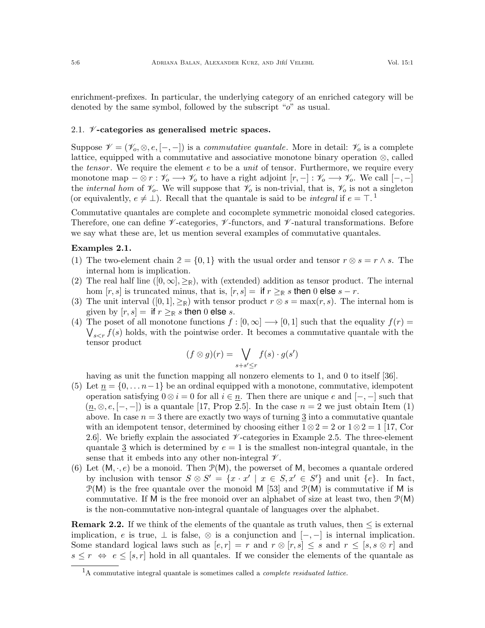enrichment-prefixes. In particular, the underlying category of an enriched category will be denoted by the same symbol, followed by the subscript "o" as usual.

## <span id="page-5-0"></span>2.1.  $\mathcal{V}$ -categories as generalised metric spaces.

Suppose  $\mathcal{V} = (\mathcal{V}_o, \otimes, e, [-,-])$  is a commutative quantale. More in detail:  $\mathcal{V}_o$  is a complete lattice, equipped with a commutative and associative monotone binary operation ⊗, called the tensor. We require the element e to be a *unit* of tensor. Furthermore, we require every monotone map  $-\otimes r : \mathscr{V}_o \longrightarrow \mathscr{V}_o$  to have a right adjoint  $[r, -] : \mathscr{V}_o \longrightarrow \mathscr{V}_o$ . We call  $[-, -]$ the *internal hom* of  $\mathcal{V}_o$ . We will suppose that  $\mathcal{V}_o$  is non-trivial, that is,  $\mathcal{V}_o$  is not a singleton (or equivalently,  $e \neq \perp$ ). Recall that the quantale is said to be *integral* if  $e = \top$ .<sup>[1](#page-5-1)</sup>

Commutative quantales are complete and cocomplete symmetric monoidal closed categories. Therefore, one can define  $\nu$ -categories,  $\nu$ -functors, and  $\nu$ -natural transformations. Before we say what these are, let us mention several examples of commutative quantales.

# <span id="page-5-3"></span>Examples 2.1.

- <span id="page-5-2"></span>(1) The two-element chain  $2 = \{0, 1\}$  with the usual order and tensor  $r \otimes s = r \wedge s$ . The internal hom is implication.
- <span id="page-5-4"></span>(2) The real half line  $([0, \infty], \geq_R)$ , with (extended) addition as tensor product. The internal hom  $[r, s]$  is truncated minus, that is,  $[r, s] =$  if  $r \geq_R s$  then 0 else  $s - r$ .
- <span id="page-5-5"></span>(3) The unit interval  $([0, 1], \geq_R)$  with tensor product  $r \otimes s = \max(r, s)$ . The internal hom is given by  $[r, s] =$  if  $r \geq_{\mathbb{R}} s$  then 0 else s.
- <span id="page-5-6"></span>(4) The poset of all monotone functions  $f : [0, \infty] \longrightarrow [0, 1]$  such that the equality  $f(r) =$  $\bigvee_{s\leq r} f(s)$  holds, with the pointwise order. It becomes a commutative quantale with the tensor product

$$
(f \otimes g)(r) = \bigvee_{s+s' \leq r} f(s) \cdot g(s')
$$

having as unit the function mapping all nonzero elements to 1, and 0 to itself [\[36\]](#page-55-7).

- <span id="page-5-8"></span>(5) Let  $\underline{n} = \{0, \ldots n-1\}$  be an ordinal equipped with a monotone, commutative, idempotent operation satisfying  $0 \otimes i = 0$  for all  $i \in \underline{n}$ . Then there are unique e and  $[-,-]$  such that  $(n, \otimes, e, [-,-])$  is a quantale [\[17,](#page-54-5) Prop 2.5]. In the case  $n = 2$  we just obtain Item [\(1\)](#page-5-2) above. In case  $n = 3$  there are exactly two ways of turning  $\frac{3}{2}$  into a commutative quantale with an idempotent tensor, determined by choosing either  $1 \otimes 2 = 2$  or  $1 \otimes 2 = 1$  [\[17,](#page-54-5) Cor 2.6]. We briefly explain the associated  $\nu$ -categories in Example [2.5.](#page-7-1) The three-element quantale 3 which is determined by  $e = 1$  is the smallest non-integral quantale, in the sense that it embeds into any other non-integral  $\mathscr V$ .
- <span id="page-5-7"></span>(6) Let  $(M, \cdot, e)$  be a monoid. Then  $\mathcal{P}(M)$ , the powerset of M, becomes a quantale ordered by inclusion with tensor  $S \otimes S' = \{x \cdot x' \mid x \in S, x' \in S'\}$  and unit  $\{e\}$ . In fact,  $\mathcal{P}(M)$  is the free quantale over the monoid M [\[53\]](#page-55-8) and  $\mathcal{P}(M)$  is commutative if M is commutative. If M is the free monoid over an alphabet of size at least two, then  $\mathcal{P}(M)$ is the non-commutative non-integral quantale of languages over the alphabet.

**Remark 2.2.** If we think of the elements of the quantale as truth values, then  $\leq$  is external implication, e is true,  $\perp$  is false,  $\otimes$  is a conjunction and  $[-,-]$  is internal implication. Some standard logical laws such as  $[e, r] = r$  and  $r \otimes [r, s] \leq s$  and  $r \leq [s, s \otimes r]$  and  $s \leq r \Leftrightarrow e \leq [s, r]$  hold in all quantales. If we consider the elements of the quantale as

<span id="page-5-1"></span> ${}^{1}$ A commutative integral quantale is sometimes called a *complete residuated lattice*.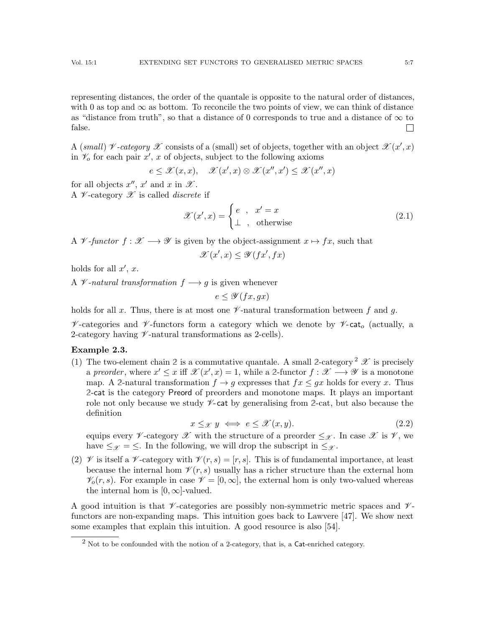representing distances, the order of the quantale is opposite to the natural order of distances, with 0 as top and  $\infty$  as bottom. To reconcile the two points of view, we can think of distance as "distance from truth", so that a distance of 0 corresponds to true and a distance of  $\infty$  to false.  $\mathbf{L}$ 

A (small)  $\not\!\mathscr{V}$ -category  $\mathscr{X}$  consists of a (small) set of objects, together with an object  $\mathscr{X}(x',x)$ in  $\mathcal{V}_o$  for each pair  $x'$ , x of objects, subject to the following axioms

$$
e \leq \mathscr{X}(x,x), \quad \mathscr{X}(x',x) \otimes \mathscr{X}(x'',x') \leq \mathscr{X}(x'',x)
$$

for all objects  $x'', x'$  and  $x$  in  $\mathscr{X}$ .

A  $\mathcal V$ -category  $\mathcal X$  is called *discrete* if

<span id="page-6-5"></span>
$$
\mathcal{X}(x',x) = \begin{cases} e, & x' = x \\ \perp, & \text{otherwise} \end{cases}
$$
 (2.1)

A V-functor  $f: \mathcal{X} \longrightarrow \mathcal{Y}$  is given by the object-assignment  $x \mapsto fx$ , such that

$$
\mathscr{X}(x',x) \le \mathscr{Y}(fx',fx)
$$

holds for all  $x', x$ .

A  $\mathcal V$ -natural transformation  $f \longrightarrow g$  is given whenever

 $e \leq \mathscr{Y}(fx, qx)$ 

holds for all x. Thus, there is at most one  $\mathscr V$ -natural transformation between f and q.

 $\mathscr V$ -categories and  $\mathscr V$ -functors form a category which we denote by  $\mathscr V$ -cat<sub>o</sub> (actually, a 2-category having  $\nu$ -natural transformations as 2-cells).

## <span id="page-6-1"></span>Example 2.3.

<span id="page-6-2"></span>(1) The two-element chain [2](#page-6-0) is a commutative quantale. A small 2-category  $^2 \mathscr{X}$  is precisely a preorder, where  $x' \leq x$  iff  $\mathscr{X}(x', x) = 1$ , while a 2-functor  $f : \mathscr{X} \longrightarrow \mathscr{Y}$  is a monotone map. A 2-natural transformation  $f \to g$  expresses that  $fx \leq gx$  holds for every x. Thus **2**-cat is the category Preord of preorders and monotone maps. It plays an important role not only because we study  $\mathscr V$ -cat by generalising from 2-cat, but also because the definition

<span id="page-6-3"></span>
$$
x \leq_{\mathcal{X}} y \iff e \leq \mathcal{X}(x, y). \tag{2.2}
$$

equips every  $\mathscr V$ -category  $\mathscr X$  with the structure of a preorder  $\leq_{\mathscr X}$ . In case  $\mathscr X$  is  $\mathscr V$ , we have  $\leq_{\mathscr{X}} = \leq$ . In the following, we will drop the subscript in  $\leq_{\mathscr{X}}$ .

<span id="page-6-4"></span>(2)  $\mathcal V$  is itself a  $\mathcal V$ -category with  $\mathcal V(r,s) = [r,s]$ . This is of fundamental importance, at least because the internal hom  $\mathcal{V}(r,s)$  usually has a richer structure than the external hom  $\mathcal{V}_o(r,s)$ . For example in case  $\mathcal{V} = [0,\infty]$ , the external hom is only two-valued whereas the internal hom is  $[0, \infty]$ -valued.

A good intuition is that  $\mathscr V$ -categories are possibly non-symmetric metric spaces and  $\mathscr V$ functors are non-expanding maps. This intuition goes back to Lawvere [\[47\]](#page-55-6). We show next some examples that explain this intuition. A good resource is also [\[54\]](#page-55-9).

<span id="page-6-0"></span> $^{2}$  Not to be confounded with the notion of a 2-category, that is, a Cat-enriched category.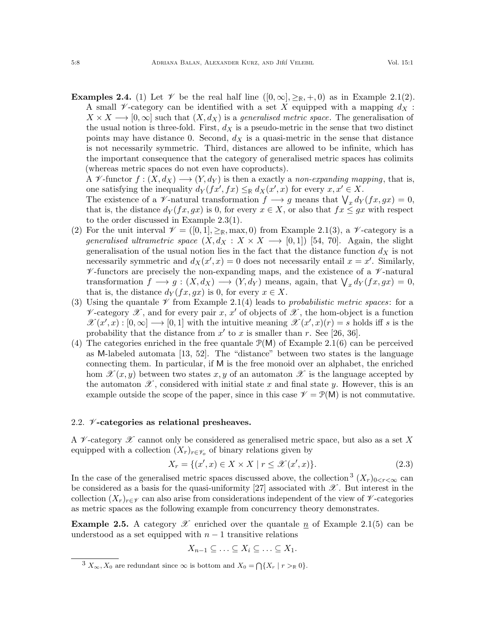<span id="page-7-4"></span>**Examples 2.4.** (1) Let  $\mathcal V$  be the real half line  $([0,\infty],\geq_{\mathbb R},+,0)$  as in Example [2.1](#page-5-3)[\(2\)](#page-5-4). A small V-category can be identified with a set X equipped with a mapping  $d_X$ :  $X \times X \longrightarrow [0, \infty]$  such that  $(X, d_X)$  is a *generalised metric space*. The generalisation of the usual notion is three-fold. First,  $d<sub>X</sub>$  is a pseudo-metric in the sense that two distinct points may have distance 0. Second,  $d_X$  is a quasi-metric in the sense that distance is not necessarily symmetric. Third, distances are allowed to be infinite, which has the important consequence that the category of generalised metric spaces has colimits (whereas metric spaces do not even have coproducts).

A V-functor  $f: (X, d_X) \longrightarrow (Y, d_Y)$  is then a exactly a non-expanding mapping, that is, one satisfying the inequality  $d_Y(fx', fx) \leq_{\mathbb{R}} d_X(x', x)$  for every  $x, x' \in X$ .

The existence of a  $\mathscr V$ -natural transformation  $f \longrightarrow g$  means that  $\bigvee_x d_Y(fx, gx) = 0$ , that is, the distance  $d_Y(fx, gx)$  is 0, for every  $x \in X$ , or also that  $fx \leq gx$  with respect to the order discussed in Example [2.3\(](#page-6-1)[1\)](#page-6-2).

- (2) For the unit interval  $\mathcal{V} = ([0,1], \geq_R, \text{max}, 0)$  from Example [2.1\(](#page-5-3)[3\)](#page-5-5), a  $\mathcal{V}$ -category is a generalised ultrametric space  $(X, d_X : X \times X \longrightarrow [0, 1])$  [\[54,](#page-55-9) [70\]](#page-56-1). Again, the slight generalisation of the usual notion lies in the fact that the distance function  $d_X$  is not necessarily symmetric and  $d_X(x', x) = 0$  does not necessarily entail  $x = x'$ . Similarly,  $\mathscr V$ -functors are precisely the non-expanding maps, and the existence of a  $\mathscr V$ -natural transformation  $f \longrightarrow g : (X, d_X) \longrightarrow (Y, d_Y)$  means, again, that  $\bigvee_x d_Y(fx, gx) = 0$ , that is, the distance  $d_Y(fx, gx)$  is 0, for every  $x \in X$ .
- (3) Using the quantale  $\mathscr V$  from Example [2.1](#page-5-3)[\(4\)](#page-5-6) leads to probabilistic metric spaces: for a  $\nu$ -category  $\mathscr X$ , and for every pair  $x, x'$  of objects of  $\mathscr X$ , the hom-object is a function  $\mathscr{X}(x',x):[0,\infty]\longrightarrow[0,1]$  with the intuitive meaning  $\mathscr{X}(x',x)(r)=s$  holds iff s is the probability that the distance from  $x'$  to x is smaller than r. See [\[26,](#page-54-6) [36\]](#page-55-7).
- (4) The categories enriched in the free quantale  $\mathcal{P}(M)$  of Example [2.1](#page-5-3)[\(6\)](#page-5-7) can be perceived as M-labeled automata [\[13,](#page-54-7) [52\]](#page-55-10). The "distance" between two states is the language connecting them. In particular, if M is the free monoid over an alphabet, the enriched hom  $\mathscr{X}(x, y)$  between two states x, y of an automaton  $\mathscr{X}$  is the language accepted by the automaton  $\mathscr{X}$ , considered with initial state x and final state y. However, this is an example outside the scope of the paper, since in this case  $\mathcal{V} = \mathcal{P}(\mathsf{M})$  is not commutative.

# <span id="page-7-0"></span>2.2.  $\n *\mathscr{V}* -categories as relational presheaves.$

A  $\mathcal V$ -category  $\mathcal X$  cannot only be considered as generalised metric space, but also as a set X equipped with a collection  $(X_r)_{r \in \mathscr{V}_o}$  of binary relations given by

<span id="page-7-3"></span>
$$
X_r = \{ (x', x) \in X \times X \mid r \le \mathcal{X}(x', x) \}. \tag{2.3}
$$

In the case of the generalised metric spaces discussed above, the collection  $(X_r)_{0 \leq r \leq \infty}$  can be considered as a basis for the quasi-uniformity [\[27\]](#page-54-8) associated with  $\mathscr X$ . But interest in the collection  $(X_r)_{r \in \mathcal{V}}$  can also arise from considerations independent of the view of  $\mathcal{V}$ -categories as metric spaces as the following example from concurrency theory demonstrates.

<span id="page-7-1"></span>**Example 2.5.** A category  $\mathscr X$  enriched over the quantale  $\underline{n}$  of Example [2.1](#page-5-3)[\(5\)](#page-5-8) can be understood as a set equipped with  $n-1$  transitive relations

$$
X_{n-1}\subseteq\ldots\subseteq X_i\subseteq\ldots\subseteq X_1.
$$

<span id="page-7-2"></span><sup>&</sup>lt;sup>3</sup>  $X_{\infty}$ ,  $X_0$  are redundant since  $\infty$  is bottom and  $X_0 = \bigcap \{X_r \mid r >_{\mathbb{R}} 0\}.$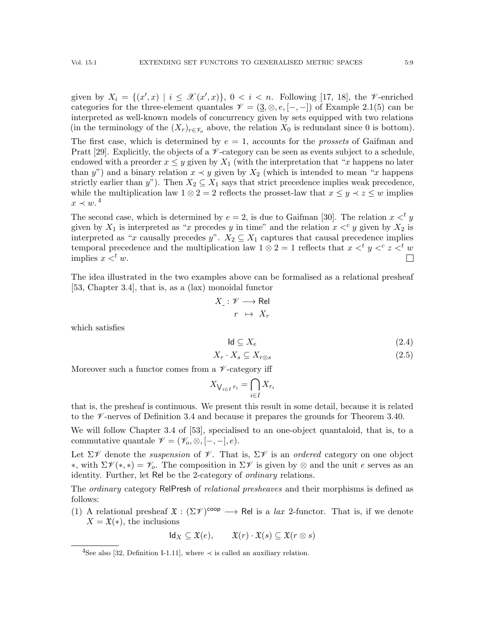given by  $X_i = \{(x',x) \mid i \leq \mathcal{X}(x',x)\}, 0 < i < n$ . Following [\[17,](#page-54-5) [18\]](#page-54-9), the *V*-enriched categories for the three-element quantales  $\mathcal{V} = (\underline{3}, \otimes, e, [-,-])$  of Example [2.1](#page-5-3)[\(5\)](#page-5-8) can be interpreted as well-known models of concurrency given by sets equipped with two relations (in the terminology of the  $(X_r)_{r \in \mathscr{V}_o}$  above, the relation  $X_0$  is redundant since 0 is bottom).

The first case, which is determined by  $e = 1$ , accounts for the *prossets* of Gaifman and Pratt [\[29\]](#page-54-10). Explicitly, the objects of a  $\mathcal V$ -category can be seen as events subject to a schedule, endowed with a preorder  $x \leq y$  given by  $X_1$  (with the interpretation that "x happens no later than y") and a binary relation  $x \prec y$  given by  $X_2$  (which is intended to mean "x happens") strictly earlier than y"). Then  $X_2 \subseteq X_1$  says that strict precedence implies weak precedence, while the multiplication law  $1 \otimes 2 = 2$  reflects the prosset-law that  $x \leq y \prec z \leq w$  implies  $x \prec w$ .<sup>[4](#page-8-0)</sup>

The second case, which is determined by  $e = 2$ , is due to Gaifman [\[30\]](#page-55-11). The relation  $x <^t y$ given by  $X_1$  is interpreted as "x precedes y in time" and the relation  $x <^c y$  given by  $X_2$  is interpreted as "x causally precedes y".  $X_2 \subseteq X_1$  captures that causal precedence implies temporal precedence and the multiplication law  $1 \otimes 2 = 1$  reflects that  $x \leq^{t} y \leq^{c} z \leq^{t} w$ implies  $x <^t w$ .  $\Box$ 

The idea illustrated in the two examples above can be formalised as a relational presheaf [\[53,](#page-55-8) Chapter 3.4], that is, as a (lax) monoidal functor

$$
X_{\_}: \mathscr{V} \longrightarrow \text{Rel}
$$

$$
r \ \mapsto \ X_r
$$

which satisfies

<span id="page-8-1"></span>
$$
\mathsf{Id} \subseteq X_e \tag{2.4}
$$

$$
X_r \cdot X_s \subseteq X_{r \otimes s} \tag{2.5}
$$

Moreover such a functor comes from a  $\nu$ -category iff

$$
X_{\bigvee_{i \in I} r_i} = \bigcap_{i \in I} X_{r_i}
$$

that is, the presheaf is continuous. We present this result in some detail, because it is related to the  $\mathscr V$ -nerves of Definition [3.4](#page-21-0) and because it prepares the grounds for Theorem [3.40.](#page-39-0)

We will follow Chapter 3.4 of [\[53\]](#page-55-8), specialised to an one-object quantaloid, that is, to a commutative quantale  $\mathscr{V} = (\mathscr{V}_o, \otimes, [-,-], e)$ .

Let  $\Sigma \mathscr{V}$  denote the *suspension* of  $\mathscr{V}$ . That is,  $\Sigma \mathscr{V}$  is an *ordered* category on one object <sup>\*</sup>, with  $\Sigma \mathcal{V}(*) = \mathcal{V}_o$ . The composition in  $\Sigma \mathcal{V}$  is given by ⊗ and the unit *e* serves as an identity. Further, let Rel be the 2-category of *ordinary* relations.

The *ordinary* category RelPresh of *relational presheaves* and their morphisms is defined as follows:

(1) A relational presheaf  $\mathfrak{X}: (\Sigma \mathscr{V})^{coop} \longrightarrow \mathsf{Rel}$  is a *lax* 2-functor. That is, if we denote  $X = \mathfrak{X}(*)$ , the inclusions

 $\mathsf{Id}_X \subseteq \mathfrak{X}(e), \qquad \mathfrak{X}(r) \cdot \mathfrak{X}(s) \subseteq \mathfrak{X}(r \otimes s)$ 

<span id="page-8-0"></span><sup>&</sup>lt;sup>4</sup>See also [\[32,](#page-55-12) Definition I-1.11], where  $\prec$  is called an auxiliary relation.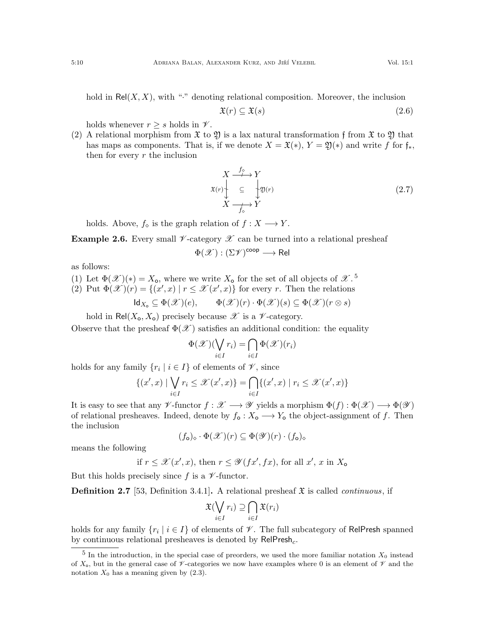hold in  $Rel(X, X)$ , with "·" denoting relational composition. Moreover, the inclusion

<span id="page-9-1"></span>
$$
\mathfrak{X}(r) \subseteq \mathfrak{X}(s) \tag{2.6}
$$

holds whenever  $r \geq s$  holds in  $\mathscr V$ .

(2) A relational morphism from  $\mathfrak X$  to  $\mathfrak Y$  is a lax natural transformation f from  $\mathfrak X$  to  $\mathfrak Y$  that has maps as components. That is, if we denote  $X = \mathfrak{X}(*)$ ,  $Y = \mathfrak{Y}(*)$  and write f for  $\mathfrak{f}_*$ , then for every  $r$  the inclusion

$$
X \xrightarrow{f_{\diamond}} Y
$$
  
\n
$$
x(r) \downarrow \subseteq \downarrow y(r)
$$
  
\n
$$
X \xrightarrow{f_{\diamond}} Y
$$
  
\n(2.7)

holds. Above,  $f_{\diamond}$  is the graph relation of  $f : X \longrightarrow Y$ .

<span id="page-9-2"></span>**Example 2.6.** Every small  $\mathcal V$ -category  $\mathcal X$  can be turned into a relational presheaf

$$
\Phi(\mathscr{X}):(\Sigma\mathscr{V})^{\mathsf{coop}}\longrightarrow\mathsf{Rel}
$$

as follows:

- (1) Let  $\Phi(\mathscr{X})(*) = X_o$ , where we write  $X_o$  for the set of all objects of  $\mathscr{X}$ .<sup>[5](#page-9-0)</sup>
- (2) Put  $\Phi(\mathscr{X})(r) = \{(x',x) | r \leq \mathscr{X}(x',x)\}\$ for every r. Then the relations

$$
Id_{X_0} \subseteq \Phi(\mathscr{X})(e), \qquad \Phi(\mathscr{X})(r) \cdot \Phi(\mathscr{X})(s) \subseteq \Phi(\mathscr{X})(r \otimes s)
$$

hold in Rel $(X_0, X_0)$  precisely because  $\mathscr X$  is a  $\mathscr V$ -category.

Observe that the presheaf  $\Phi(\mathscr{X})$  satisfies an additional condition: the equality

$$
\Phi(\mathscr{X})(\bigvee_{i\in I}r_i)=\bigcap_{i\in I}\Phi(\mathscr{X})(r_i)
$$

holds for any family  $\{r_i \mid i \in I\}$  of elements of  $\mathscr{V}$ , since

$$
\{(x',x) \mid \bigvee_{i \in I} r_i \leq \mathcal{X}(x',x)\} = \bigcap_{i \in I} \{(x',x) \mid r_i \leq \mathcal{X}(x',x)\}\
$$

It is easy to see that any  $\mathscr V$ -functor  $f : \mathscr X \longrightarrow \mathscr Y$  yields a morphism  $\Phi(f) : \Phi(\mathscr X) \longrightarrow \Phi(\mathscr Y)$ of relational presheaves. Indeed, denote by  $f_o: X_o \longrightarrow Y_o$  the object-assignment of f. Then the inclusion

$$
(f_{\mathbf{o}})_{\diamond} \cdot \Phi(\mathscr{X})(r) \subseteq \Phi(\mathscr{Y})(r) \cdot (f_{\mathbf{o}})_{\diamond}
$$

means the following

if 
$$
r \leq \mathcal{X}(x', x)
$$
, then  $r \leq \mathcal{Y}(fx', fx)$ , for all  $x'$ , x in  $X_0$ 

But this holds precisely since f is a  $\nu$ -functor.

**Definition 2.7** [\[53,](#page-55-8) Definition 3.4.1]. A relational presheaf  $\mathfrak{X}$  is called *continuous*, if

$$
\mathfrak{X}(\bigvee_{i\in I}r_i)\supseteq\bigcap_{i\in I}\mathfrak{X}(r_i)
$$

holds for any family  $\{r_i \mid i \in I\}$  of elements of  $\mathscr V$ . The full subcategory of RelPresh spanned by continuous relational presheaves is denoted by  $\mathsf{RelPresh}_c$ .

<span id="page-9-0"></span><sup>&</sup>lt;sup>5</sup> In the introduction, in the special case of preorders, we used the more familiar notation  $X_0$  instead of  $X_0$ , but in the general case of  $\mathscr V$ -categories we now have examples where 0 is an element of  $\mathscr V$  and the notation  $X_0$  has a meaning given by  $(2.3)$ .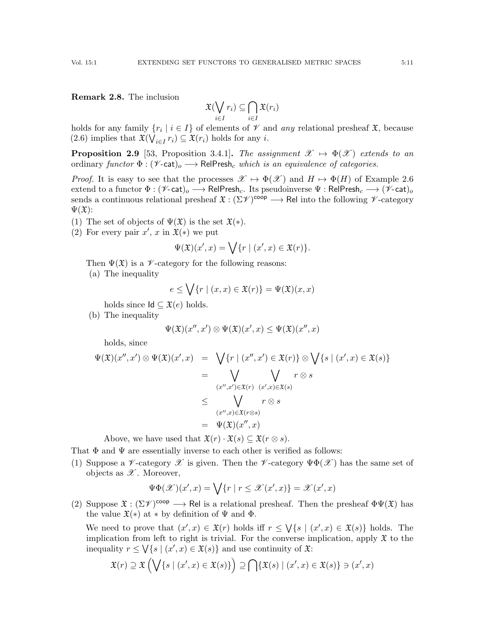$$
\mathfrak{X}(\bigvee_{i\in I}r_i)\subseteq \bigcap_{i\in I}\mathfrak{X}(r_i)
$$

holds for any family  $\{r_i \mid i \in I\}$  of elements of  $\mathcal V$  and any relational presheaf  $\mathfrak X$ , because [\(2.6\)](#page-9-1) implies that  $\mathfrak{X}(\bigvee_{i \in I} r_i) \subseteq \mathfrak{X}(r_i)$  holds for any *i*.

<span id="page-10-0"></span>**Proposition 2.9** [\[53,](#page-55-8) Proposition 3.4.1]. The assignment  $\mathscr{X} \mapsto \Phi(\mathscr{X})$  extends to an ordinary functor  $\Phi : (\mathscr{V}\text{-}\mathsf{cat})_o \longrightarrow \mathsf{RelPresh}_c$  which is an equivalence of categories.

*Proof.* It is easy to see that the processes  $\mathscr{X} \mapsto \Phi(\mathscr{X})$  and  $H \mapsto \Phi(H)$  of Example [2.6](#page-9-2) extend to a functor  $\Phi : (\mathscr{V}\text{-}\mathsf{cat})_o \longrightarrow \mathsf{RelPresh}_c$ . Its pseudoinverse  $\Psi : \mathsf{RelPresh}_c \longrightarrow (\mathscr{V}\text{-}\mathsf{cat})_o$ sends a continuous relational presheaf  $\mathfrak{X} : (\Sigma \mathscr{V})^{coop} \longrightarrow \mathsf{Rel}$  into the following  $\mathscr{V}$ -category  $\Psi(\mathfrak{X})$ :

- (1) The set of objects of  $\Psi(\mathfrak{X})$  is the set  $\mathfrak{X}(*)$ .
- (2) For every pair  $x'$ , x in  $\mathfrak{X}(*)$  we put

$$
\Psi(\mathfrak{X})(x',x) = \bigvee \{r \mid (x',x) \in \mathfrak{X}(r)\}.
$$

Then  $\Psi(\mathfrak{X})$  is a  $\mathscr{V}\text{-category}$  for the following reasons:

(a) The inequality

$$
e \le \bigvee \{ r \mid (x, x) \in \mathfrak{X}(r) \} = \Psi(\mathfrak{X})(x, x)
$$

holds since  $\mathsf{Id} \subseteq \mathfrak{X}(e)$  holds.

(b) The inequality

$$
\Psi(\mathfrak{X})(x'',x')\otimes\Psi(\mathfrak{X})(x',x)\leq\Psi(\mathfrak{X})(x'',x)
$$

holds, since

$$
\Psi(\mathfrak{X})(x'',x') \otimes \Psi(\mathfrak{X})(x',x) = \bigvee \{r \mid (x'',x') \in \mathfrak{X}(r)\} \otimes \bigvee \{s \mid (x',x) \in \mathfrak{X}(s)\}
$$
\n
$$
= \bigvee_{(x'',x') \in \mathfrak{X}(r)} \bigvee_{(x',x) \in \mathfrak{X}(s)} r \otimes s
$$
\n
$$
\leq \bigvee_{(x'',x) \in \mathfrak{X}(r \otimes s)} r \otimes s
$$
\n
$$
= \Psi(\mathfrak{X})(x'',x)
$$

Above, we have used that  $\mathfrak{X}(r) \cdot \mathfrak{X}(s) \subseteq \mathfrak{X}(r \otimes s)$ .

That  $\Phi$  and  $\Psi$  are essentially inverse to each other is verified as follows:

(1) Suppose a  $\mathscr V$ -category  $\mathscr X$  is given. Then the  $\mathscr V$ -category  $\Psi\Phi(\mathscr X)$  has the same set of objects as  $\mathscr{X}$ . Moreover,

$$
\Psi\Phi(\mathscr{X})(x',x) = \bigvee \{r \mid r \leq \mathscr{X}(x',x)\} = \mathscr{X}(x',x)
$$

(2) Suppose  $\mathfrak{X}: (\Sigma \mathscr{V})^{coop} \longrightarrow \mathsf{Rel}$  is a relational presheaf. Then the presheaf  $\Phi \Psi(\mathfrak{X})$  has the value  $\mathfrak{X}(*)$  at  $*$  by definition of  $\Psi$  and  $\Phi$ .

We need to prove that  $(x',x) \in \mathfrak{X}(r)$  holds iff  $r \leq \sqrt{\{s \mid (x',x) \in \mathfrak{X}(s)\}}$  holds. The implication from left to right is trivial. For the converse implication, apply  $\mathfrak X$  to the inequality  $r \leq \bigvee \{ s \mid (x', x) \in \mathfrak{X}(s) \}$  and use continuity of  $\mathfrak{X}$ :

$$
\mathfrak{X}(r) \supseteq \mathfrak{X}\left(\bigvee\{s \mid (x',x)\in \mathfrak{X}(s)\}\right) \supseteq \bigcap \{\mathfrak{X}(s) \mid (x',x)\in \mathfrak{X}(s)\}\ni (x',x)
$$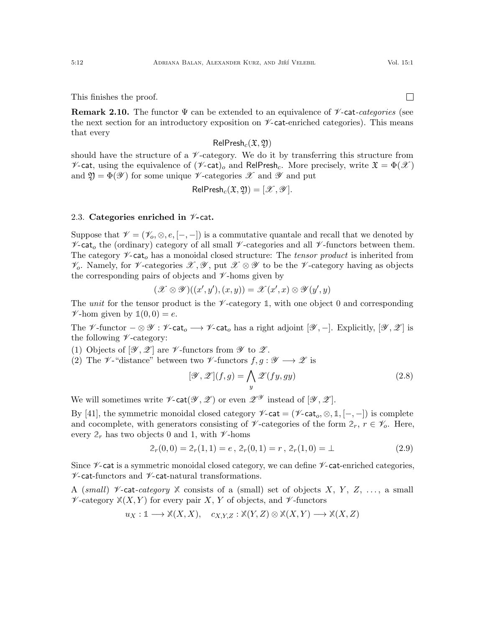This finishes the proof.

**Remark 2.10.** The functor  $\Psi$  can be extended to an equivalence of  $\mathcal V$ -cat-categories (see the next section for an introductory exposition on  $\mathscr{V}$ -cat-enriched categories). This means that every

# $RelPresh_c(\mathfrak{X}, \mathfrak{Y})$

should have the structure of a  $\nu$ -category. We do it by transferring this structure from  $\nu$ -cat, using the equivalence of  $(\nu$ -cat)<sub>o</sub> and RelPresh<sub>c</sub>. More precisely, write  $\mathfrak{X} = \Phi(\mathcal{X})$ and  $\mathfrak{Y} = \Phi(\mathscr{Y})$  for some unique  $\mathscr{Y}$ -categories  $\mathscr{X}$  and  $\mathscr{Y}$  and put

$$
\mathsf{RelPresh}_c(\mathfrak{X},\mathfrak{Y}) = [\mathscr{X},\mathscr{Y}].
$$

### <span id="page-11-0"></span>2.3. Categories enriched in  $\nu$ -cat.

Suppose that  $\mathcal{V} = (\mathcal{V}_o, \otimes, e, [-,-])$  is a commutative quantale and recall that we denoted by  $\mathscr{V}\text{-cat}_o$  the (ordinary) category of all small  $\mathscr{V}\text{-categories}$  and all  $\mathscr{V}\text{-functors}$  between them. The category  $\mathscr{V}\text{-}\text{cat}_o$  has a monoidal closed structure: The tensor product is inherited from  $\mathcal{V}_o$ . Namely, for  $\mathcal{V}_o$ -categories  $\mathcal{X}, \mathcal{Y},$  put  $\mathcal{X} \otimes \mathcal{Y}$  to be the  $\mathcal{V}_o$ -category having as objects the corresponding pairs of objects and  $\nu$ -homs given by

$$
(\mathscr{X} \otimes \mathscr{Y})((x',y'),(x,y)) = \mathscr{X}(x',x) \otimes \mathscr{Y}(y',y)
$$

The unit for the tensor product is the  $\mathcal V$ -category 1, with one object 0 and corresponding  $\mathscr{V}\text{-hom}$  given by  $\mathbb{1}(0,0) = e$ .

The V-functor  $-\otimes \mathscr{Y} : \mathscr{V}\text{-cat}_o \longrightarrow \mathscr{V}\text{-cat}_o$  has a right adjoint  $[\mathscr{Y}, -]$ . Explicitly,  $[\mathscr{Y}, \mathscr{Z}]$  is the following  $\nu$ -category:

- (1) Objects of  $[\mathscr{Y}, \mathscr{Z}]$  are  $\mathscr{Y}$ -functors from  $\mathscr{Y}$  to  $\mathscr{Z}$ .
- (2) The  $\mathscr V$ -"distance" between two  $\mathscr V$ -functors  $f, g : \mathscr Y \longrightarrow \mathscr Z$  is

$$
[\mathcal{Y}, \mathcal{Z}](f, g) = \bigwedge_{y} \mathcal{Z}(f y, g y) \tag{2.8}
$$

We will sometimes write  $\nu$ -cat $(\mathscr{Y}, \mathscr{Z})$  or even  $\mathscr{Z}^{\mathscr{Y}}$  instead of  $[\mathscr{Y}, \mathscr{Z}]$ .

By [\[41\]](#page-55-13), the symmetric monoidal closed category  $\mathscr{V}\text{-cat} = (\mathscr{V}\text{-cat}_o, \otimes, \mathbb{1}, [-,-])$  is complete and cocomplete, with generators consisting of  $\mathscr V$ -categories of the form  $2_r$ ,  $r \in \mathscr V_o$ . Here, every  $2_r$  has two objects 0 and 1, with  $\nu$ -homs

<span id="page-11-1"></span>
$$
2_r(0,0) = 2_r(1,1) = e, \ 2_r(0,1) = r, \ 2_r(1,0) = \perp \tag{2.9}
$$

Since  $\not\!\mathscr{V}$ -cat is a symmetric monoidal closed category, we can define  $\not\mathscr{V}$ -cat-enriched categories,  $\nu$ -cat-functors and  $\nu$ -cat-natural transformations.

A (small)  $\not\sim$ -cat-category  $X$  consists of a (small) set of objects X, Y, Z, ..., a small  $\nu$ -category  $\mathbb{X}(X, Y)$  for every pair X, Y of objects, and  $\nu$ -functors

$$
u_X: \mathbb{1} \longrightarrow \mathbb{X}(X, X), \quad c_{X,Y,Z} : \mathbb{X}(Y, Z) \otimes \mathbb{X}(X, Y) \longrightarrow \mathbb{X}(X, Z)
$$

 $\Box$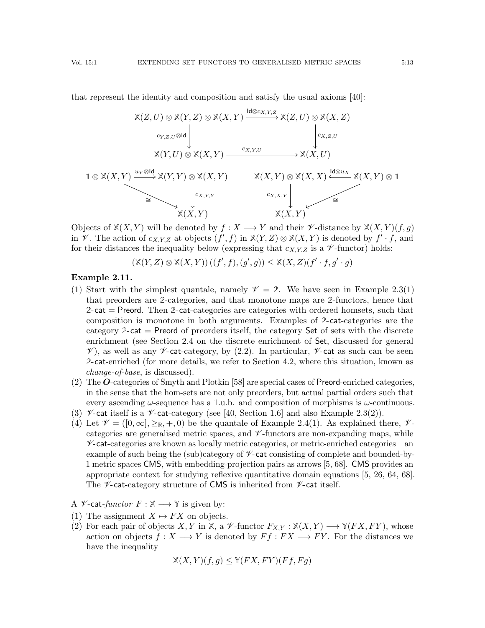that represent the identity and composition and satisfy the usual axioms [\[40\]](#page-55-5):



Objects of  $\mathbb{X}(X, Y)$  will be denoted by  $f: X \longrightarrow Y$  and their  $\mathscr{V}$ -distance by  $\mathbb{X}(X, Y)(f, g)$ in  $\mathscr V$ . The action of  $c_{X,Y,Z}$  at objects  $(f', f)$  in  $\mathbb X(Y, Z) \otimes \mathbb X(X, Y)$  is denoted by  $f' \cdot f$ , and for their distances the inequality below (expressing that  $c_{X,Y,Z}$  is a  $\mathscr V$ -functor) holds:

$$
(\mathbb{X}(Y,Z)\otimes\mathbb{X}(X,Y))((f',f),(g',g))\leq\mathbb{X}(X,Z)(f'\cdot f,g'\cdot g)
$$

## <span id="page-12-0"></span>Example 2.11.

- ([1\)](#page-6-2) Start with the simplest quantale, namely  $\mathcal{V} = 2$ . We have seen in Example [2.3\(](#page-6-1)1) that preorders are **2**-categories, and that monotone maps are **2**-functors, hence that **2**-cat = Preord. Then **2**-cat-categories are categories with ordered homsets, such that composition is monotone in both arguments. Examples of **2**-cat-categories are the category **2**-cat = Preord of preorders itself, the category Set of sets with the discrete enrichment (see Section [2.4](#page-13-0) on the discrete enrichment of Set, discussed for general  $\mathscr V$ , as well as any  $\mathscr V$ -cat-category, by [\(2.2\)](#page-6-3). In particular,  $\mathscr V$ -cat as such can be seen **2**-cat-enriched (for more details, we refer to Section [4.2,](#page-49-0) where this situation, known as change-of-base, is discussed).
- (2) The O-categories of Smyth and Plotkin [\[58\]](#page-55-0) are special cases of Preord-enriched categories, in the sense that the hom-sets are not only preorders, but actual partial orders such that every ascending  $\omega$ -sequence has a 1.u.b. and composition of morphisms is  $\omega$ -continuous.
- (3)  $\mathscr{V}$ -cat itself is a  $\mathscr{V}$ -cat-category (see [\[40,](#page-55-5) Section 1.6] and also Example [2.3\(](#page-6-1)[2\)](#page-6-4)).
- <span id="page-12-1"></span>(4) Let  $\mathcal{V} = ([0,\infty], \geq_R, +, 0)$  be the quantale of Example [2.4](#page-0-0)[\(1\)](#page-7-4). As explained there,  $\mathcal{V}$ categories are generalised metric spaces, and  $\nu$ -functors are non-expanding maps, while  $\nu$ -cat-categories are known as locally metric categories, or metric-enriched categories – an example of such being the (sub)category of  $\mathscr{V}\text{-cat consisting of complete and bounded-by-}$ 1 metric spaces CMS, with embedding-projection pairs as arrows [\[5,](#page-54-11) [68\]](#page-56-3). CMS provides an appropriate context for studying reflexive quantitative domain equations [\[5,](#page-54-11) [26,](#page-54-6) [64,](#page-56-2) [68\]](#page-56-3). The  $\nu$ -cat-category structure of CMS is inherited from  $\nu$ -cat itself.

A  $\mathcal{V}$ -cat-functor  $F : \mathbb{X} \longrightarrow \mathbb{Y}$  is given by:

- (1) The assignment  $X \mapsto FX$  on objects.
- (2) For each pair of objects X, Y in  $\mathbb{X}$ , a  $\mathscr{V}\text{-functor } F_{X,Y} : \mathbb{X}(X,Y) \longrightarrow \mathbb{Y}(FX,FY)$ , whose action on objects  $f: X \longrightarrow Y$  is denoted by  $Ff : FX \longrightarrow FY$ . For the distances we have the inequality

$$
\mathbb{X}(X,Y)(f,g) \leq \mathbb{Y}(FX,FY)(Ff,Fg)
$$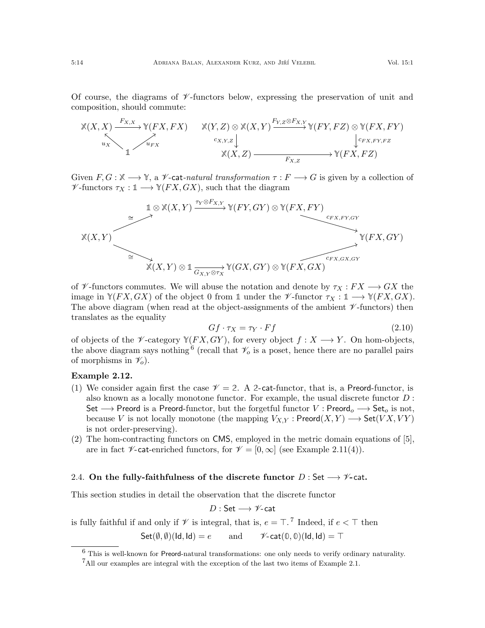Of course, the diagrams of  $\mathscr V$ -functors below, expressing the preservation of unit and composition, should commute:

$$
\begin{array}{ccc}\n\mathbb{X}(X,X) & \xrightarrow{F_{X,X}} \mathbb{Y}(FX, FX) & \mathbb{X}(Y,Z) \otimes \mathbb{X}(X,Y) \xrightarrow{F_{Y,Z} \otimes F_{X,Y}} \mathbb{Y}(FY, FZ) \otimes \mathbb{Y}(FX, FY) \\
\downarrow_{u_X} & \downarrow_{u_{FX}} \\
\mathbb{1} & & \mathbb{X}(X,Z) \xrightarrow{F_{X,Z}} \mathbb{Y}(FX, FZ)\n\end{array}
$$

Given  $F, G: \mathbb{X} \longrightarrow \mathbb{Y}$ , a *V*-cat-natural transformation  $\tau: F \longrightarrow G$  is given by a collection of  $\mathscr{V}\text{-functors }\tau_X : \mathbb{1} \longrightarrow \mathbb{Y}(FX, GX)$ , such that the diagram



of  $\mathscr V$ -functors commutes. We will abuse the notation and denote by  $\tau_X: FX\longrightarrow GX$  the image in  $\mathbb{Y}(FX, GX)$  of the object 0 from 1 under the  $\mathscr{V}\text{-functor }\tau_X: \mathbb{1} \longrightarrow \mathbb{Y}(FX, GX)$ . The above diagram (when read at the object-assignments of the ambient  $\mathscr V$ -functors) then translates as the equality

<span id="page-13-3"></span>
$$
Gf \cdot \tau_X = \tau_Y \cdot Ff \tag{2.10}
$$

of objects of the  $\mathscr V$ -category  $\mathscr Y(FX, GY)$ , for every object  $f : X \longrightarrow Y$ . On hom-objects, the above diagram says nothing <sup>[6](#page-13-1)</sup> (recall that  $\mathcal{V}_o$  is a poset, hence there are no parallel pairs of morphisms in  $\mathcal{V}_o$ ).

## Example 2.12.

- (1) We consider again first the case  $\mathcal{V} = 2$ . A 2-cat-functor, that is, a Preord-functor, is also known as a locally monotone functor. For example, the usual discrete functor D : Set  $\longrightarrow$  Preord is a Preord-functor, but the forgetful functor V : Preord<sub>o</sub>  $\longrightarrow$  Set<sub>o</sub> is not, because V is not locally monotone (the mapping  $V_{X,Y}$ : Preord $(X,Y) \longrightarrow$  Set $(VX,VY)$ is not order-preserving).
- (2) The hom-contracting functors on CMS, employed in the metric domain equations of [\[5\]](#page-54-11), are in fact  $\mathscr V$ -cat-enriched functors, for  $\mathscr V = [0,\infty]$  (see Example [2.11](#page-12-0)[\(4\)](#page-12-1)).

# <span id="page-13-0"></span>2.4. On the fully-faithfulness of the discrete functor  $D:$  Set  $\longrightarrow \mathscr{V}$ -cat.

This section studies in detail the observation that the discrete functor

$$
D:\mathsf{Set}\longrightarrow\mathscr{V}\text{-}\mathsf{cat}
$$

is fully faithful if and only if  $\mathscr V$  is integral, that is,  $e = \top$ .<sup>[7](#page-13-2)</sup> Indeed, if  $e < \top$  then

 $Set(\emptyset, \emptyset)(Id, Id) = e$  and  $\mathscr{V}\text{-cat}(\emptyset, \emptyset)(Id, Id) = \top$ 

<span id="page-13-1"></span> $6$  This is well-known for Preord-natural transformations: one only needs to verify ordinary naturality.

<span id="page-13-2"></span><sup>&</sup>lt;sup>7</sup>All our examples are integral with the exception of the last two items of Example [2.1.](#page-5-3)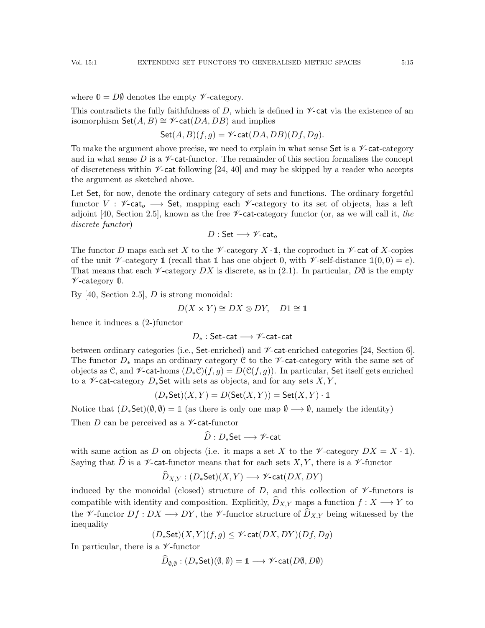where  $\mathbb{O} = D\emptyset$  denotes the empty  $\mathscr{V}\text{-category.}$ 

This contradicts the fully faithfulness of D, which is defined in  $\mathscr{V}\text{-}\mathsf{cat}$  via the existence of an isomorphism  $\mathsf{Set}(A, B) \cong \mathscr{V}\text{-}\mathsf{cat}(DA, DB)$  and implies

$$
\mathsf{Set}(A,B)(f,g) = \mathscr{V}\text{-}\mathsf{cat}(DA,DB)(Df,Dg).
$$

To make the argument above precise, we need to explain in what sense  $\mathsf{Set}$  is a  $\not\!\mathscr{V}\text{-}\mathsf{cat-category}$ and in what sense D is a  $\mathcal V$ -cat-functor. The remainder of this section formalises the concept of discreteness within  $\nu$ -cat following [\[24,](#page-54-12) [40\]](#page-55-5) and may be skipped by a reader who accepts the argument as sketched above.

Let Set, for now, denote the ordinary category of sets and functions. The ordinary forgetful functor  $V : \mathscr{V}\text{-cat}_o \longrightarrow$  Set, mapping each  $\mathscr{V}\text{-category}$  to its set of objects, has a left adjoint [\[40,](#page-55-5) Section 2.5], known as the free  $\mathscr{V}\text{-cat-category}$  functor (or, as we will call it, the discrete functor)

$$
D:\mathsf{Set}\longrightarrow\mathscr{V}\text{-}\mathsf{cat}_o
$$

The functor D maps each set X to the  $\mathscr V$ -category  $X \cdot \mathbb{1}$ , the coproduct in  $\mathscr V$ -cat of X-copies of the unit  $\nu$ -category  $\mathbb{1}$  (recall that  $\mathbb{1}$  has one object 0, with  $\nu$ -self-distance  $\mathbb{1}(0,0) = e$ ). That means that each  $\mathscr V$ -category DX is discrete, as in [\(2.1\)](#page-6-5). In particular, DØ is the empty V -category **0**.

By [\[40,](#page-55-5) Section 2.5],  $D$  is strong monoidal:

$$
D(X \times Y) \cong DX \otimes DY, \quad D1 \cong \mathbb{1}
$$

hence it induces a (2-)functor

D<sup>∗</sup> : Set-cat −→ V-cat-cat

between ordinary categories (i.e., Set-enriched) and  $\nu$ -cat-enriched categories [\[24,](#page-54-12) Section 6]. The functor  $D_*$  maps an ordinary category C to the  $\mathscr V$ -cat-category with the same set of objects as C, and  $\mathscr V$ -cat-homs  $(D_*\mathcal C)(f,g) = D(\mathcal C(f,g))$ . In particular, Set itself gets enriched to a  $\mathscr V$ -cat-category  $D_*$ Set with sets as objects, and for any sets  $X, Y,$ 

$$
(D_*\mathsf{Set})(X,Y)=D(\mathsf{Set}(X,Y))=\mathsf{Set}(X,Y)\cdot\mathbb{1}
$$

Notice that  $(D_*\mathsf{Set})(\emptyset,\emptyset) = \mathbb{1}$  (as there is only one map  $\emptyset \longrightarrow \emptyset$ , namely the identity)

Then  $D$  can be perceived as a  $\nu$ -cat-functor

$$
D: D_*\mathsf{Set} \longrightarrow \mathscr{V}\text{-}\mathsf{cat}
$$

with same action as D on objects (i.e. it maps a set X to the  $\mathscr V$ -category  $DX = X \cdot \mathbb{1}$ ). Saying that  $\hat{D}$  is a  $\mathscr{V}$ -cat-functor means that for each sets X, Y, there is a  $\mathscr{V}$ -functor

$$
D_{X,Y}:(D_*\mathsf{Set})(X,Y)\longrightarrow \mathscr{V}\text{-}\mathsf{cat}(DX,DY)
$$

induced by the monoidal (closed) structure of  $D$ , and this collection of  $\mathscr V$ -functors is compatible with identity and composition. Explicitly,  $\widehat{D}_{X,Y}$  maps a function  $f : X \longrightarrow Y$  to the V-functor  $Df: DX \longrightarrow DY$ , the V-functor structure of  $\widehat{D}_{X,Y}$  being witnessed by the inequality

 $(D_*\mathsf{Set})(X,Y)(f,g) \leq \mathscr{V}\text{-}\mathsf{cat}(DX, DY)(Df, Dg)$ 

In particular, there is a  $\nu$ -functor

$$
\widehat{D}_{\emptyset,\emptyset} : (D_*\mathsf{Set})(\emptyset,\emptyset) = \mathbb{1} \longrightarrow \mathscr{V}\text{-}\mathsf{cat}(D\emptyset,D\emptyset)
$$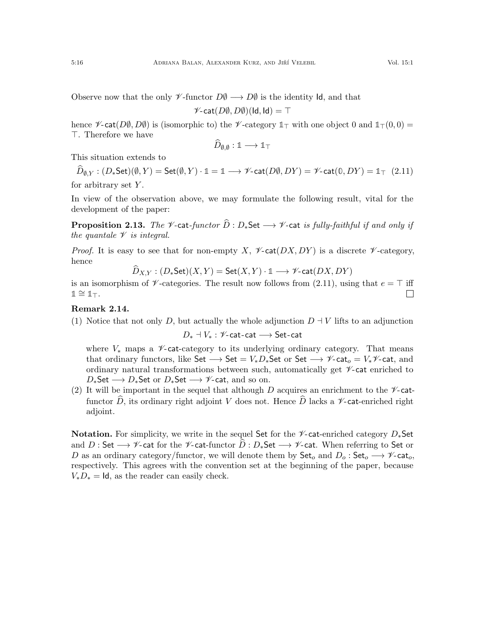Observe now that the only  $\mathscr V$ -functor  $D\emptyset \longrightarrow D\emptyset$  is the identity Id, and that

$$
\mathscr{V}\text{-}\mathsf{cat}(D\emptyset,D\emptyset)(\mathsf{Id},\mathsf{Id})=\top
$$

hence  $\mathscr{V}\text{-cat}(D\emptyset, D\emptyset)$  is (isomorphic to) the  $\mathscr{V}\text{-category }1_{\top}$  with one object 0 and  $1_{\top}(0, 0)$  = >. Therefore we have

$$
D_{\emptyset,\emptyset}:\mathbb{1}\longrightarrow\mathbb{1}_{\top}
$$

This situation extends to

<span id="page-15-1"></span> $D_{\emptyset,Y} : (D_*\mathsf{Set})(\emptyset,Y) = \mathsf{Set}(\emptyset,Y) \cdot \mathbb{1} = \mathbb{1} \longrightarrow \mathscr{V}\text{-}\mathsf{cat}(D\emptyset,DY) = \mathscr{V}\text{-}\mathsf{cat}(\mathbb{0},DY) = \mathbb{1}_{\top}$  (2.11) for arbitrary set  $Y$ .

In view of the observation above, we may formulate the following result, vital for the development of the paper:

<span id="page-15-0"></span>**Proposition 2.13.** The *V*-cat-functor  $\widehat{D}: D_*\mathsf{Set} \longrightarrow \mathscr{V}$ -cat is fully-faithful if and only if the quantale  $\mathscr V$  is integral.

*Proof.* It is easy to see that for non-empty X,  $\mathscr{V}\text{-cat}(DX, DY)$  is a discrete  $\mathscr{V}\text{-category}$ . hence

$$
D_{X,Y} : (D_*\mathsf{Set})(X,Y) = \mathsf{Set}(X,Y) \cdot \mathbb{1} \longrightarrow \mathscr{V}\text{-}\mathsf{cat}(DX, DY)
$$

is an isomorphism of  $\nu$ -categories. The result now follows from [\(2.11\)](#page-15-1), using that  $e = \top$  iff  $1 \cong 1$ ⊤.  $\Box$ 

# Remark 2.14.

(1) Notice that not only D, but actually the whole adjunction  $D + V$  lifts to an adjunction

$$
D_* \dashv V_* : \mathscr{V}\text{-}\mathsf{cat}\text{-}\mathsf{cat} \longrightarrow \mathsf{Set}\text{-}\mathsf{cat}
$$

where  $V_*$  maps a  $\mathscr V$ -cat-category to its underlying ordinary category. That means that ordinary functors, like Set  $\longrightarrow$  Set =  $V_*D_*$ Set or Set  $\longrightarrow$   $\mathscr V$ -cat<sub>o</sub> =  $V_*\mathscr V$ -cat, and ordinary natural transformations between such, automatically get  $\mathcal V$ -cat enriched to  $D_*$ Set  $\longrightarrow D_*$ Set or  $D_*$ Set  $\longrightarrow \mathscr{V}$ -cat, and so on.

(2) It will be important in the sequel that although D acquires an enrichment to the  $\nu$ -catfunctor  $\widehat{D}$ , its ordinary right adjoint V does not. Hence  $\widehat{D}$  lacks a  $\mathscr{V}\text{-cat-enriched right}$ adjoint.

**Notation.** For simplicity, we write in the sequel Set for the  $\mathscr V$ -cat-enriched category  $D_*$ Set and <sup>D</sup> : Set −→ <sup>V</sup>-cat for the <sup>V</sup>-cat-functor <sup>D</sup><sup>b</sup> : <sup>D</sup>∗Set −→ <sup>V</sup>-cat. When referring to Set or D as an ordinary category/functor, we will denote them by  $\mathsf{Set}_o$  and  $D_o : \mathsf{Set}_o \longrightarrow \mathscr{V}$ -cat<sub>o</sub>, respectively. This agrees with the convention set at the beginning of the paper, because  $V_*D_* = \text{Id}$ , as the reader can easily check.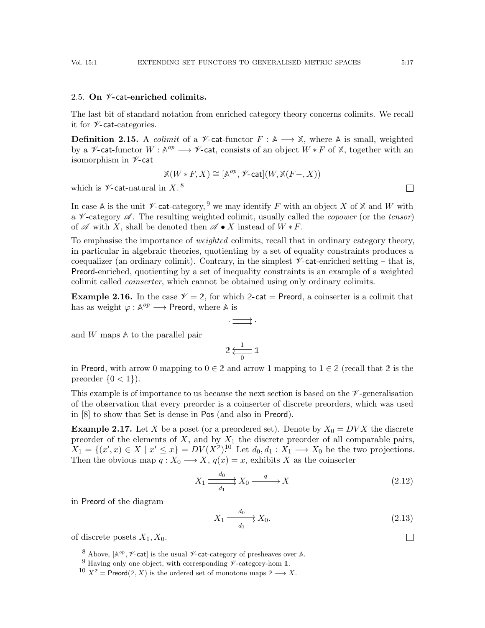## <span id="page-16-0"></span>2.5. On  $\nu$ -cat-enriched colimits.

The last bit of standard notation from enriched category theory concerns colimits. We recall it for  $\nu$ -cat-categories.

<span id="page-16-4"></span>**Definition 2.15.** A *colimit* of a  $\mathcal{V}$ -cat-functor  $F : \mathbb{A} \longrightarrow \mathbb{X}$ , where  $\mathbb{A}$  is small, weighted by a  $\mathscr V$ -cat-functor  $W : \mathbb A^{op} \longrightarrow \mathscr V$ -cat, consists of an object  $W * F$  of  $\mathbb X$ , together with an isomorphism in  $\nu$ -cat

$$
\mathbb{X}(W \ast F, X) \cong [\mathbb{A}^{op}, \mathscr{V}\text{-}\mathsf{cat}](W, \mathbb{X}(F-, X))
$$

which is  $\mathscr{V}\text{-}\mathsf{cat}\text{-}\mathrm{natural}$  in X.<sup>[8](#page-16-1)</sup>

In case A is the unit  $\mathscr V$ -cat-category, <sup>[9](#page-16-2)</sup> we may identify F with an object X of X and W with a  $\mathcal V$ -category  $\mathcal A$ . The resulting weighted colimit, usually called the *copower* (or the *tensor*) of  $\mathscr A$  with X, shall be denoted then  $\mathscr A \bullet X$  instead of  $W * F$ .

To emphasise the importance of *weighted* colimits, recall that in ordinary category theory, in particular in algebraic theories, quotienting by a set of equality constraints produces a coequalizer (an ordinary colimit). Contrary, in the simplest  $\nu$ -cat-enriched setting – that is, Preord-enriched, quotienting by a set of inequality constraints is an example of a weighted colimit called coinserter, which cannot be obtained using only ordinary colimits.

<span id="page-16-6"></span>**Example 2.16.** In the case  $\mathcal{V} = 2$ , for which 2-cat = Preord, a coinserter is a colimit that has as weight  $\varphi : \mathbb{A}^{op} \longrightarrow$  Preord, where  $\mathbb{A}$  is

$$
\cdot \Longrightarrow \cdot
$$

and W maps **A** to the parallel pair

$$
2 \overset{1}{\underset{0}{\longleftarrow}} \mathbb{1}
$$

in Preord, with arrow 0 mapping to  $0 \in \mathbb{2}$  and arrow 1 mapping to  $1 \in \mathbb{2}$  (recall that 2 is the preorder  $\{0, 1\}$ .

This example is of importance to us because the next section is based on the  $\mathscr V$ -generalisation of the observation that every preorder is a coinserter of discrete preorders, which was used in [\[8\]](#page-54-3) to show that Set is dense in Pos (and also in Preord).

<span id="page-16-7"></span>**Example 2.17.** Let X be a poset (or a preordered set). Denote by  $X_0 = D V X$  the discrete preorder of the elements of  $X$ , and by  $X_1$  the discrete preorder of all comparable pairs,  $X_1 = \{(x',x) \in X \mid x' \leq x\} = DV(X^2).$ <sup>[10](#page-16-3)</sup> Let  $d_0, d_1 : X_1 \longrightarrow X_0$  be the two projections. Then the obvious map  $q: X_0 \longrightarrow X$ ,  $q(x) = x$ , exhibits X as the coinserter

<span id="page-16-5"></span>
$$
X_1 \xrightarrow{\phantom{a}d_0 \phantom{a}} X_0 \xrightarrow{\phantom{a}q \phantom{a}} X \tag{2.12}
$$

in Preord of the diagram

$$
X_1 \xrightarrow{\phantom{a}d_0 \phantom{a}} X_0. \tag{2.13}
$$

of discrete posets  $X_1, X_0$ .

 $\Box$ 

 $\Box$ 

<span id="page-16-1"></span><sup>&</sup>lt;sup>8</sup> Above,  $[A^{op}, \mathscr{V}$ -cat] is the usual  $\mathscr{V}$ -cat-category of presheaves over A.

<span id="page-16-2"></span><sup>&</sup>lt;sup>9</sup> Having only one object, with corresponding  $\nu$ -category-hom 1.

<span id="page-16-3"></span> $10 X^2 =$  Preord $(2, X)$  is the ordered set of monotone maps  $2 \longrightarrow X$ .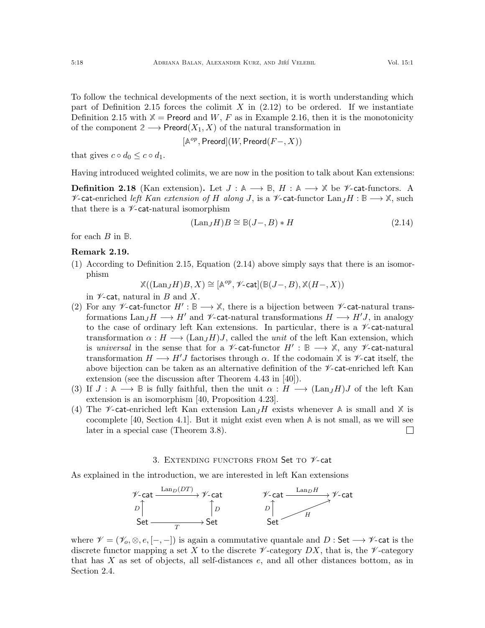$$
[\mathbb{A}^{op}, \mathsf{Preord}](W, \mathsf{Preord}(F-, X))
$$

Definition [2.15](#page-16-4) with  $X =$  Preord and W, F as in Example [2.16,](#page-16-6) then it is the monotonicity

of the component  $2 \longrightarrow$  Preord $(X_1, X)$  of the natural transformation in

that gives  $c \circ d_0 \leq c \circ d_1$ .

Having introduced weighted colimits, we are now in the position to talk about Kan extensions:

**Definition 2.18** (Kan extension). Let  $J : \mathbb{A} \longrightarrow \mathbb{B}$ ,  $H : \mathbb{A} \longrightarrow \mathbb{X}$  be *V*-cat-functors. A  $\mathcal V$ -cat-enriched left Kan extension of H along J, is a  $\mathcal V$ -cat-functor Lan<sub>J</sub>H : **B** →  $\mathbb X$ , such that there is a  $\nu$ -cat-natural isomorphism

<span id="page-17-1"></span>
$$
(\text{Lan}_J H)B \cong \mathbb{B}(J-, B) * H \tag{2.14}
$$

for each B in **B**.

### <span id="page-17-2"></span>Remark 2.19.

(1) According to Definition [2.15,](#page-16-4) Equation [\(2.14\)](#page-17-1) above simply says that there is an isomorphism

$$
\mathbb{X}((\mathrm{Lan}_J H)B, X) \cong [\mathbb{A}^{op}, \mathscr{V}\text{-}\mathsf{cat}](\mathbb{B}(J-, B), \mathbb{X}(H-, X))
$$

in  $\nu$ -cat, natural in B and X.

- <span id="page-17-3"></span>(2) For any  $\mathscr V$ -cat-functor  $H': \mathbb B \longrightarrow \mathbb X$ , there is a bijection between  $\mathscr V$ -cat-natural transformations Lan<sub>J</sub>H  $\rightarrow$  H' and  $\mathscr V$ -cat-natural transformations  $H \rightarrow H'J$ , in analogy to the case of ordinary left Kan extensions. In particular, there is a  $\mathscr{V}\text{-cat-natural}$ transformation  $\alpha : H \longrightarrow (Lan_JH)J$ , called the unit of the left Kan extension, which is universal in the sense that for a  $\mathscr V$ -cat-functor  $H' : \mathbb B \longrightarrow \mathbb X$ , any  $\mathscr V$ -cat-natural transformation  $H \longrightarrow H'J$  factorises through  $\alpha$ . If the codomain  $X$  is  $\mathscr{V}$ -cat itself, the above bijection can be taken as an alternative definition of the  $\mathscr V$ -cat-enriched left Kan extension (see the discussion after Theorem 4.43 in [\[40\]](#page-55-5)).
- (3) If  $J: \mathbb{A} \longrightarrow \mathbb{B}$  is fully faithful, then the unit  $\alpha: H \longrightarrow (\text{Lan}_I H)J$  of the left Kan extension is an isomorphism [\[40,](#page-55-5) Proposition 4.23].
- (4) The  $\mathcal V$ -cat-enriched left Kan extension  $\text{Lan}_JH$  exists whenever A is small and X is cocomplete [\[40,](#page-55-5) Section 4.1]. But it might exist even when **A** is not small, as we will see later in a special case (Theorem [3.8\)](#page-23-0).  $\Box$

## 3. EXTENDING FUNCTORS FROM Set TO  $\mathscr V$ -cat

<span id="page-17-0"></span>As explained in the introduction, we are interested in left Kan extensions



where  $\mathscr{V} = (\mathscr{V}_o, \otimes, e, [-,-])$  is again a commutative quantale and D : Set  $\longrightarrow \mathscr{V}$ -cat is the discrete functor mapping a set X to the discrete  $\mathscr V$ -category DX, that is, the  $\mathscr V$ -category that has X as set of objects, all self-distances e, and all other distances bottom, as in Section [2.4.](#page-13-0)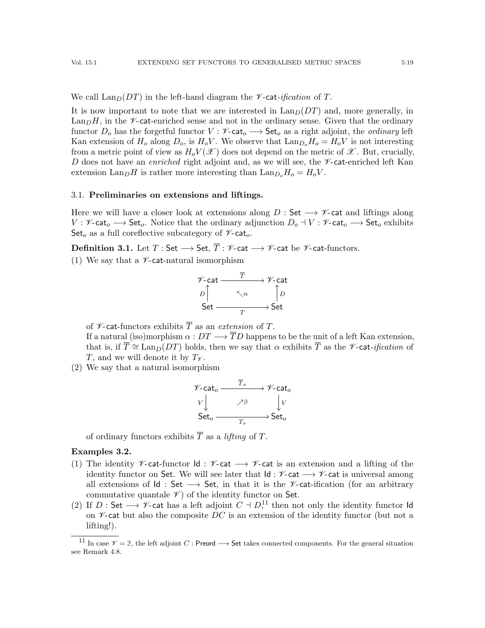We call  $\text{Lan}_D(DT)$  in the left-hand diagram the *V*-cat-*ification* of T.

It is now important to note that we are interested in  $\text{Lan}_D(DT)$  and, more generally, in  $\text{Lan}_D H$ , in the  $\mathscr{V}\text{-}$ cat-enriched sense and not in the ordinary sense. Given that the ordinary functor  $D_o$  has the forgetful functor  $V : \mathscr{V}\text{-cat}_o \longrightarrow \mathsf{Set}_o$  as a right adjoint, the *ordinary* left Kan extension of  $H_0$  along  $D_0$ , is  $H_0V$ . We observe that  $\text{Lan}_{D_0}H_0 = H_0V$  is not interesting from a metric point of view as  $H_oV(\mathscr{X})$  does not depend on the metric of  $\mathscr{X}$ . But, crucially, D does not have an *enriched* right adjoint and, as we will see, the  $\nu$ -cat-enriched left Kan extension  $\text{Lan}_D H$  is rather more interesting than  $\text{Lan}_{D_o} H_o = H_o V$ .

## <span id="page-18-0"></span>3.1. Preliminaries on extensions and liftings.

Here we will have a closer look at extensions along  $D : \mathsf{Set} \longrightarrow \mathscr{V}$ -cat and liftings along  $V : \mathscr{V}\text{-cat}_o \longrightarrow \mathsf{Set}_o$ . Notice that the ordinary adjunction  $D_o \dashv V : \mathscr{V}\text{-cat}_o \longrightarrow \mathsf{Set}_o$  exhibits Set<sub>o</sub> as a full coreflective subcategory of  $\mathscr{V}\text{-cat}_o$ .

<span id="page-18-2"></span>**Definition 3.1.** Let  $T : Set \longrightarrow Set, \overline{T} : \mathscr{V}\text{-cat} \longrightarrow \mathscr{V}\text{-cat be } \mathscr{V}\text{-cat-functors.}$ 

(1) We say that a  $\nu$ -cat-natural isomorphism



of  $\mathscr V$ -cat-functors exhibits  $\overline T$  as an extension of T.

If a natural (iso)morphism  $\alpha: DT \longrightarrow \overline{T}D$  happens to be the unit of a left Kan extension, that is, if  $\overline{T} \cong \text{Lan}_D(DT)$  holds, then we say that  $\alpha$  exhibits  $\overline{T}$  as the *V*-cat-*ification* of T, and we will denote it by  $T_{\mathscr{V}}$ .

<span id="page-18-3"></span>(2) We say that a natural isomorphism

$$
\begin{array}{ccc}\n\mathscr{V}\text{-}\mathrm{cat}_o & \xrightarrow{\overline{T}_o} & \mathscr{V}\text{-}\mathrm{cat}_o \\
V & \nearrow \beta & & V \\
\end{array}
$$
\n
$$
\begin{array}{ccc}\nV & \nearrow \beta & & V \\
\text{Set}_o & \xrightarrow{T_o} & \text{Set}_o\n\end{array}
$$

of ordinary functors exhibits  $\overline{T}$  as a *lifting* of  $T$ .

## <span id="page-18-4"></span>Examples 3.2.

- (1) The identity  $\mathscr V$ -cat-functor Id :  $\mathscr V$ -cat  $\longrightarrow \mathscr V$ -cat is an extension and a lifting of the identity functor on Set. We will see later that  $\mathsf{Id} : \mathscr{V}\text{-}\mathsf{cat} \longrightarrow \mathscr{V}\text{-}\mathsf{cat}$  is universal among all extensions of  $Id$  : Set  $\longrightarrow$  Set, in that it is the *V*-cat-ification (for an arbitrary commutative quantale  $\mathscr V$  of the identity functor on Set.
- <span id="page-18-5"></span>(2) If D: Set  $\longrightarrow \mathscr{V}$ -cat has a left adjoint  $C \dashv D^{11}$  $C \dashv D^{11}$  $C \dashv D^{11}$ , then not only the identity functor Id on  $\mathscr{V}$ -cat but also the composite DC is an extension of the identity functor (but not a lifting!).

<span id="page-18-1"></span><sup>&</sup>lt;sup>11</sup> In case  $\mathcal{V} = 2$ , the left adjoint C : Preord  $\longrightarrow$  Set takes connected components. For the general situation see Remark [4.8.](#page-49-1)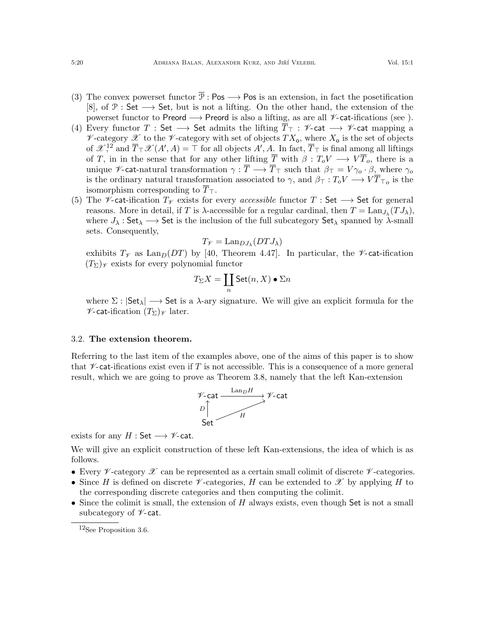- (3) The convex powerset functor  $\overline{\mathcal{P}}$  : Pos  $\longrightarrow$  Pos is an extension, in fact the posetification [\[8\]](#page-54-3), of  $\mathcal{P}:$  Set  $\longrightarrow$  Set, but is not a lifting. On the other hand, the extension of the powerset functor to Preord → Preord is also a lifting, as are all  $\mathcal V$ -cat-ifications (see ).
- (4) Every functor T : Set  $\longrightarrow$  Set admits the lifting  $\overline{T}_{\top}$  :  $\nvee$ -cat  $\longrightarrow$   $\nvee$ -cat mapping a  $\mathscr V$ -category  $\mathscr X$  to the  $\mathscr V$ -category with set of objects  $TX_o$ , where  $X_o$  is the set of objects of  $\mathscr{X}^{12}$  $\mathscr{X}^{12}$  $\mathscr{X}^{12}$  and  $\overline{T}_{\top}\mathscr{X}(A',A)=\top$  for all objects  $A', A$ . In fact,  $\overline{T}_{\top}$  is final among all liftings of T, in in the sense that for any other lifting  $\overline{T}$  with  $\beta: T_oV \longrightarrow V\overline{T}_o$ , there is a unique  $\mathscr{V}$ -cat-natural transformation  $\gamma : \overline{T} \longrightarrow \overline{T}_{\overline{T}}$  such that  $\beta_{\overline{T}} = V \gamma_o \cdot \beta$ , where  $\gamma_o$ is the ordinary natural transformation associated to  $\gamma$ , and  $\beta_{\top}: T_oV \longrightarrow VT_{\top o}$  is the isomorphism corresponding to  $\overline{T}_{\top}$ .
- (5) The  $\mathscr V$ -cat-ification  $T_{\mathscr V}$  exists for every *accessible* functor  $T :$  Set  $\longrightarrow$  Set for general reasons. More in detail, if T is  $\lambda$ -accessible for a regular cardinal, then  $T = \text{Lan}_{J_\lambda}(T J_\lambda)$ , where  $J_{\lambda}$ : Set $_{\lambda} \longrightarrow$  Set is the inclusion of the full subcategory Set<sub> $_{\lambda}$ </sub> spanned by  $\lambda$ -small sets. Consequently,

$$
T_{\mathscr{V}} = \text{Lan}_{DJ_{\lambda}}(DTJ_{\lambda})
$$

exhibits  $T_{\mathscr{V}}$  as  $\text{Lan}_D(DT)$  by [\[40,](#page-55-5) Theorem 4.47]. In particular, the  $\mathscr{V}\text{-cat-ification}$  $(T_{\Sigma})_{\mathscr{V}}$  exists for every polynomial functor

$$
T_\Sigma X=\coprod_n\operatorname{Set}(n,X)\bullet\Sigma n
$$

where  $\Sigma : |Set_{\lambda}| \longrightarrow Set$  is a  $\lambda$ -ary signature. We will give an explicit formula for the  $\mathscr{V}$ -cat-ification  $(T_{\Sigma})_{\mathscr{V}}$  later.

### <span id="page-19-0"></span>3.2. The extension theorem.

Referring to the last item of the examples above, one of the aims of this paper is to show that  $\nu$ -cat-ifications exist even if T is not accessible. This is a consequence of a more general result, which we are going to prove as Theorem [3.8,](#page-23-0) namely that the left Kan-extension



exists for any  $H : Set \longrightarrow \mathscr{V}$ -cat.

We will give an explicit construction of these left Kan-extensions, the idea of which is as follows.

- Every  $\not\!\mathscr{V}$ -category  $\mathscr{X}$  can be represented as a certain small colimit of discrete  $\not\mathscr{V}$ -categories.
- Since H is defined on discrete V -categories, H can be extended to X by applying H to the corresponding discrete categories and then computing the colimit.
- Since the colimit is small, the extension of  $H$  always exists, even though Set is not a small subcategory of  $\nu$ -cat.

<span id="page-19-1"></span><sup>12</sup>See Proposition [3.6.](#page-21-1)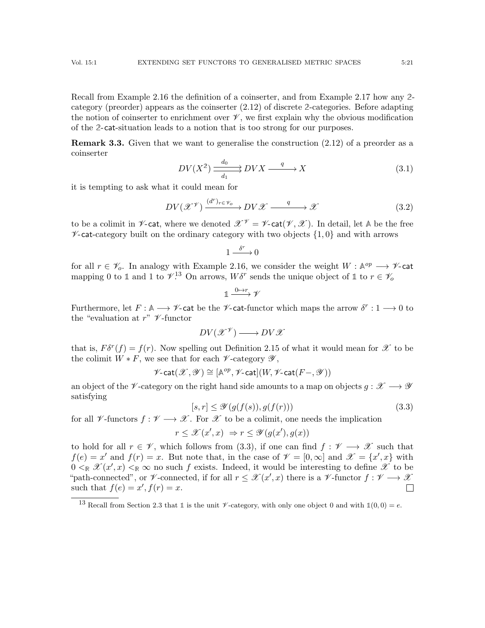Recall from Example [2.16](#page-16-6) the definition of a coinserter, and from Example [2.17](#page-16-7) how any **2** category (preorder) appears as the coinserter [\(2.12\)](#page-16-5) of discrete **2**-categories. Before adapting the notion of coinserter to enrichment over  $\mathcal{V}$ , we first explain why the obvious modification of the **2**-cat-situation leads to a notion that is too strong for our purposes.

**Remark 3.3.** Given that we want to generalise the construction  $(2.12)$  of a preorder as a coinserter

<span id="page-20-3"></span>
$$
DV(X^2) \xrightarrow[d_1]{d_0} DVX \xrightarrow{q} X \tag{3.1}
$$

it is tempting to ask what it could mean for

<span id="page-20-2"></span>
$$
DV(\mathcal{X}^{\mathcal{V}}) \xrightarrow{(d^r)_r \in \mathcal{V}_o} DV\mathcal{X} \xrightarrow{q} \mathcal{X}
$$
 (3.2)

to be a colimit in  $\nu$ -cat, where we denoted  $\mathscr{X}^{\mathscr{V}} = \nu$ -cat( $\mathscr{V}, \mathscr{X}$ ). In detail, let A be the free  $\mathscr{V}\text{-cat-category built on the ordinary category with two objects } \{1,0\}$  and with arrows

$$
1\stackrel{\delta^r}{\xrightarrow{\hspace*{1cm}}}0
$$

for all  $r \in \mathscr{V}_o$ . In analogy with Example [2.16,](#page-16-6) we consider the weight  $W : \mathbb{A}^{op} \longrightarrow \mathscr{V}$ -cat mapping 0 to 1 and 1 to  $\mathcal{V}^{13}$  $\mathcal{V}^{13}$  $\mathcal{V}^{13}$  On arrows,  $W\delta^r$  sends the unique object of 1 to  $r \in \mathcal{V}_o$ 

$$
\mathbb{1} \xrightarrow{0 \mapsto r} \mathscr{V}
$$

Furthermore, let  $F: \mathbb{A} \longrightarrow \mathscr{V}$ -cat be the  $\mathscr{V}$ -cat-functor which maps the arrow  $\delta^r: 1 \longrightarrow 0$  to the "evaluation at  $r$ "  $\mathscr V$ -functor

$$
DV(\mathscr{X}^\mathscr{V}) \longrightarrow DV\mathscr{X}
$$

that is,  $F\delta^r(f) = f(r)$ . Now spelling out Definition [2.15](#page-16-4) of what it would mean for  $\mathscr X$  to be the colimit  $W * F$ , we see that for each  $\not\!\mathscr{V}\!$ -category  $\mathscr{Y},$ 

$$
\mathscr{V}\text{-}\mathrm{cat}(\mathscr{X},\mathscr{Y})\cong [\mathbb{A}^{op},\mathscr{V}\text{-}\mathrm{cat}](W,\mathscr{V}\text{-}\mathrm{cat}(F-,\mathscr{Y}))
$$

an object of the  $\mathscr{V}$ -category on the right hand side amounts to a map on objects  $q : \mathscr{X} \longrightarrow \mathscr{Y}$ satisfying

<span id="page-20-1"></span>
$$
[s,r] \le \mathcal{Y}(g(f(s)),g(f(r)))\tag{3.3}
$$

for all  $\mathscr V$ -functors  $f : \mathscr V \longrightarrow \mathscr X$ . For  $\mathscr X$  to be a colimit, one needs the implication

$$
r \leq \mathcal{X}(x', x) \Rightarrow r \leq \mathcal{Y}(g(x'), g(x))
$$

to hold for all  $r \in \mathscr{V}$ , which follows from [\(3.3\)](#page-20-1), if one can find  $f : \mathscr{V} \longrightarrow \mathscr{X}$  such that  $f(e) = x'$  and  $f(r) = x$ . But note that, in the case of  $\mathcal{V} = [0, \infty]$  and  $\mathcal{X} = \{x', x\}$  with  $0 \leq_{\mathbb{R}} \mathcal{X}(x',x) \leq_{\mathbb{R}} \infty$  no such f exists. Indeed, it would be interesting to define  $\mathcal{X}$  to be "path-connected", or  $\not\!\mathscr{V}$ -connected, if for all  $r \leq \mathscr{X}(x',x)$  there is a  $\not\mathscr{V}$ -functor  $f : \mathscr{V} \longrightarrow \mathscr{X}$ such that  $f(e) = x', f(r) = x$ .  $\Box$ 

<span id="page-20-0"></span><sup>&</sup>lt;sup>13</sup> Recall from Section [2.3](#page-11-0) that 1 is the unit  $\mathcal V$ -category, with only one object 0 and with  $\mathbb 1(0,0) = e$ .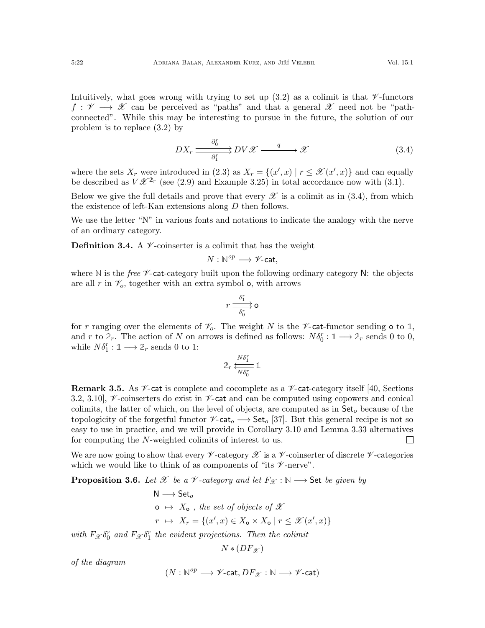Intuitively, what goes wrong with trying to set up  $(3.2)$  as a colimit is that  $\mathscr V$ -functors  $f: \mathscr{V} \longrightarrow \mathscr{X}$  can be perceived as "paths" and that a general  $\mathscr{X}$  need not be "pathconnected". While this may be interesting to pursue in the future, the solution of our problem is to replace [\(3.2\)](#page-20-2) by

<span id="page-21-2"></span>
$$
DX_r \xrightarrow{\partial_0^r} DV \mathscr{X} \xrightarrow{q} \mathscr{X} \tag{3.4}
$$

where the sets  $X_r$  were introduced in [\(2.3\)](#page-7-3) as  $X_r = \{(x', x) | r \leq \mathcal{X}(x', x)\}\)$  and can equally be described as  $V \mathscr{X}^{2_r}$  (see [\(2.9\)](#page-11-1) and Example [3.25\)](#page-33-3) in total accordance now with [\(3.1\)](#page-20-3).

Below we give the full details and prove that every  $\mathscr X$  is a colimit as in [\(3.4\)](#page-21-2), from which the existence of left-Kan extensions along D then follows.

We use the letter "N" in various fonts and notations to indicate the analogy with the nerve of an ordinary category.

<span id="page-21-0"></span>**Definition 3.4.** A  $\mathcal{V}$ -coinserter is a colimit that has the weight

$$
N: \mathbb{N}^{op} \longrightarrow \mathscr{V}\text{-}\mathrm{cat},
$$

where  $\mathbb N$  is the *free*  $\mathscr V$ -cat-category built upon the following ordinary category  $\mathbb N$ : the objects are all r in  $\mathcal{V}_o$ , together with an extra symbol **o**, with arrows

$$
r \xrightarrow[\delta_0^r]{\delta_1^r} \mathsf{o}
$$

for r ranging over the elements of  $\mathcal{V}_o$ . The weight N is the  $\mathcal{V}_o$ -cat-functor sending o to 1, and r to  $2_r$ . The action of N on arrows is defined as follows:  $N\delta_0^r : \mathbb{1} \longrightarrow 2_r$  sends 0 to 0, while  $N\delta_1^r : \mathbb{1} \longrightarrow \mathbb{2}_r$  sends 0 to 1:

$$
2_r \xleftarrow[N\delta_1^r \mathbb{1}
$$

**Remark 3.5.** As  $\mathscr V$ -cat is complete and cocomplete as a  $\mathscr V$ -cat-category itself [\[40,](#page-55-5) Sections] 3.2, 3.10,  $\mathcal V$ -coinserters do exist in  $\mathcal V$ -cat and can be computed using copowers and conical colimits, the latter of which, on the level of objects, are computed as in  $\mathsf{Set}_o$  because of the topologicity of the forgetful functor  $\mathscr{V}\text{-}\mathsf{cat}_o \longrightarrow \mathsf{Set}_o$  [\[37\]](#page-55-14). But this general recipe is not so easy to use in practice, and we will provide in Corollary [3.10](#page-27-1) and Lemma [3.33](#page-36-1) alternatives for computing the N-weighted colimits of interest to us.  $\Box$ 

We are now going to show that every  $\mathscr V$ -category  $\mathscr X$  is a  $\mathscr V$ -coinserter of discrete  $\mathscr V$ -categories which we would like to think of as components of "its  $\nu$ -nerve".

<span id="page-21-1"></span>**Proposition 3.6.** Let X be a V-category and let  $F_{\mathcal{X}} : \mathbb{N} \longrightarrow$  Set be given by

N → Set<sub>o</sub>  
\no → X<sub>o</sub>, the set of objects of X  
\n
$$
r \mapsto X_r = \{(x', x) \in X_o \times X_o \mid r \leq \mathcal{X}(x', x)\}
$$

with  $F_{\mathcal{X}} \delta_0^r$  and  $F_{\mathcal{X}} \delta_1^r$  the evident projections. Then the colimit

$$
N*(DF_{\mathscr{X}})
$$

of the diagram

$$
(N:\mathbb{N}^{op}\longrightarrow \mathscr{V}\text{-}\mathrm{cat},DF_{\mathscr{X}}:\mathbb{N}\longrightarrow \mathscr{V}\text{-}\mathrm{cat})
$$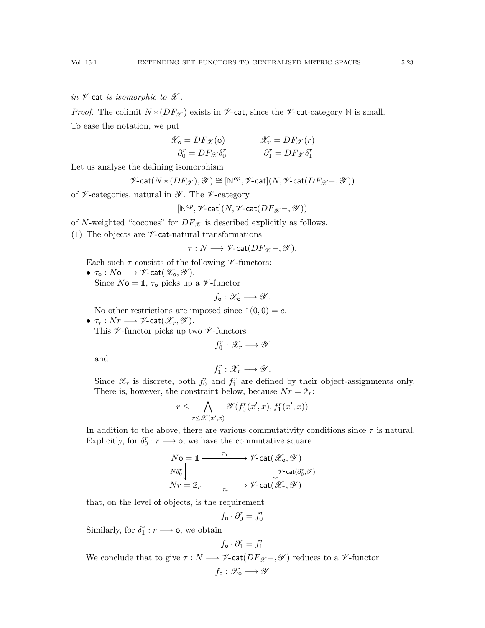*Proof.* The colimit  $N * (DF_{\mathcal{X}})$  exists in  $\nu$ -cat, since the  $\nu$ -cat-category N is small. To ease the notation, we put

$$
\mathcal{X}_{o} = DF_{\mathcal{X}}(o) \qquad \qquad \mathcal{X}_{r} = DF_{\mathcal{X}}(r) \n\partial_{0}^{r} = DF_{\mathcal{X}}\delta_{0}^{r} \qquad \qquad \partial_{1}^{r} = DF_{\mathcal{X}}\delta_{1}^{r}
$$

Let us analyse the defining isomorphism

$$
\mathscr{V}\text{-}\mathrm{cat}(N\ast (DF_{\mathscr{X}}), \mathscr{Y})\cong [\mathbb{N}^{op},\mathscr{V}\text{-}\mathrm{cat}](N,\mathscr{V}\text{-}\mathrm{cat}(DF_{\mathscr{X}}-, \mathscr{Y}))
$$

of  $\nu$ -categories, natural in  $\nu$ . The  $\nu$ -category

$$
[\mathbb{N}^{op},\mathscr{V}\text{-}\mathsf{cat}](N,\mathscr{V}\text{-}\mathsf{cat}(DF_{\mathscr{X}}\text{-},\mathscr{Y}))
$$

of N-weighted "cocones" for  $DF_{\mathscr{X}}$  is described explicitly as follows.

(1) The objects are  $\nu$ -cat-natural transformations

$$
\tau: N \longrightarrow \mathscr{V}\text{-}\mathrm{cat}(DF_{\mathscr{X}}-, \mathscr{Y}).
$$

Each such  $\tau$  consists of the following  $\nu$ -functors:

•  $\tau_{\mathsf{o}} : N \mathsf{o} \longrightarrow \mathscr{V}$ -cat $(\mathscr{X}_{\mathsf{o}}, \mathscr{Y})$ . Since  $N$ **o** = 1,  $\tau$ <sub>o</sub> picks up a  $\mathscr V$ -functor

$$
f_{\mathsf{o}}: \mathscr{X}_{\mathsf{o}} \longrightarrow \mathscr{Y}.
$$

No other restrictions are imposed since  $\mathbb{1}(0,0) = e$ .

•  $\tau_r: Nr\longrightarrow\mathscr{V}\text{-}\mathsf{cat}(\mathscr{X}_r,\mathscr{Y}).$ This  $\nu$ -functor picks up two  $\nu$ -functors

 $f_0^r: \mathscr{X}_r \longrightarrow \mathscr{Y}$ 

and

$$
f_1^r:\mathscr{X}_r\longrightarrow \mathscr{Y}.
$$

Since  $\mathscr{X}_r$  is discrete, both  $f_0^r$  and  $f_1^r$  are defined by their object-assignments only. There is, however, the constraint below, because  $Nr = 2r$ :

$$
r \leq \bigwedge_{r \leq \mathscr{X}(x',x)} \mathscr{Y}(f_0^r(x',x), f_1^r(x',x))
$$

In addition to the above, there are various commutativity conditions since  $\tau$  is natural. Explicitly, for  $\delta_0^r : r \longrightarrow \infty$ , we have the commutative square

$$
\begin{array}{l} N\mathbf{o}=\mathbb{1}\xrightarrow{\tau_{\mathbf{o}}}\longrightarrow \mathscr{V}\text{-}\mathrm{cat}(\mathscr{X}_{\mathbf{o}},\mathscr{Y})\\ \scriptstyle N\delta_{0}^{r}\bigcup\qquad \qquad \qquad \qquad \qquad \qquad \qquad \qquad \qquad \qquad \mathscr{V}\text{-}\mathrm{cat}(\partial_{0}^{r},\mathscr{Y})\\ Nr=2_{r}\xrightarrow{\tau_{r}}\longrightarrow \mathscr{V}\text{-}\mathrm{cat}(\mathscr{X}_{r},\mathscr{Y})\\ \end{array}
$$

that, on the level of objects, is the requirement

$$
f_{\mathsf{o}} \cdot \partial_0^r = f_0^r
$$

Similarly, for  $\delta_1^r : r \longrightarrow \mathsf{o}$ , we obtain

$$
f_{\mathsf{o}} \cdot \partial_1^r = f_1^r
$$

We conclude that to give  $\tau : N \longrightarrow \mathscr{V}\text{-cat}(DF_{\mathscr{X}}-, \mathscr{Y})$  reduces to a  $\mathscr{V}\text{-functor}$ 

$$
f_{\mathsf{o}}: \mathscr{X}_{\mathsf{o}} \longrightarrow \mathscr{Y}
$$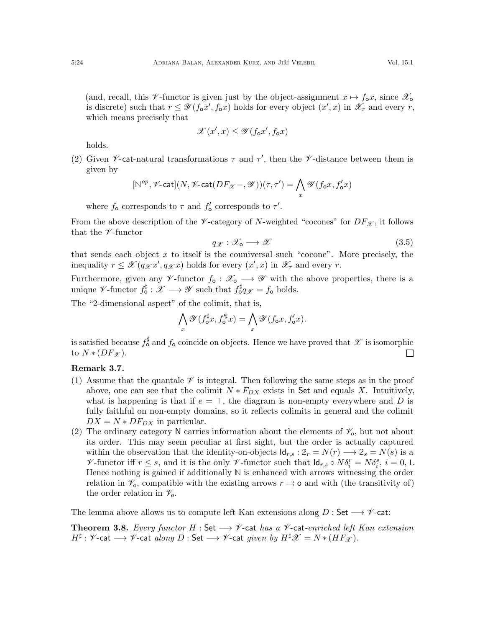(and, recall, this V-functor is given just by the object-assignment  $x \mapsto f_0 x$ , since  $\mathscr{X}_0$ is discrete) such that  $r \leq \mathscr{Y}(f_{\mathbf{o}}x', f_{\mathbf{o}}x)$  holds for every object  $(x', x)$  in  $\mathscr{X}_r$  and every r, which means precisely that

$$
\mathscr{X}(x',x) \le \mathscr{Y}(f_{\mathbf{o}}x',f_{\mathbf{o}}x)
$$

holds.

(2) Given  $\nu$ -cat-natural transformations  $\tau$  and  $\tau'$ , then the  $\nu$ -distance between them is given by

$$
[\mathbb{N}^{op},\mathscr{V}\text{-}\mathrm{cat}](N,\mathscr{V}\text{-}\mathrm{cat}(DF_{\mathscr{X}}-,\mathscr{Y}))(\tau,\tau')=\bigwedge_{x}\mathscr{Y}(f_{\mathbf{o}}x,f'_{\mathbf{o}}x)
$$

where  $f_0$  corresponds to  $\tau$  and  $f'_0$  corresponds to  $\tau'$ .

From the above description of the  $\nu$ -category of N-weighted "cocones" for  $DF_{\mathscr{X}}$ , it follows that the  $\nu$ -functor

<span id="page-23-1"></span>
$$
q_{\mathscr{X}}:\mathscr{X}_{\bullet}\longrightarrow\mathscr{X}\tag{3.5}
$$

that sends each object  $x$  to itself is the couniversal such "cocone". More precisely, the inequality  $r \leq \mathscr{X}(q_{\mathscr{X}}x', q_{\mathscr{X}}x)$  holds for every  $(x', x)$  in  $\mathscr{X}_r$  and every r.

Furthermore, given any  $\mathscr{V}\text{-}\text{functor } f_{\text{o}} : \mathscr{X}_{\text{o}} \longrightarrow \mathscr{Y}$  with the above properties, there is a unique *V*-functor  $f_0^{\sharp}: \mathscr{X} \longrightarrow \mathscr{Y}$  such that  $f_0^{\sharp}q_{\mathscr{X}} = f_0$  holds.

The "2-dimensional aspect" of the colimit, that is,

$$
\bigwedge_x \mathscr{Y}(f_{\mathsf{o}}^\sharp x, f_{\mathsf{o}}'^\sharp x) = \bigwedge_x \mathscr{Y}(f_{\mathsf{o}} x, f_{\mathsf{o}}' x).
$$

is satisfied because  $f_{\circ}^{\sharp}$  and  $f_{\circ}$  coincide on objects. Hence we have proved that  $\mathscr X$  is isomorphic to  $N*(DF_{\mathscr{X}}).$  $\Box$ 

# Remark 3.7.

- (1) Assume that the quantale  $\mathscr V$  is integral. Then following the same steps as in the proof above, one can see that the colimit  $N * F_{DX}$  exists in Set and equals X. Intuitively, what is happening is that if  $e = \top$ , the diagram is non-empty everywhere and D is fully faithful on non-empty domains, so it reflects colimits in general and the colimit  $DX = N * DF_{DX}$  in particular.
- (2) The ordinary category N carries information about the elements of  $\mathcal{V}_o$ , but not about its order. This may seem peculiar at first sight, but the order is actually captured within the observation that the identity-on-objects  $\mathsf{Id}_{r,s} : 2_r = N(r) \longrightarrow 2_s = N(s)$  is a V-functor iff  $r \leq s$ , and it is the only V-functor such that  $\mathsf{Id}_{r,s} \circ N \delta_i^r = N \delta_i^s$ ,  $i = 0, 1$ . Hence nothing is gained if additionally **N** is enhanced with arrows witnessing the order relation in  $\mathcal{V}_o$ , compatible with the existing arrows  $r \rightrightarrows$  o and with (the transitivity of) the order relation in  $\mathcal{V}_o$ .

The lemma above allows us to compute left Kan extensions along  $D : Set \longrightarrow \mathscr{V}$ -cat:

<span id="page-23-0"></span>**Theorem 3.8.** Every functor H : Set  $\rightarrow \mathcal{V}$ -cat has a  $\mathcal{V}$ -cat-enriched left Kan extension  $H^\sharp: \mathscr{V}\text{-}\mathsf{cat} \longrightarrow \mathscr{V}\text{-}\mathsf{cat} \textit{ along } D: \mathsf{Set} \longrightarrow \mathscr{V}\text{-}\mathsf{cat} \textit{ given } \textit{by } H^\sharp \mathscr{X} = N*(HF_{\mathscr{X}}).$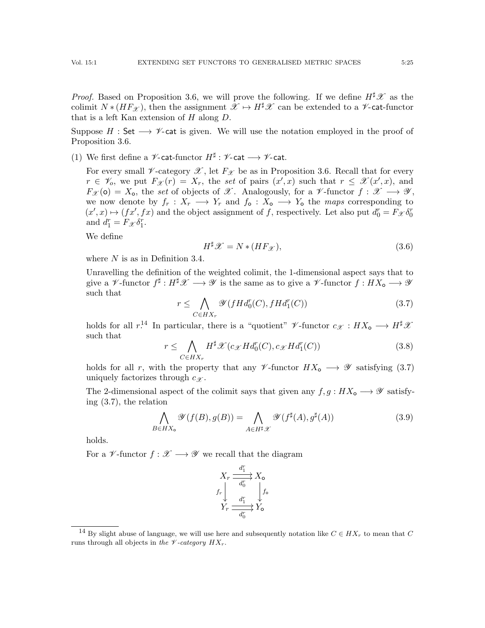*Proof.* Based on Proposition [3.6,](#page-21-1) we will prove the following. If we define  $H^{\sharp}\mathscr{X}$  as the colimit  $N * (HF_{\mathscr{X}})$ , then the assignment  $\mathscr{X} \mapsto H^{\sharp} \mathscr{X}$  can be extended to a  $\mathscr{V}$ -cat-functor that is a left Kan extension of  $H$  along  $D$ .

Suppose  $H : \mathsf{Set} \longrightarrow \mathscr{V}$ -cat is given. We will use the notation employed in the proof of Proposition [3.6.](#page-21-1)

<span id="page-24-5"></span>(1) We first define a  $\nu$ -cat-functor  $H^{\sharp}$  :  $\nu$ -cat  $\longrightarrow \nu$ -cat.

For every small  $\nu$ -category  $\mathscr X$ , let  $F_{\mathscr X}$  be as in Proposition [3.6.](#page-21-1) Recall that for every  $r \in \mathscr{V}_o$ , we put  $F_{\mathscr{X}}(r) = X_r$ , the set of pairs  $(x', x)$  such that  $r \leq \mathscr{X}(x', x)$ , and  $F_{\mathscr{X}}(\mathsf{o}) = X_{\mathsf{o}}$ , the set of objects of  $\mathscr{X}$ . Analogously, for a  $\mathscr{V}\text{-}\mathrm{functor } f: \mathscr{X} \longrightarrow \mathscr{Y}$ , we now denote by  $f_r : X_r \longrightarrow Y_r$  and  $f_o : X_o \longrightarrow Y_o$  the maps corresponding to  $(x', x) \mapsto (fx', fx)$  and the object assignment of f, respectively. Let also put  $d_0^r = F_{\mathscr{X}} \delta_0^r$ and  $d_1^r = F_{\mathcal{X}} \delta_1^r$ .

We define

<span id="page-24-4"></span>
$$
H^{\sharp}\mathscr{X} = N \ast (HF_{\mathscr{X}}),\tag{3.6}
$$

where  $N$  is as in Definition [3.4.](#page-21-0)

Unravelling the definition of the weighted colimit, the 1-dimensional aspect says that to give a  $\mathscr V$ -functor  $f^\sharp: H^\sharp\mathscr X\longrightarrow \mathscr Y$  is the same as to give a  $\mathscr V$ -functor  $f: HX_\mathsf{o}\longrightarrow \mathscr Y$ such that

<span id="page-24-1"></span>
$$
r \leq \bigwedge_{C \in HX_r} \mathcal{Y}(fHd_0^r(C), fHd_1^r(C))
$$
\n(3.7)

holds for all  $r^{14}$  $r^{14}$  $r^{14}$  In particular, there is a "quotient"  $\mathscr V$ -functor  $c_{\mathscr X}: HX_{\mathsf{o}} \longrightarrow H^{\sharp} \mathscr X$ such that

<span id="page-24-3"></span>
$$
r \leq \bigwedge_{C \in HX_r} H^{\sharp} \mathcal{X}(c_{\mathcal{X}} H d_0^r(C), c_{\mathcal{X}} H d_1^r(C))
$$
\n(3.8)

holds for all r, with the property that any  $\mathscr V$ -functor  $HX_\sigma \longrightarrow \mathscr Y$  satisfying [\(3.7\)](#page-24-1) uniquely factorizes through  $c_{\mathscr{X}}$ .

The 2-dimensional aspect of the colimit says that given any  $f, g : H X_{o} \longrightarrow \mathscr{Y}$  satisfying [\(3.7\)](#page-24-1), the relation

<span id="page-24-2"></span>
$$
\bigwedge_{B \in HX_0} \mathcal{Y}(f(B), g(B)) = \bigwedge_{A \in H^{\sharp} \mathcal{X}} \mathcal{Y}(f^{\sharp}(A), g^{\sharp}(A))
$$
\n(3.9)

holds.

For a  $\mathscr V$ -functor  $f : \mathscr X \longrightarrow \mathscr Y$  we recall that the diagram

$$
\begin{array}{ccc}\nX_r \xrightarrow{d_1^r} X_{\mathsf{o}} \\
f_r \downarrow \xrightarrow{d_0^r} f_{\mathsf{o}} \\
Y_r \xrightarrow{d_1^r} Y_{\mathsf{o}}\n\end{array}
$$

<span id="page-24-0"></span><sup>&</sup>lt;sup>14</sup> By slight abuse of language, we will use here and subsequently notation like  $C \in HX_r$  to mean that C runs through all objects in the  $\mathscr V$ -category  $HX_r$ .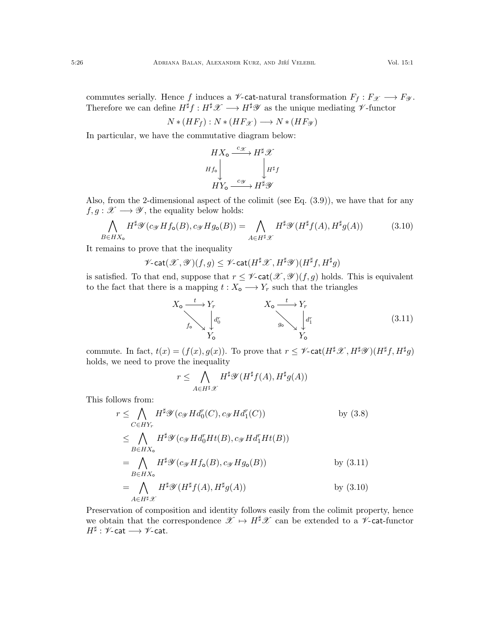commutes serially. Hence f induces a  $\mathscr V\text{-}$  cat-natural transformation  $F_f:F_{\mathscr X}\longrightarrow F_{\mathscr Y}.$ Therefore we can define  $H^{\sharp}f : H^{\sharp}\mathscr{X} \longrightarrow H^{\sharp}\mathscr{Y}$  as the unique mediating  $\mathscr{V}\text{-functor}$ 

$$
N * (HF_f) : N * (HF_{\mathcal{X}}) \longrightarrow N * (HF_{\mathcal{Y}})
$$

In particular, we have the commutative diagram below:

$$
HX_o \xrightarrow{c \mathscr{X}} H^{\sharp} \mathscr{X}
$$
  

$$
Hf_o \downarrow H^{\sharp}f
$$
  

$$
HY_o \xrightarrow{c \mathscr{Y}} H^{\sharp} \mathscr{Y}
$$

Also, from the 2-dimensional aspect of the colimit (see Eq. [\(3.9\)](#page-24-2)), we have that for any  $f, g: \mathscr{X} \longrightarrow \mathscr{Y}$ , the equality below holds:

<span id="page-25-1"></span>
$$
\bigwedge_{B \in HX_0} H^{\sharp}\mathscr{Y}(c_{\mathscr{Y}} Hf_{\mathsf{o}}(B), c_{\mathscr{Y}} Hg_{\mathsf{o}}(B)) = \bigwedge_{A \in H^{\sharp}\mathscr{X}} H^{\sharp}\mathscr{Y}(H^{\sharp}f(A), H^{\sharp}g(A))
$$
(3.10)

It remains to prove that the inequality

 $\mathscr V\text{-}\mathsf{cat}(\mathscr X,\mathscr Y)(f,g)\leq \mathscr V\text{-}\mathsf{cat}(H^\sharp\mathscr X,H^\sharp\mathscr Y)(H^\sharp f,H^\sharp g)$ 

is satisfied. To that end, suppose that  $r \leq \mathscr{V}\text{-cat}(\mathscr{X}, \mathscr{Y})(f, g)$  holds. This is equivalent to the fact that there is a mapping  $t : X_{o} \longrightarrow Y_{r}$  such that the triangles

<span id="page-25-0"></span>
$$
X_{\mathbf{o}} \xrightarrow{t} Y_{r} \qquad X_{\mathbf{o}} \xrightarrow{t} Y_{r} \qquad \qquad X_{\mathbf{o}} \xrightarrow{t} Y_{r} \qquad \qquad X_{\mathbf{o}} \xrightarrow{d_{\mathbf{r}}^{T}} \begin{bmatrix} d_{\mathbf{r}}^{r} \\ d_{\mathbf{r}}^{r} \\ Y_{\mathbf{o}} \end{bmatrix} \qquad (3.11)
$$

commute. In fact,  $t(x) = (f(x), g(x))$ . To prove that  $r \leq \mathscr{V}\text{-cat}(H^{\sharp}\mathscr{X}, H^{\sharp}\mathscr{Y})(H^{\sharp}f, H^{\sharp}g)$ holds, we need to prove the inequality

$$
r \leq \bigwedge_{A \in H^{\sharp}\mathscr{X}} H^{\sharp}\mathscr{Y}(H^{\sharp}f(A), H^{\sharp}g(A))
$$

This follows from:

$$
r \leq \bigwedge_{C \in HY_r} H^{\sharp} \mathscr{Y}(c_{\mathscr{Y}} H d_0^r(C), c_{\mathscr{Y}} H d_1^r(C)) \qquad \text{by (3.8)}
$$
  
\n
$$
\leq \bigwedge_{B \in HX_o} H^{\sharp} \mathscr{Y}(c_{\mathscr{Y}} H d_0^r H t(B), c_{\mathscr{Y}} H d_1^r H t(B))
$$
  
\n
$$
= \bigwedge_{B \in HX_o} H^{\sharp} \mathscr{Y}(c_{\mathscr{Y}} H f_o(B), c_{\mathscr{Y}} H g_o(B)) \qquad \text{by (3.11)}
$$
  
\n
$$
= \bigwedge_{A \in H^{\sharp} \mathscr{X}} H^{\sharp} \mathscr{Y}(H^{\sharp} f(A), H^{\sharp} g(A)) \qquad \text{by (3.10)}
$$

Preservation of composition and identity follows easily from the colimit property, hence we obtain that the correspondence  $\mathscr{X} \mapsto H^{\sharp}\mathscr{X}$  can be extended to a  $\mathscr{V}\text{-cat-functor}$  $H^\sharp : \mathscr{V}\text{-}\mathsf{cat} \longrightarrow \mathscr{V}\text{-}\mathsf{cat}.$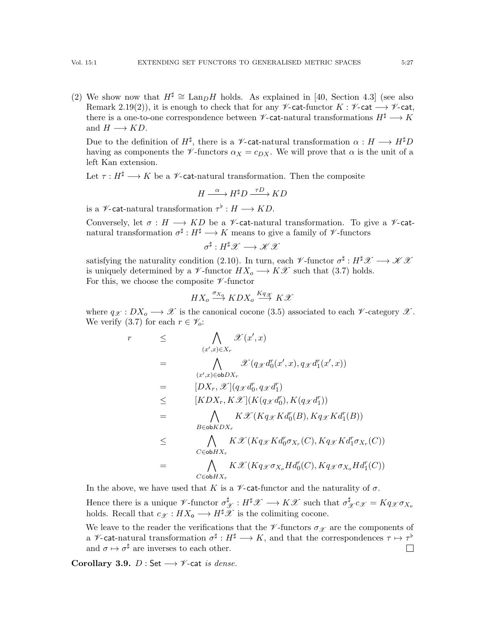(2) We show now that  $H^{\sharp} \cong \text{Lan}_D H$  holds. As explained in [\[40,](#page-55-5) Section 4.3] (see also Remark [2.19](#page-17-2)[\(2\)](#page-17-3)), it is enough to check that for any  $\mathscr V$ -cat-functor  $K : \mathscr V$ -cat $\longrightarrow \mathscr V$ -cat, there is a one-to-one correspondence between  $\mathscr{V}\text{-}\mathsf{cat}\text{-}$  natural transformations  $H^{\sharp} \longrightarrow K$ and  $H \longrightarrow KD$ .

Due to the definition of  $H^{\sharp}$ , there is a  $\mathscr{V}\text{-}$ **cat**-natural transformation  $\alpha: H \longrightarrow H^{\sharp}D$ having as components the  $\mathscr V$ -functors  $\alpha_X = c_{DX}$ . We will prove that  $\alpha$  is the unit of a left Kan extension.

Let  $\tau : H^{\sharp} \longrightarrow K$  be a  $\mathscr V$ -cat-natural transformation. Then the composite

$$
H \xrightarrow{\alpha} H^{\sharp} D \xrightarrow{\tau D} KD
$$

is a  $\mathscr{V}\text{-}\mathsf{cat}\text{-} \mathsf{natural}$  transformation  $\tau^\flat : H \longrightarrow KD$ .

Conversely, let  $\sigma : H \longrightarrow KD$  be a  $\mathscr V$ -cat-natural transformation. To give a  $\mathscr V$ -catnatural transformation  $\sigma^{\sharp}: H^{\sharp} \longrightarrow K$  means to give a family of  $\mathscr V$ -functors

 $\sigma^{\sharp}: H^{\sharp}\mathscr{X} \longrightarrow \mathscr{K}\mathscr{X}$ 

satisfying the naturality condition [\(2.10\)](#page-13-3). In turn, each  $\mathscr V$ -functor  $\sigma^{\sharp}: H^{\sharp}\mathscr X \longrightarrow \mathscr K\mathscr X$ is uniquely determined by a  $\mathscr V$ -functor  $HX_o \longrightarrow K\mathscr X$  such that [\(3.7\)](#page-24-1) holds. For this, we choose the composite  $\nu$ -functor

$$
HX_o \stackrel{\sigma_{X_Q}}{\longrightarrow} KDX_o \stackrel{Kq_{\mathscr{K}}}{\longrightarrow} K\mathscr{X}
$$

where  $q_{\mathscr{X}} : DX_o \longrightarrow \mathscr{X}$  is the canonical cocone [\(3.5\)](#page-23-1) associated to each  $\mathscr{V}$ -category  $\mathscr{X}$ . We verify [\(3.7\)](#page-24-1) for each  $r \in \mathscr{V}_o$ :

$$
r \leq \bigwedge_{(x',x)\in X_r} \mathcal{X}(x',x)
$$
  
\n
$$
= \bigwedge_{(x',x)\in \text{ob}DX_r} \mathcal{X}(q_{\mathcal{X}}d_0^r(x',x), q_{\mathcal{X}}d_1^r(x',x))
$$
  
\n
$$
= [DX_r, \mathcal{X}](q_{\mathcal{X}}d_0^r, q_{\mathcal{X}}d_1^r)
$$
  
\n
$$
\leq [KDX_r, K\mathcal{X}](K(q_{\mathcal{X}}d_0^r), K(q_{\mathcal{X}}d_1^r))
$$
  
\n
$$
= \bigwedge_{B\in \text{ob}KDX_r} K\mathcal{X}(Kq_{\mathcal{X}}Kd_0^r(B), Kq_{\mathcal{X}}Kd_1^r(B))
$$
  
\n
$$
\leq \bigwedge_{C\in \text{ob}HX_r} K\mathcal{X}(Kq_{\mathcal{X}}Kd_0^r\sigma_{X_r}(C), Kq_{\mathcal{X}}Kd_1^r\sigma_{X_r}(C))
$$
  
\n
$$
\subset_{\text{cb}HX_r} K\mathcal{X}(Kq_{\mathcal{X}}\sigma_{X_o}Hd_0^r(C), Kq_{\mathcal{X}}\sigma_{X_o}Hd_1^r(C))
$$

In the above, we have used that K is a  $\nu$ -cat-functor and the naturality of  $\sigma$ . Hence there is a unique  $\mathscr V$ -functor  $\sigma_{\mathscr X}^\sharp : H^\sharp \mathscr X \longrightarrow K\mathscr X$  such that  $\sigma_{\mathscr X}^\sharp c_{\mathscr X} = K q_{\mathscr X} \sigma_{X_o}$ holds. Recall that  $c_{\mathscr{X}} : HX_{\mathsf{o}} \longrightarrow H^{\sharp} \mathscr{X}$  is the colimiting cocone.

We leave to the reader the verifications that the  $\mathscr V$ -functors  $\sigma_{\mathscr X}$  are the components of a *V*-cat-natural transformation  $\sigma^{\sharp}: H^{\sharp} \longrightarrow K$ , and that the correspondences  $\tau \mapsto \tau^{\flat}$ and  $\sigma \mapsto \sigma^{\sharp}$  are inverses to each other.  $\Box$ 

<span id="page-26-0"></span>Corollary 3.9.  $D:$  Set  $\longrightarrow \mathscr{V}$ -cat is dense.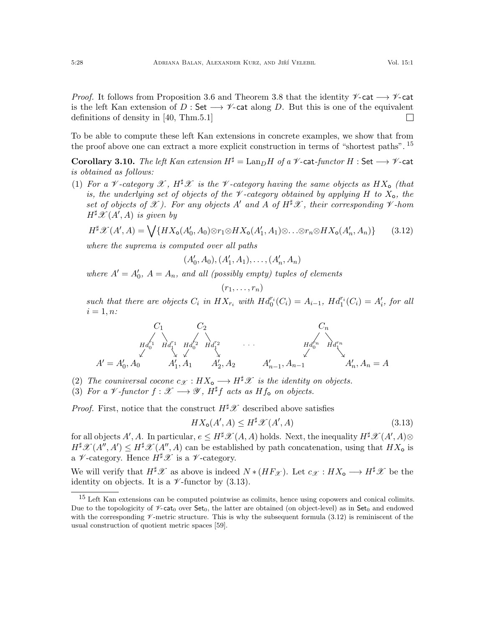*Proof.* It follows from Proposition [3.6](#page-21-1) and Theorem [3.8](#page-23-0) that the identity  $\mathscr{V}\text{-cat} \longrightarrow \mathscr{V}\text{-cat}$ is the left Kan extension of D : Set  $\longrightarrow \mathscr{V}$ -cat along D. But this is one of the equivalent definitions of density in [\[40,](#page-55-5) Thm.5.1]  $\Box$ 

To be able to compute these left Kan extensions in concrete examples, we show that from the proof above one can extract a more explicit construction in terms of "shortest paths". [15](#page-27-2)

<span id="page-27-1"></span>Corollary 3.10. The left Kan extension  $H^{\sharp} = \text{Lan}_D H$  of a  $\mathscr V$ -cat-functor  $H :$  Set  $\longrightarrow \mathscr V$ -cat is obtained as follows:

(1) For a V-category  $\mathscr{X}, H^{\sharp}\mathscr{X}$  is the V-category having the same objects as  $HX_{o}$  (that is, the underlying set of objects of the  $\mathcal V$ -category obtained by applying H to  $X_0$ , the set of objects of X). For any objects A' and A of  $H^{\sharp}\mathscr{X}$ , their corresponding  $\mathscr{V}$ -hom  $H^{\sharp}\mathscr{X}(A',A)$  is given by

<span id="page-27-0"></span>
$$
H^{\sharp}\mathscr{X}(A',A) = \bigvee \{HX_{\mathbf{o}}(A'_{0},A_{0}) \otimes r_{1} \otimes HX_{\mathbf{o}}(A'_{1},A_{1}) \otimes \ldots \otimes r_{n} \otimes HX_{\mathbf{o}}(A'_{n},A_{n})\} \tag{3.12}
$$

where the suprema is computed over all paths

$$
(A'_0, A_0), (A'_1, A_1), \ldots, (A'_n, A_n)
$$

where  $A' = A'_0$ ,  $A = A_n$ , and all (possibly empty) tuples of elements

$$
(r_1,\ldots,r_n)
$$

such that there are objects  $C_i$  in  $HX_{r_i}$  with  $Hd_0^{r_i}(C_i) = A_{i-1}$ ,  $Hd_1^{r_i}(C_i) = A'_i$ , for all  $i=1, n$ :

$$
C_1 C_2 C_n
$$
  
\n
$$
Hd_0^{r_1} Hd_1^{r_1} Hd_0^{r_2} Hd_1^{r_2}
$$
  
\n
$$
A' = A'_0, A_0
$$
  
\n
$$
A'_1, A_1 A'_2, A_2
$$
  
\n
$$
A'_{n-1}, A_{n-1}
$$
  
\n
$$
A'_{n-1} A'_{n-1}
$$
  
\n
$$
A'_n, A_n = A
$$

- (2) The couniversal cocone  $c_{\mathcal{X}} : HX_{o} \longrightarrow H^{\sharp} \mathcal{X}$  is the identity on objects.
- (3) For a V-functor  $f : \mathscr{X} \longrightarrow \mathscr{Y}$ ,  $H^{\sharp}f$  acts as  $Hf_{\mathsf{o}}$  on objects.

*Proof.* First, notice that the construct  $H^{\sharp}\mathscr{X}$  described above satisfies

<span id="page-27-3"></span>
$$
HX_{\mathsf{o}}(A', A) \le H^{\sharp} \mathcal{X}(A', A) \tag{3.13}
$$

for all objects  $A', A$ . In particular,  $e \le H^{\sharp} \mathscr{X}(A, A)$  holds. Next, the inequality  $H^{\sharp} \mathscr{X}(A', A) \otimes$  $H^{\sharp}\mathscr{X}(A'',A') \leq H^{\sharp}\mathscr{X}(A'',A)$  can be established by path concatenation, using that  $HX_{\mathbf{o}}$  is a  $\nu$ -category. Hence  $H^{\sharp}\mathscr{X}$  is a  $\nu$ -category.

We will verify that  $H^{\sharp}\mathscr{X}$  as above is indeed  $N*(HF_{\mathscr{X}})$ . Let  $c_{\mathscr{X}}: HX_{o} \longrightarrow H^{\sharp}\mathscr{X}$  be the identity on objects. It is a  $\mathscr V$ -functor by [\(3.13\)](#page-27-3).

<span id="page-27-2"></span><sup>15</sup> Left Kan extensions can be computed pointwise as colimits, hence using copowers and conical colimits. Due to the topologicity of  $\mathscr{V}\text{-}\text{cat}_0$  over  $\text{Set}_0$ , the latter are obtained (on object-level) as in  $\text{Set}_0$  and endowed with the corresponding  $\mathscr V$ -metric structure. This is why the subsequent formula [\(3.12\)](#page-27-0) is reminiscent of the usual construction of quotient metric spaces [\[59\]](#page-55-15).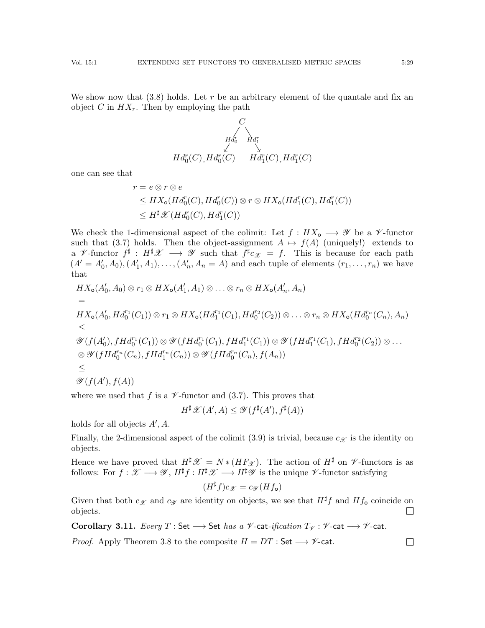We show now that  $(3.8)$  holds. Let r be an arbitrary element of the quantale and fix an object C in  $HX_r$ . Then by employing the path

$$
Hd_{0}^{r} \downarrow \qquad \downarrow \qquad \downarrow \qquad \downarrow \qquad Hd_{1}^{r} \downarrow
$$
  

$$
Hd_{0}^{r}(C), Hd_{0}^{r}(C) \qquad Hd_{1}^{r}(C), Hd_{1}^{r}(C)
$$

one can see that

$$
r = e \otimes r \otimes e
$$
  
\n
$$
\leq HX_{o}(Hd_{0}^{r}(C), Hd_{0}^{r}(C)) \otimes r \otimes HX_{o}(Hd_{1}^{r}(C), Hd_{1}^{r}(C))
$$
  
\n
$$
\leq H^{\sharp} \mathscr{X}(Hd_{0}^{r}(C), Hd_{1}^{r}(C))
$$

We check the 1-dimensional aspect of the colimit: Let  $f : HX_{o} \longrightarrow \mathscr{Y}$  be a  $\mathscr{V}$ -functor such that [\(3.7\)](#page-24-1) holds. Then the object-assignment  $A \mapsto f(A)$  (uniquely!) extends to a  $\mathscr V$ -functor  $f^{\sharp}: H^{\sharp}\mathscr X \longrightarrow \mathscr Y$  such that  $f^{\sharp}c_{\mathscr X} = f$ . This is because for each path  $(A' = A'_0, A_0), (A'_1, A_1), \ldots, (A'_n, A_n = A)$  and each tuple of elements  $(r_1, \ldots, r_n)$  we have that

$$
HX_{\mathbf{o}}(A'_{0}, A_{0}) \otimes r_{1} \otimes HX_{\mathbf{o}}(A'_{1}, A_{1}) \otimes \ldots \otimes r_{n} \otimes HX_{\mathbf{o}}(A'_{n}, A_{n})
$$
  
\n=  
\n
$$
HX_{\mathbf{o}}(A'_{0}, Hd_{0}^{r_{1}}(C_{1})) \otimes r_{1} \otimes HX_{\mathbf{o}}(Hd_{1}^{r_{1}}(C_{1}), Hd_{0}^{r_{2}}(C_{2})) \otimes \ldots \otimes r_{n} \otimes HX_{\mathbf{o}}(Hd_{0}^{r_{n}}(C_{n}), A_{n})
$$
  
\n
$$
\leq
$$
  
\n
$$
\mathscr{Y}(f(A'_{0}), fHd_{0}^{r_{1}}(C_{1})) \otimes \mathscr{Y}(fHd_{0}^{r_{1}}(C_{1}), fHd_{1}^{r_{1}}(C_{1})) \otimes \mathscr{Y}(fHd_{1}^{r_{1}}(C_{1}), fHd_{0}^{r_{2}}(C_{2})) \otimes \ldots
$$
  
\n
$$
\otimes \mathscr{Y}(fHd_{0}^{r_{n}}(C_{n}), fHd_{1}^{r_{n}}(C_{n})) \otimes \mathscr{Y}(fHd_{0}^{r_{n}}(C_{n}), f(A_{n}))
$$
  
\n
$$
\leq
$$
  
\n
$$
\mathscr{Y}(f(A'), f(A))
$$

where we used that f is a  $\mathscr V$ -functor and [\(3.7\)](#page-24-1). This proves that

$$
H^{\sharp} \mathscr{X}(A', A) \leq \mathscr{Y}(f^{\sharp}(A'), f^{\sharp}(A))
$$

holds for all objects  $A', A$ .

Finally, the 2-dimensional aspect of the colimit [\(3.9\)](#page-24-2) is trivial, because  $c_{\mathcal{X}}$  is the identity on objects.

Hence we have proved that  $H^{\sharp}\mathscr{X} = N * (HF_{\mathscr{X}})$ . The action of  $H^{\sharp}$  on  $\mathscr{V}$ -functors is as follows: For  $f: \mathscr{X} \longrightarrow \mathscr{Y}$ ,  $H^{\sharp}f: H^{\sharp} \mathscr{X} \longrightarrow H^{\sharp} \mathscr{Y}$  is the unique  $\mathscr{V}$ -functor satisfying

$$
(H^{\sharp}f)c_{\mathscr{X}}=c_{\mathscr{Y}}(Hf_{\mathsf{o}})
$$

Given that both  $c_{\mathcal{X}}$  and  $c_{\mathcal{Y}}$  are identity on objects, we see that  $H^{\sharp}f$  and  $Hf_{o}$  coincide on objects.  $\Box$ 

Corollary 3.11. Every  $T : \mathsf{Set} \longrightarrow \mathsf{Set}$  has a  $\mathscr{V}\text{-cat-ification } T_{\mathscr{V}} : \mathscr{V}\text{-cat} \longrightarrow \mathscr{V}\text{-cat}.$ 

*Proof.* Apply Theorem [3.8](#page-23-0) to the composite  $H = DT$  : Set  $\longrightarrow \mathscr{V}$ -cat.  $\Box$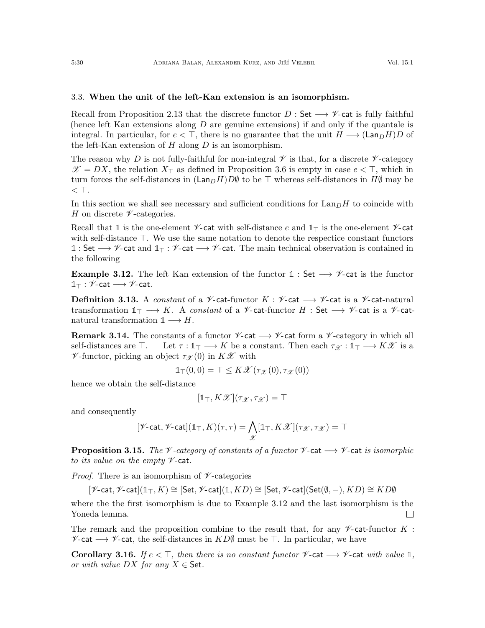# <span id="page-29-0"></span>3.3. When the unit of the left-Kan extension is an isomorphism.

Recall from Proposition [2.13](#page-15-0) that the discrete functor  $D : Set \longrightarrow \mathscr{V}$ -cat is fully faithful (hence left Kan extensions along  $D$  are genuine extensions) if and only if the quantale is integral. In particular, for  $e < \top$ , there is no guarantee that the unit  $H \longrightarrow (\text{Lan}_D H)D$  of the left-Kan extension of  $H$  along  $D$  is an isomorphism.

The reason why D is not fully-faithful for non-integral  $\mathscr V$  is that, for a discrete  $\mathscr V$ -category  $\mathscr{X} = DX$ , the relation  $X_{\top}$  as defined in Proposition [3.6](#page-21-1) is empty in case  $e \lt \top$ , which in turn forces the self-distances in  $(\text{Lan}_DH)D\emptyset$  to be  $\top$  whereas self-distances in  $H\emptyset$  may be  $<$  T.

In this section we shall see necessary and sufficient conditions for  $\text{Lan}_DH$  to coincide with H on discrete  $\nu$ -categories.

Recall that 1 is the one-element  $\nu$ -cat with self-distance e and  $1\tau$  is the one-element  $\nu$ -cat with self-distance  $\top$ . We use the same notation to denote the respective constant functors **1** : Set −→ V-cat and **1**<sup>&</sup>gt; : V-cat −→ V-cat. The main technical observation is contained in the following

<span id="page-29-1"></span>**Example 3.12.** The left Kan extension of the functor  $1:$  Set  $\rightarrow \mathscr{V}$ -cat is the functor  $1\!\!1$ <sup>T</sup> :  $\mathscr{V}$ -cat  $\longrightarrow \mathscr{V}$ -cat.

**Definition 3.13.** A constant of a  $\mathcal{V}$ -cat-functor K :  $\mathcal{V}$ -cat  $\rightarrow$   $\mathcal{V}$ -cat is a  $\mathcal{V}$ -cat-natural transformation  $1_{\top} \longrightarrow K$ . A constant of a  $\mathscr V$ -cat-functor H : Set  $\longrightarrow \mathscr V$ -cat is a  $\mathscr V$ -catnatural transformation  $1 \longrightarrow H$ .

**Remark 3.14.** The constants of a functor  $\mathscr{V}\text{-cat} \longrightarrow \mathscr{V}\text{-cat}$  form a  $\mathscr{V}\text{-category}$  in which all self-distances are  $\top$ . — Let  $\tau : \mathbb{1}_{\top} \longrightarrow K$  be a constant. Then each  $\tau_{\mathscr{X}} : \mathbb{1}_{\top} \longrightarrow K\mathscr{X}$  is a  $\mathscr V$ -functor, picking an object  $\tau_{\mathscr X}(0)$  in  $K\mathscr X$  with

$$
\mathbb{1}_{\top}(0,0) = \top \leq K\mathscr{X}(\tau_{\mathscr{X}}(0),\tau_{\mathscr{X}}(0))
$$

hence we obtain the self-distance

$$
[\mathbb{1}_{\top}, K\mathscr{X}](\tau_{\mathscr{X}}, \tau_{\mathscr{X}}) = \top
$$

and consequently

$$
[\mathscr{V}\text{-}\mathrm{cat},\mathscr{V}\text{-}\mathrm{cat}](\mathbb{1}_{\top},K)(\tau,\tau)=\bigwedge_{\mathscr{X}}[\mathbb{1}_{\top},K\mathscr{X}](\tau_{\mathscr{X}},\tau_{\mathscr{X}})=\top
$$

<span id="page-29-2"></span>**Proposition 3.15.** The V-category of constants of a functor V-cat  $\rightarrow$  V-cat is isomorphic to its value on the empty  $\nu$ -cat.

*Proof.* There is an isomorphism of  $\nu$ -categories

$$
[\mathscr{V}\text{-}\mathsf{cat},\mathscr{V}\text{-}\mathsf{cat}](\mathbb{1}_{\top},K)\cong [\mathsf{Set},\mathscr{V}\text{-}\mathsf{cat}](\mathbb{1},KD)\cong [\mathsf{Set},\mathscr{V}\text{-}\mathsf{cat}](\mathsf{Set}(\emptyset,-),KD)\cong KD\emptyset
$$

where the the first isomorphism is due to Example [3.12](#page-29-1) and the last isomorphism is the Yoneda lemma.  $\Box$ 

The remark and the proposition combine to the result that, for any  $\nu$ -cat-functor K :  $\mathscr{V}$ -cat, the self-distances in  $KD\emptyset$  must be  $\top$ . In particular, we have

Corollary 3.16. If  $e \leq \top$ , then there is no constant functor  $\mathcal V$ -cat  $\longrightarrow \mathcal V$ -cat with value 1, or with value  $DX$  for any  $X \in$  Set.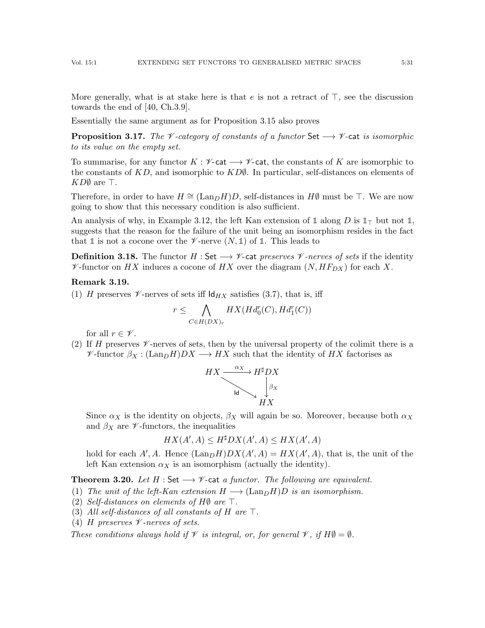More generally, what is at stake here is that  $e$  is not a retract of  $\top$ , see the discussion towards the end of [\[40,](#page-55-5) Ch.3.9].

Essentially the same argument as for Proposition [3.15](#page-29-2) also proves

<span id="page-30-1"></span>**Proposition 3.17.** The  $\mathcal V$ -category of constants of a functor Set  $\longrightarrow \mathcal V$ -cat is isomorphic to its value on the empty set.

To summarise, for any functor  $K : \mathscr{V}$ -cat  $\longrightarrow \mathscr{V}$ -cat, the constants of K are isomorphic to the constants of  $KD$ , and isomorphic to  $KD\ell$ . In particular, self-distances on elements of  $KD\emptyset$  are  $\top$ .

Therefore, in order to have  $H \cong (Lan_D H)D$ , self-distances in  $H\emptyset$  must be  $\top$ . We are now going to show that this necessary condition is also sufficient.

An analysis of why, in Example [3.12,](#page-29-1) the left Kan extension of 1 along  $D$  is  $1<sub>T</sub>$  but not 1, suggests that the reason for the failure of the unit being an isomorphism resides in the fact that  $\mathbb{1}$  is not a cocone over the  $\mathscr{V}$ -nerve  $(N, \mathbb{1})$  of  $\mathbb{1}$ . This leads to

**Definition 3.18.** The functor  $H : Set \longrightarrow \mathcal{V}$ -cat preserves  $\mathcal{V}$ -nerves of sets if the identity  $\mathscr V$ -functor on HX induces a cocone of HX over the diagram  $(N, HF_{DX})$  for each X.

#### <span id="page-30-2"></span>Remark 3.19.

(1) H preserves  $\nu$ -nerves of sets iff  $\mathsf{Id}_{HX}$  satisfies [\(3.7\)](#page-24-1), that is, iff

$$
r \leq \bigwedge_{C \in H(DX)_r} HX(Hd_0^r(C), Hd_1^r(C))
$$

for all  $r \in \mathscr{V}$ .

(2) If H preserves  $\mathscr V$ -nerves of sets, then by the universal property of the colimit there is a  $\mathscr V$ -functor  $\beta_X : (\text{Lan}_D H)DX \longrightarrow HX$  such that the identity of HX factorises as



Since  $\alpha_X$  is the identity on objects,  $\beta_X$  will again be so. Moreover, because both  $\alpha_X$ and  $\beta_X$  are  $\mathscr V$ -functors, the inequalities

$$
HX(A', A) \le H^{\sharp}DX(A', A) \le HX(A', A)
$$

hold for each  $A', A$ . Hence  $(\text{Lan}_D H)DX(A', A) = HX(A', A)$ , that is, the unit of the left Kan extension  $\alpha_X$  is an isomorphism (actually the identity).

<span id="page-30-0"></span>**Theorem 3.20.** Let  $H : \mathsf{Set} \longrightarrow \mathscr{V}$ -cat a functor. The following are equivalent.

(1) The unit of the left-Kan extension  $H \longrightarrow (Lan_DH)D$  is an isomorphism.

- (2) Self-distances on elements of  $H\emptyset$  are  $\top$ .
- (3) All self-distances of all constants of H are  $\top$ .
- (4) H preserves  $\nu$ -nerves of sets.

These conditions always hold if  $\mathcal V$  is integral, or, for general  $\mathcal V$ , if  $H\emptyset = \emptyset$ .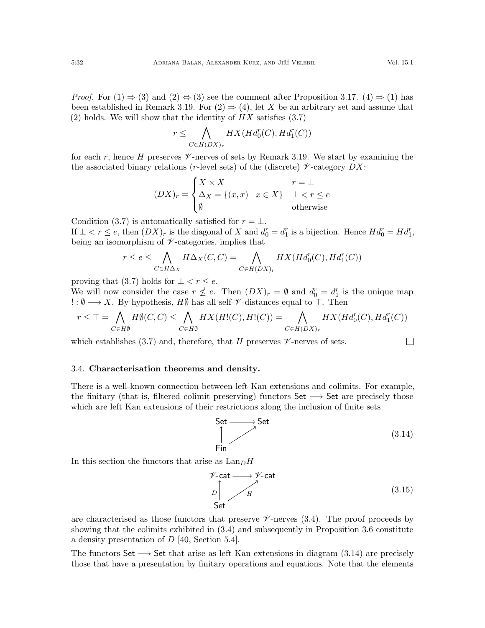*Proof.* For  $(1) \Rightarrow (3)$  and  $(2) \Leftrightarrow (3)$  see the comment after Proposition [3.17.](#page-30-1)  $(4) \Rightarrow (1)$  has been established in Remark [3.19.](#page-30-2) For  $(2) \Rightarrow (4)$ , let X be an arbitrary set and assume that (2) holds. We will show that the identity of  $HX$  satisfies [\(3.7\)](#page-24-1)

$$
r \leq \bigwedge_{C \in H(DX)_r} HX(Hd_0^r(C), Hd_1^r(C))
$$

for each r, hence H preserves  $\mathscr V$ -nerves of sets by Remark [3.19.](#page-30-2) We start by examining the the associated binary relations (r-level sets) of the (discrete)  $\mathscr V$ -category  $DX$ :

$$
(DX)_r = \begin{cases} X \times X & r = \bot \\ \Delta_X = \{(x, x) \mid x \in X\} & \bot < r \le e \\ \emptyset & \text{otherwise} \end{cases}
$$

Condition [\(3.7\)](#page-24-1) is automatically satisfied for  $r = \perp$ . If  $\bot < r \leq e$ , then  $(DX)_r$  is the diagonal of X and  $d_0^r = d_1^r$  is a bijection. Hence  $H d_0^r = H d_1^r$ , being an isomorphism of  $\nu$ -categories, implies that

$$
r \le e \le \bigwedge_{C \in H\Delta_X} H\Delta_X(C, C) = \bigwedge_{C \in H(DX)_r} HX(Hd_0^r(C), Hd_1^r(C))
$$

proving that [\(3.7\)](#page-24-1) holds for  $\bot < r \leq e$ .

We will now consider the case  $r \nleq e$ . Then  $(DX)_r = \emptyset$  and  $d_0^r = d_1^r$  is the unique map  $\therefore$  Ø → X. By hypothesis, HØ has all self- $\mathscr V$ -distances equal to  $\top$ . Then

$$
r \leq T = \bigwedge_{C \in H\emptyset} H\emptyset(C, C) \leq \bigwedge_{C \in H\emptyset} HX(H!(C), H!(C)) = \bigwedge_{C \in H(DX)_r} HX(Hd_0^r(C), Hd_1^r(C))
$$

which establishes [\(3.7\)](#page-24-1) and, therefore, that H preserves  $\mathscr V$ -nerves of sets.

### <span id="page-31-0"></span>3.4. Characterisation theorems and density.

There is a well-known connection between left Kan extensions and colimits. For example, the finitary (that is, filtered colimit preserving) functors  $Set \longrightarrow Set$  are precisely those which are left Kan extensions of their restrictions along the inclusion of finite sets

<span id="page-31-1"></span> $\mathsf{Set} \longrightarrow \mathsf{Set}$ Fin (3.14)

In this section the functors that arise as  $\text{Lan}_D H$ 

<span id="page-31-2"></span>
$$
\mathcal{V}\text{-cat} \longrightarrow \mathcal{V}\text{-cat}
$$
\n
$$
D \downarrow H
$$
\nSet\n(3.15)

are characterised as those functors that preserve  $\mathscr V$ -nerves [\(3.4\)](#page-21-2). The proof proceeds by showing that the colimits exhibited in [\(3.4\)](#page-21-2) and subsequently in Proposition [3.6](#page-21-1) constitute a density presentation of D [\[40,](#page-55-5) Section 5.4].

The functors Set  $\longrightarrow$  Set that arise as left Kan extensions in diagram [\(3.14\)](#page-31-1) are precisely those that have a presentation by finitary operations and equations. Note that the elements

 $\Box$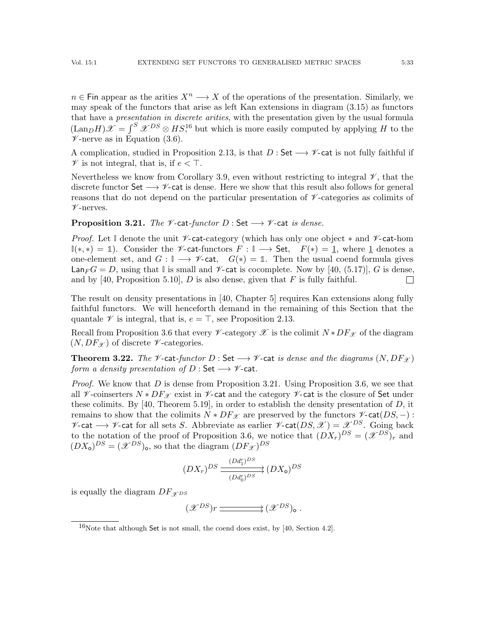$n \in \mathsf{Fin}$  appear as the arities  $X^n \longrightarrow X$  of the operations of the presentation. Similarly, we may speak of the functors that arise as left Kan extensions in diagram [\(3.15\)](#page-31-2) as functors that have a presentation in discrete arities, with the presentation given by the usual formula  $(\text{Lan}_D H)\mathscr{X} = \int^S \mathscr{X}^{DS} \otimes HS^{16}$  $(\text{Lan}_D H)\mathscr{X} = \int^S \mathscr{X}^{DS} \otimes HS^{16}$  $(\text{Lan}_D H)\mathscr{X} = \int^S \mathscr{X}^{DS} \otimes HS^{16}$  but which is more easily computed by applying H to the  $\mathscr{V}$ -nerve as in Equation [\(3.6\)](#page-24-4).

A complication, studied in Proposition [2.13,](#page-15-0) is that  $D:$  Set  $\longrightarrow \mathscr{V}$ -cat is not fully faithful if  $\mathscr V$  is not integral, that is, if  $e < \top$ .

Nevertheless we know from Corollary [3.9,](#page-26-0) even without restricting to integral  $\mathscr V$ , that the discrete functor Set  $\longrightarrow \mathscr{V}$ -cat is dense. Here we show that this result also follows for general reasons that do not depend on the particular presentation of  $\mathscr{V}\text{-categories}$  as colimits of  $\nu$ -nerves.

# <span id="page-32-2"></span>**Proposition 3.21.** The  $\mathcal V$ -cat-functor D : Set  $\longrightarrow \mathcal V$ -cat is dense.

Proof. Let I denote the unit <sup>y</sup>-cat-category (which has only one object  $*$  and <sup>y</sup>-cat-hom **I**(\*, \*) = 1). Consider the  $\mathscr V$ -cat-functors  $F : \mathbb I \longrightarrow$  Set,  $F(*) = 1$ , where 1 denotes a one-element set, and  $G : \mathbb{I} \longrightarrow \mathscr{V}$ -cat,  $G(*) = \mathbb{1}$ . Then the usual coend formula gives  $\textsf{Lan}_FG = D$ , using that  $\mathbb{I}$  is small and  $\mathscr{V}\text{-cat}$  is cocomplete. Now by [\[40,](#page-55-5) (5.17)], G is dense, and by [\[40,](#page-55-5) Proposition 5.10], D is also dense, given that F is fully faithful.  $\Box$ 

The result on density presentations in [\[40,](#page-55-5) Chapter 5] requires Kan extensions along fully faithful functors. We will henceforth demand in the remaining of this Section that the quantale  $\mathscr V$  is integral, that is,  $e = \top$ , see Proposition [2.13.](#page-15-0)

Recall from Proposition [3.6](#page-21-1) that every  $\mathscr V$ -category  $\mathscr X$  is the colimit  $N * DF_{\mathscr Y}$  of the diagram  $(N, DF_{\mathscr{X}})$  of discrete  $\nu$ -categories.

<span id="page-32-0"></span>**Theorem 3.22.** The  $\mathcal V$ -cat-functor D : Set  $\longrightarrow \mathcal V$ -cat is dense and the diagrams  $(N, DF_{\mathcal X})$ form a density presentation of  $D : \mathsf{Set} \longrightarrow \mathscr{V}$ -cat.

*Proof.* We know that  $D$  is dense from Proposition [3.21.](#page-32-2) Using Proposition [3.6,](#page-21-1) we see that all  $\mathcal V$ -coinserters  $N * DF_{\mathcal X}$  exist in  $\mathcal V$ -cat and the category  $\mathcal V$ -cat is the closure of Set under these colimits. By  $[40,$  Theorem 5.19], in order to establish the density presentation of D, it remains to show that the colimits  $N * DF_{\mathscr{X}}$  are preserved by the functors  $\mathscr{V}\text{-cat}(DS, -)$ :  $\mathscr{V}$ -cat →  $\mathscr{V}$ -cat for all sets S. Abbreviate as earlier  $\mathscr{V}$ -cat $(DS, \mathscr{X}) = \mathscr{X}^{DS}$ . Going back to the notation of the proof of Proposition [3.6,](#page-21-1) we notice that  $(DX_r)^{DS} = (\mathscr{X}^{DS})_r$  and  $(DX<sub>o</sub>)<sup>DS</sup> = (\mathscr{X}^{DS})<sub>o</sub>$ , so that the diagram  $(DF_{\mathscr{X}})^{DS}$ 

$$
(DX_r)^{DS} \xrightarrow{\left(Dd_1^r\right)^{DS}} \left(DX_o\right)^{DS}
$$

is equally the diagram  $DF_{\mathcal{X}^{DS}}$ 

 $(\mathscr{X}^{DS})r \longrightarrow (\mathscr{X}^{DS})_{\mathsf{o}}$ .

<span id="page-32-1"></span> $16$ Note that although Set is not small, the coend does exist, by [\[40,](#page-55-5) Section 4.2].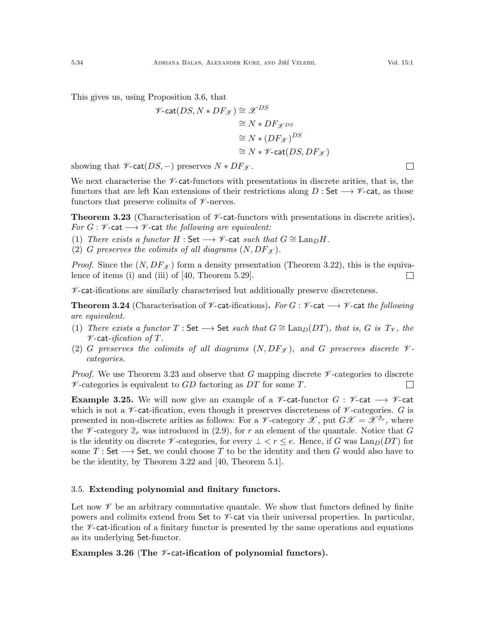This gives us, using Proposition [3.6,](#page-21-1) that

$$
\mathscr{V}\text{-cat}(DS, N * DF_{\mathscr{X}}) \cong \mathscr{X}^{DS}
$$

$$
\cong N * DF_{\mathscr{X}^{DS}}
$$

$$
\cong N * (DF_{\mathscr{X}})^{DS}
$$

$$
\cong N * \mathscr{V}\text{-cat}(DS, DF_{\mathscr{X}})
$$

showing that  $\mathscr{V}\text{-cat}(DS, -)$  preserves  $N * DF_{\mathscr{X}}$ .

We next characterise the  $\mathscr{V}\text{-cat-functors with presentations in discrete articles, that is, the}$ functors that are left Kan extensions of their restrictions along  $D:$  Set  $\longrightarrow \mathscr{V}$ -cat, as those functors that preserve colimits of  $\nu$ -nerves.

<span id="page-33-1"></span>**Theorem 3.23** (Characterisation of  $\mathcal{V}$ -cat-functors with presentations in discrete arities). For  $G: \mathscr{V}$ -cat  $\longrightarrow \mathscr{V}$ -cat the following are equivalent:

(1) There exists a functor  $H : \mathsf{Set} \longrightarrow \mathscr{V}$ -cat such that  $G \cong \text{Lan}_D H$ .

(2) G preserves the colimits of all diagrams  $(N, DF_{\mathcal{X}})$ .

*Proof.* Since the  $(N, DF_{\mathcal{X}})$  form a density presentation (Theorem [3.22\)](#page-32-0), this is the equivalence of items (i) and (iii) of [\[40,](#page-55-5) Theorem 5.29].  $\Box$ 

 $\nu$ -cat-ifications are similarly characterised but additionally preserve discreteness.

<span id="page-33-2"></span>**Theorem 3.24** (Characterisation of  $\mathcal V$ -cat-ifications). For  $G : \mathcal V$ -cat  $\longrightarrow \mathcal V$ -cat the following are equivalent.

- (1) There exists a functor  $T : \mathsf{Set} \longrightarrow \mathsf{Set}$  such that  $G \cong \text{Lan}_D(DT)$ , that is, G is  $T_{\mathscr{V}}$ , the  $\nu$ -cat-ification of T.
- (2) G preserves the colimits of all diagrams  $(N, DF_{\mathcal{X}})$ , and G preserves discrete  $\mathcal{V}$ categories.

*Proof.* We use Theorem [3.23](#page-33-1) and observe that G mapping discrete  $\mathscr V$ -categories to discrete  $\mathscr V$ -categories is equivalent to GD factoring as DT for some T.  $\Box$ 

<span id="page-33-3"></span>**Example 3.25.** We will now give an example of a  $\mathcal V$ -cat-functor  $G : \mathcal V$ -cat  $\longrightarrow \mathcal V$ -cat which is not a  $\nu$ -cat-ification, even though it preserves discreteness of  $\nu$ -categories. G is presented in non-discrete arities as follows: For a  $\mathscr V$ -category  $\mathscr X$ , put  $G\mathscr X = \mathscr X^{2_r}$ , where the  $\mathscr V$ -category  $2_r$  was introduced in [\(2.9\)](#page-11-1), for r an element of the quantale. Notice that G is the identity on discrete  $\mathscr V$ -categories, for every  $\bot < r \leq e$ . Hence, if G was Lan $_D(DT)$  for some T : Set  $\longrightarrow$  Set, we could choose T to be the identity and then G would also have to be the identity, by Theorem [3.22](#page-32-0) and [\[40,](#page-55-5) Theorem 5.1].

## <span id="page-33-0"></span>3.5. Extending polynomial and finitary functors.

Let now  $\mathscr V$  be an arbitrary commutative quantale. We show that functors defined by finite powers and colimits extend from Set to  $\mathscr V$ -cat via their universal properties. In particular, the  $\mathscr V$ -cat-ification of a finitary functor is presented by the same operations and equations as its underlying Set-functor.

<span id="page-33-4"></span>Examples 3.26 (The  $\mathcal V$ -cat-ification of polynomial functors).

 $\Box$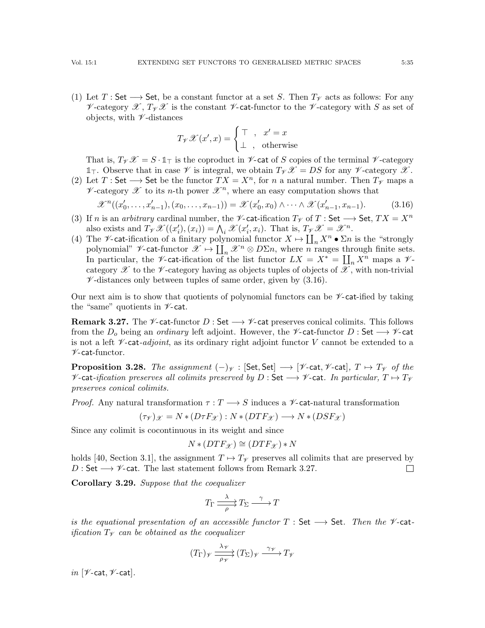(1) Let T : Set  $\longrightarrow$  Set, be a constant functor at a set S. Then  $T_V$  acts as follows: For any V-category  $\mathscr{X}, T_{\mathscr{Y}}\mathscr{X}$  is the constant V-cat-functor to the V-category with S as set of objects, with  $\nu$ -distances

$$
T_{\mathscr{V}}\mathscr{X}(x',x) = \begin{cases} \top , & x' = x \\ \bot , & \text{otherwise} \end{cases}
$$

That is,  $T_{\mathcal{V}}\mathcal{X} = S \cdot \mathbb{1}_{T}$  is the coproduct in  $\mathcal{V}$ -cat of S copies of the terminal  $\mathcal{V}$ -category  $\mathbb{1}_{\mathcal{T}}$ . Observe that in case  $\mathcal{V}$  is integral, we obtain  $T_{\mathcal{V}}\mathcal{X} = DS$  for any  $\mathcal{V}$ -category  $\mathcal{X}$ .

(2) Let T: Set  $\longrightarrow$  Set be the functor  $TX = X^n$ , for n a natural number. Then  $T_V$  maps a  $\nu$ -category  $\mathscr X$  to its *n*-th power  $\mathscr X^n$ , where an easy computation shows that

<span id="page-34-0"></span>
$$
\mathcal{X}^{n}((x'_{0},...,x'_{n-1}),(x_{0},...,x_{n-1})) = \mathcal{X}(x'_{0},x_{0}) \wedge \cdots \wedge \mathcal{X}(x'_{n-1},x_{n-1}). \tag{3.16}
$$

- (3) If n is an arbitrary cardinal number, the  $\mathscr{V}\text{-cat-ification }T_{\mathscr{V}}$  of T : Set  $\longrightarrow$  Set,  $TX = X^n$ also exists and  $T_{\mathcal{V}}\mathcal{X}((x_i'),(x_i)) = \bigwedge_i \mathcal{X}(x_i',x_i)$ . That is,  $T_{\mathcal{V}}\mathcal{X} = \mathcal{X}^n$ .
- (4) The *V*-cat-ification of a finitary polynomial functor  $X \mapsto \coprod_n X^n \bullet \Sigma n$  is the "strongly" polynomial"  $\mathscr{V}\text{-cat-functor }\mathscr{X}\mapsto \coprod_n \mathscr{X}^n\otimes D\Sigma_n$ , where n ranges through finite sets. In particular, the  $\mathscr V$ -cat-ification of the list functor  $LX = X^* = \coprod_n X^n$  maps a  $\mathscr V$ category  $\mathscr X$  to the  $\mathscr V$ -category having as objects tuples of objects of  $\mathscr X$ , with non-trivial  $\mathscr{V}$ -distances only between tuples of same order, given by [\(3.16\)](#page-34-0).

Our next aim is to show that quotients of polynomial functors can be  $\nu$ -cat-ified by taking the "same" quotients in  $\nu$ -cat.

<span id="page-34-1"></span>**Remark 3.27.** The  $\mathscr V$ -cat-functor D : Set  $\longrightarrow \mathscr V$ -cat preserves conical colimits. This follows from the  $D_0$  being an *ordinary* left adjoint. However, the  $\mathscr V$ -cat-functor D : Set  $\longrightarrow \mathscr V$ -cat is not a left  $\mathscr V$ -cat-adjoint, as its ordinary right adjoint functor V cannot be extended to a  $\nu$ -cat-functor.

<span id="page-34-3"></span>**Proposition 3.28.** The assignment  $(-)_{\mathcal{V}}$  : [Set, Set]  $\longrightarrow$  [ $\mathcal{V}$ -cat,  $\mathcal{V}$ -cat],  $T \mapsto T_{\mathcal{V}}$  of the  $\mathscr V$ -cat-ification preserves all colimits preserved by D : Set  $\longrightarrow \mathscr V$ -cat. In particular,  $T \mapsto T_{\mathscr V}$ preserves conical colimits.

*Proof.* Any natural transformation  $\tau : T \longrightarrow S$  induces a  $\mathscr V$ -cat-natural transformation

$$
(\tau_{\mathscr{V}})_{\mathscr{X}} = N * (D\tau F_{\mathscr{X}}) : N * (DTF_{\mathscr{X}}) \longrightarrow N * (DSF_{\mathscr{X}})
$$

Since any colimit is cocontinuous in its weight and since

$$
N * (DTF_{\mathcal{X}}) \cong (DTF_{\mathcal{X}}) * N
$$

holds [\[40,](#page-55-5) Section 3.1], the assignment  $T \mapsto T_{\mathscr{V}}$  preserves all colimits that are preserved by D : Set  $\longrightarrow \mathscr{V}$ -cat. The last statement follows from Remark [3.27.](#page-34-1)  $\Box$ 

<span id="page-34-2"></span>Corollary 3.29. Suppose that the coequalizer

$$
T_{\Gamma} \xrightarrow{\lambda} T_{\Sigma} \xrightarrow{\gamma} T
$$

is the equational presentation of an accessible functor  $T : Set \longrightarrow Set$ . Then the  $\mathscr V$ -catification  $T<sub>\mathcal{V}</sub>$  can be obtained as the coequalizer

$$
(T_{\Gamma})_{\mathscr{V}} \xrightarrow[\rho \mathscr{V}]{\lambda \mathscr{V}} (T_{\Sigma})_{\mathscr{V}} \xrightarrow{\gamma \mathscr{V}} T_{\mathscr{V}}
$$

in  $[\mathcal{V}\text{-}\mathsf{cat}, \mathcal{V}\text{-}\mathsf{cat}]$ .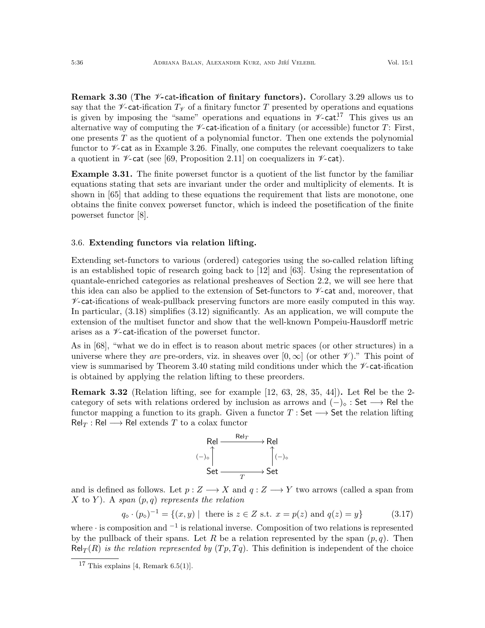**Remark 3.30 (The**  $\mathcal{V}$ **-cat-ification of finitary functors).** Corollary [3.29](#page-34-2) allows us to say that the  $\mathscr V$ -cat-ification  $T_\mathscr V$  of a finitary functor T presented by operations and equations is given by imposing the "same" operations and equations in  $\mathscr{V}\text{-cat}^{17}$  $\mathscr{V}\text{-cat}^{17}$  $\mathscr{V}\text{-cat}^{17}$ . This gives us an alternative way of computing the  $\mathscr V$ -cat-ification of a finitary (or accessible) functor T: First, one presents  $T$  as the quotient of a polynomial functor. Then one extends the polynomial functor to  $\mathscr V$ -cat as in Example [3.26.](#page-33-4) Finally, one computes the relevant coequalizers to take a quotient in  $\nu$ -cat (see [\[69,](#page-56-5) Proposition 2.11] on coequalizers in  $\nu$ -cat).

Example 3.31. The finite powerset functor is a quotient of the list functor by the familiar equations stating that sets are invariant under the order and multiplicity of elements. It is shown in [\[65\]](#page-56-6) that adding to these equations the requirement that lists are monotone, one obtains the finite convex powerset functor, which is indeed the posetification of the finite powerset functor [\[8\]](#page-54-3).

#### <span id="page-35-0"></span>3.6. Extending functors via relation lifting.

Extending set-functors to various (ordered) categories using the so-called relation lifting is an established topic of research going back to [\[12\]](#page-54-13) and [\[63\]](#page-56-7). Using the representation of quantale-enriched categories as relational presheaves of Section [2.2,](#page-7-0) we will see here that this idea can also be applied to the extension of Set-functors to  $\mathscr V$ -cat and, moreover, that  $\mathcal V$ -cat-ifications of weak-pullback preserving functors are more easily computed in this way. In particular, [\(3.18\)](#page-36-0) simplifies [\(3.12\)](#page-27-0) significantly. As an application, we will compute the extension of the multiset functor and show that the well-known Pompeiu-Hausdorff metric arises as a  $\nu$ -cat-ification of the powerset functor.

As in [\[68\]](#page-56-3), "what we do in effect is to reason about metric spaces (or other structures) in a universe where they are pre-orders, viz. in sheaves over  $[0,\infty]$  (or other  $\mathscr V$ )." This point of view is summarised by Theorem [3.40](#page-39-0) stating mild conditions under which the  $\nu$ -cat-ification is obtained by applying the relation lifting to these preorders.

Remark 3.32 (Relation lifting, see for example [\[12,](#page-54-13) [63,](#page-56-7) [28,](#page-54-14) [35,](#page-55-16) [44\]](#page-55-17)). Let Rel be the 2 category of sets with relations ordered by inclusion as arrows and  $(-)_\circ$ : Set  $\longrightarrow$  Rel the functor mapping a function to its graph. Given a functor  $T : Set \longrightarrow Set$  the relation lifting  $Rel_T : Rel \longrightarrow Rel$  extends T to a colax functor



and is defined as follows. Let  $p: Z \longrightarrow X$  and  $q: Z \longrightarrow Y$  two arrows (called a span from X to Y). A span  $(p,q)$  represents the relation

<span id="page-35-2"></span>
$$
q_{\diamond} \cdot (p_{\diamond})^{-1} = \{(x, y) \mid \text{ there is } z \in Z \text{ s.t. } x = p(z) \text{ and } q(z) = y\}
$$
 (3.17)

where · is composition and <sup>−</sup><sup>1</sup> is relational inverse. Composition of two relations is represented by the pullback of their spans. Let R be a relation represented by the span  $(p, q)$ . Then  $\text{Rel}_T(R)$  is the relation represented by  $(Tp, Tq)$ . This definition is independent of the choice

<span id="page-35-1"></span><sup>&</sup>lt;sup>17</sup> This explains [\[4,](#page-54-15) Remark  $6.5(1)$ ].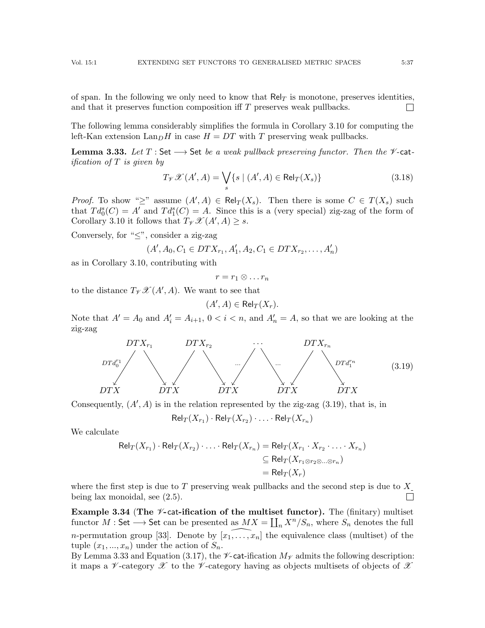of span. In the following we only need to know that  $\text{Rel}_T$  is monotone, preserves identities, and that it preserves function composition iff T preserves weak pullbacks.  $\overline{\phantom{a}}$ 

The following lemma considerably simplifies the formula in Corollary [3.10](#page-27-1) for computing the left-Kan extension  $\text{Lan}_D H$  in case  $H = DT$  with T preserving weak pullbacks.

<span id="page-36-1"></span>**Lemma 3.33.** Let  $T$ : Set  $\longrightarrow$  Set be a weak pullback preserving functor. Then the  $\mathcal V$ -catification of T is given by

<span id="page-36-0"></span>
$$
T_{\mathscr{V}}\mathscr{X}(A',A) = \bigvee_{s} \{ s \mid (A',A) \in \text{Rel}_T(X_s) \}
$$
\n(3.18)

*Proof.* To show " $\geq$ " assume  $(A', A) \in Rel_T(X_s)$ . Then there is some  $C \in T(X_s)$  such that  $Td_0^s(C) = A'$  and  $Td_1^s(C) = A$ . Since this is a (very special) zig-zag of the form of Corollary [3.10](#page-27-1) it follows that  $T_{\mathscr{V}}\mathscr{X}(A',A) \geq s$ .

Conversely, for " $\leq$ ", consider a zig-zag

$$
(A', A_0, C_1 \in DTX_{r_1}, A'_1, A_2, C_1 \in DTX_{r_2}, \dots, A'_n)
$$

as in Corollary [3.10,](#page-27-1) contributing with

$$
r=r_1\otimes \ldots r_n
$$

to the distance  $T_{\mathscr{V}}\mathscr{X}(A',A)$ . We want to see that

$$
(A', A) \in \mathsf{Rel}_T(X_r).
$$

Note that  $A' = A_0$  and  $A'_i = A_{i+1}$ ,  $0 < i < n$ , and  $A'_n = A$ , so that we are looking at the zig-zag

<span id="page-36-2"></span>

Consequently,  $(A', A)$  is in the relation represented by the zig-zag  $(3.19)$ , that is, in

 $\mathsf{Rel}_T(X_{r_1}) \cdot \mathsf{Rel}_T(X_{r_2}) \cdot \ldots \cdot \mathsf{Rel}_T(X_{r_n})$ 

We calculate

$$
Rel_T(X_{r_1}) \cdot Rel_T(X_{r_2}) \cdot \ldots \cdot Rel_T(X_{r_n}) = Rel_T(X_{r_1} \cdot X_{r_2} \cdot \ldots \cdot X_{r_n})
$$
  
\n
$$
\subseteq Rel_T(X_{r_1 \otimes r_2 \otimes \ldots \otimes r_n})
$$
  
\n
$$
= Rel_T(X_r)
$$

where the first step is due to T preserving weak pullbacks and the second step is due to  $X$ . being lax monoidal, see [\(2.5\)](#page-8-1).  $\Box$ 

Example 3.34 (The  $\mathscr V$ -cat-ification of the multiset functor). The (finitary) multiset functor  $M :$  Set  $\longrightarrow$  Set can be presented as  $MX = \coprod_n X^n/S_n$ , where  $S_n$  denotes the full *n*-permutation group [\[33\]](#page-55-18). Denote by  $[x_1, \ldots, x_n]$  the equivalence class (multiset) of the tuple  $(x_1, ..., x_n)$  under the action of  $S_n$ .

By Lemma [3.33](#page-36-1) and Equation [\(3.17\)](#page-35-2), the  $\mathscr{V}\text{-cat-ification }M_{\mathscr{V}}$  admits the following description: it maps a V-category  $\mathscr X$  to the V-category having as objects multisets of objects of  $\mathscr X$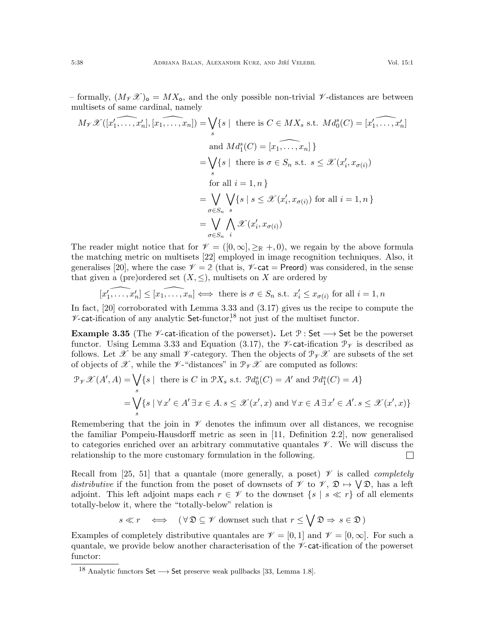$$
M_{\mathcal{V}}\mathcal{X}([x'_1, \dots, x'_n], [x_1, \dots, x_n]) = \bigvee_{s} \{s \mid \text{ there is } C \in MX_s \text{ s.t. } Md_0^s(C) = [x'_1, \dots, x'_n]
$$
  
\nand  $Md_1^s(C) = [x_1, \dots, x_n] \}$   
\n
$$
= \bigvee_{s} \{s \mid \text{ there is } \sigma \in S_n \text{ s.t. } s \leq \mathcal{X}(x'_i, x_{\sigma(i)})
$$
  
\nfor all  $i = 1, n \}$   
\n
$$
= \bigvee_{\sigma \in S_n} \bigvee_{s} \{s \mid s \leq \mathcal{X}(x'_i, x_{\sigma(i)}) \text{ for all } i = 1, n \}
$$
  
\n
$$
= \bigvee_{\sigma \in S_n} \bigwedge_{s} \mathcal{X}(x'_i, x_{\sigma(i)})
$$

The reader might notice that for  $\mathcal{V} = ([0,\infty], \geq_{\mathbb{R}} +, 0)$ , we regain by the above formula the matching metric on multisets [\[22\]](#page-54-16) employed in image recognition techniques. Also, it generalises [\[20\]](#page-54-17), where the case  $\mathscr{V} = 2$  (that is,  $\mathscr{V}$ -cat = Preord) was considered, in the sense that given a (pre)ordered set  $(X, \leq)$ , multisets on X are ordered by

$$
[x'_1, \dots, x'_n] \leq [x_1, \dots, x_n] \iff \text{there is } \sigma \in S_n \text{ s.t. } x'_i \leq x_{\sigma(i)} \text{ for all } i = 1, n
$$

In fact, [\[20\]](#page-54-17) corroborated with Lemma [3.33](#page-36-1) and [\(3.17\)](#page-35-2) gives us the recipe to compute the  $\nu$ -cat-ification of any analytic Set-functor,<sup>[18](#page-37-1)</sup> not just of the multiset functor.

<span id="page-37-0"></span>Example 3.35 (The  $\mathscr V$ -cat-ification of the powerset). Let  $\mathscr P$ : Set  $\longrightarrow$  Set be the powerset functor. Using Lemma [3.33](#page-36-1) and Equation [\(3.17\)](#page-35-2), the  $\mathscr{V}\text{-cat-ification }\mathcal{P}_{\mathscr{V}}$  is described as follows. Let X be any small  $\mathscr V$ -category. Then the objects of  $\mathscr V\mathscr X$  are subsets of the set of objects of  $\mathscr{X}$ , while the  $\mathscr{V}$ -"distances" in  $\mathscr{P}_{\mathscr{V}}\mathscr{X}$  are computed as follows:

$$
\mathcal{P}_{\mathcal{V}}\mathcal{X}(A',A) = \bigvee_{s} \{s \mid \text{ there is } C \text{ in } \mathcal{P}X_s \text{ s.t. } \mathcal{P}d_0^s(C) = A' \text{ and } \mathcal{P}d_1^s(C) = A\}
$$

$$
= \bigvee_{s} \{s \mid \forall x' \in A' \exists x \in A. s \le \mathcal{X}(x',x) \text{ and } \forall x \in A \exists x' \in A'. s \le \mathcal{X}(x',x)\}
$$

Remembering that the join in  $\mathscr V$  denotes the infimum over all distances, we recognise the familiar Pompeiu-Hausdorff metric as seen in [\[11,](#page-54-18) Definition 2.2], now generalised to categories enriched over an arbitrary commutative quantales  $\mathscr V$ . We will discuss the relationship to the more customary formulation in the following.  $\Box$ 

Recall from [\[25,](#page-54-19) [51\]](#page-55-19) that a quantale (more generally, a poset)  $\mathscr V$  is called *completely* distributive if the function from the poset of downsets of  $\mathscr V$  to  $\mathscr V$ ,  $\mathfrak D \mapsto \bigvee \mathfrak D$ , has a left adjoint. This left adjoint maps each  $r \in \mathscr{V}$  to the downset  $\{s \mid s \ll r\}$  of all elements totally-below it, where the "totally-below" relation is

$$
s \ll r \iff (\forall \mathfrak{D} \subseteq \mathscr{V} \text{ downset such that } r \leq \bigvee \mathfrak{D} \Rightarrow s \in \mathfrak{D})
$$

Examples of completely distributive quantales are  $\mathcal{V} = [0, 1]$  and  $\mathcal{V} = [0, \infty]$ . For such a quantale, we provide below another characterisation of the  $\mathscr{V}\text{-cat-ification}$  of the powerset functor:

multisets of same cardinal, namely

<span id="page-37-1"></span><sup>&</sup>lt;sup>18</sup> Analytic functors Set  $\longrightarrow$  Set preserve weak pullbacks [\[33,](#page-55-18) Lemma 1.8].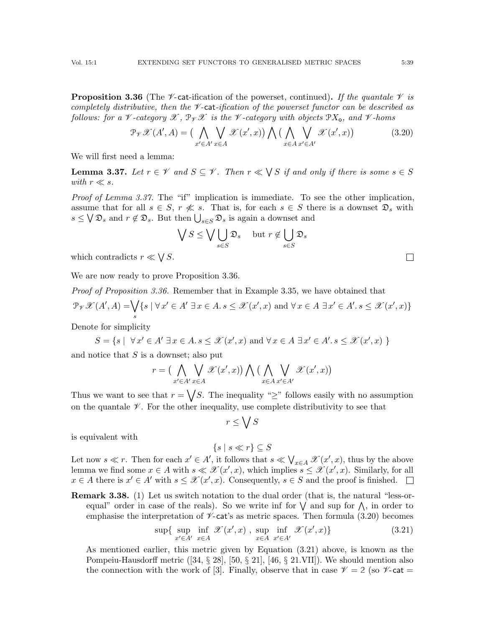<span id="page-38-1"></span>**Proposition 3.36** (The *V*-cat-ification of the powerset, continued). If the quantale  $\mathcal V$  is completely distributive, then the  $\nu$ -cat-ification of the powerset functor can be described as follows: for a  $\mathcal V$ -category  $\mathscr X$ ,  $\mathscr P_Y\mathscr X$  is the  $\mathscr V$ -category with objects  $\mathscr PX_{\mathsf o}$ , and  $\mathscr V$ -homs

<span id="page-38-2"></span>
$$
\mathcal{P}_{\mathcal{V}}\mathcal{X}(A',A) = \left(\bigwedge_{x'\in A'} \bigvee_{x\in A} \mathcal{X}(x',x)\right) \bigwedge \left(\bigwedge_{x\in A} \bigvee_{x'\in A'} \mathcal{X}(x',x)\right) \tag{3.20}
$$

We will first need a lemma:

<span id="page-38-0"></span>**Lemma 3.37.** Let  $r \in \mathcal{V}$  and  $S \subseteq \mathcal{V}$ . Then  $r \ll \bigvee S$  if and only if there is some  $s \in S$ with  $r \ll s$ .

Proof of Lemma [3.37.](#page-38-0) The "if" implication is immediate. To see the other implication, assume that for all  $s \in S$ ,  $r \nless s$ . That is, for each  $s \in S$  there is a downset  $\mathfrak{D}_s$  with  $s \leq \bigvee \mathfrak{D}_s$  and  $r \notin \mathfrak{D}_s$ . But then  $\bigcup_{s \in S} \mathfrak{D}_s$  is again a downset and

$$
\bigvee S \le \bigvee \bigcup_{s \in S} \mathfrak{D}_s \quad \text{ but } r \notin \bigcup_{s \in S} \mathfrak{D}_s
$$

which contradicts  $r \ll \bigvee S$ .

We are now ready to prove Proposition [3.36.](#page-38-1)

Proof of Proposition [3.36.](#page-38-1) Remember that in Example [3.35,](#page-37-0) we have obtained that  $\mathcal{P}_{\mathscr{V}}\mathscr{X}(A',A)=\bigvee$ s  $\{s \mid \forall x' \in A' \exists x \in A. s \leq \mathcal{X}(x',x) \text{ and } \forall x \in A \exists x' \in A'. s \leq \mathcal{X}(x',x)\}\$ 

Denote for simplicity

 $S = \{ s \mid \forall x' \in A' \exists x \in A \ldotp s \leq \mathcal{X}(x',x) \text{ and } \forall x \in A \exists x' \in A' \ldotp s \leq \mathcal{X}(x',x) \}$ 

and notice that  $S$  is a downset; also put

$$
r = \big(\bigwedge_{x' \in A'} \bigvee_{x \in A} \mathscr{X}(x',x)\big) \bigwedge \big(\bigwedge_{x \in A} \bigvee_{x' \in A'} \mathscr{X}(x',x)\big)
$$

Thus we want to see that  $r = \sqrt{S}$ . The inequality "≥" follows easily with no assumption on the quantale  $\mathscr V$ . For the other inequality, use complete distributivity to see that

$$
r \leq \bigvee S
$$

is equivalent with

$$
\{s \mid s \ll r\} \subseteq S
$$

Let now  $s \ll r$ . Then for each  $x' \in A'$ , it follows that  $s \ll \bigvee_{x \in A} \mathcal{X}(x', x)$ , thus by the above lemma we find some  $x \in A$  with  $s \ll \mathcal{X}(x', x)$ , which implies  $s \leq \mathcal{X}(x', x)$ . Similarly, for all  $x \in A$  there is  $x' \in A'$  with  $s \leq \mathcal{X}(x', x)$ . Consequently,  $s \in S$  and the proof is finished.

Remark 3.38. (1) Let us switch notation to the dual order (that is, the natural "less-orequal" order in case of the reals). So we write inf for  $\vee$  and sup for  $\wedge$ , in order to emphasise the interpretation of  $\mathscr{V}\text{-}\mathsf{cat}$ 's as metric spaces. Then formula [\(3.20\)](#page-38-2) becomes

<span id="page-38-3"></span>
$$
\sup\{\sup_{x'\in A'} \inf_{x\in A} \mathcal{X}(x',x), \sup_{x\in A} \inf_{x'\in A'} \mathcal{X}(x',x)\}\
$$
\n(3.21)

As mentioned earlier, this metric given by Equation [\(3.21\)](#page-38-3) above, is known as the Pompeiu-Hausdorff metric  $([34, \S 28], [50, \S 21], [46, \S 21. \text{VII}])$  $([34, \S 28], [50, \S 21], [46, \S 21. \text{VII}])$  $([34, \S 28], [50, \S 21], [46, \S 21. \text{VII}])$  $([34, \S 28], [50, \S 21], [46, \S 21. \text{VII}])$  $([34, \S 28], [50, \S 21], [46, \S 21. \text{VII}])$  $([34, \S 28], [50, \S 21], [46, \S 21. \text{VII}])$  $([34, \S 28], [50, \S 21], [46, \S 21. \text{VII}])$ . We should mention also the connection with the work of [\[3\]](#page-54-20). Finally, observe that in case  $\mathscr{V} = 2$  (so  $\mathscr{V}$ -cat =

 $\Box$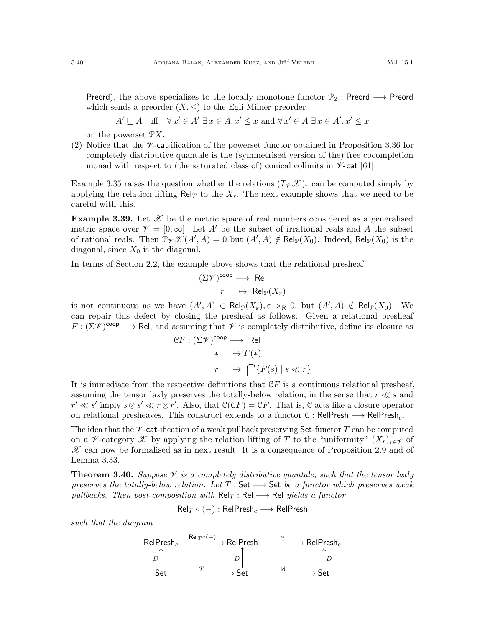$$
A' \sqsubseteq A \quad \text{iff} \quad \forall x' \in A' \; \exists x \in A. \; x' \le x \text{ and } \forall x' \in A \; \exists x \in A'. \; x' \le x
$$

on the powerset PX.

(2) Notice that the  $\mathscr{V}\text{-catification}$  of the powerset functor obtained in Proposition [3.36](#page-38-1) for completely distributive quantale is the (symmetrised version of the) free cocompletion monad with respect to (the saturated class of) conical colimits in  $\nu$ -cat [\[61\]](#page-56-8).

Example [3.35](#page-37-0) raises the question whether the relations  $(T_{\mathcal{V}}\mathcal{X})_r$  can be computed simply by applying the relation lifting Rel<sub>T</sub> to the  $X_r$ . The next example shows that we need to be careful with this.

**Example 3.39.** Let  $\mathcal{X}$  be the metric space of real numbers considered as a generalised metric space over  $\mathcal{V} = [0, \infty]$ . Let A' be the subset of irrational reals and A the subset of rational reals. Then  $\mathcal{P}_{\mathscr{V}}\mathscr{X}(A',A) = 0$  but  $(A',A) \notin \mathsf{Rel}_{\mathcal{P}}(X_0)$ . Indeed,  $\mathsf{Rel}_{\mathcal{P}}(X_0)$  is the diagonal, since  $X_0$  is the diagonal.

In terms of Section [2.2,](#page-7-0) the example above shows that the relational presheaf

$$
\begin{array}{rcl} (\Sigma \mathscr{V})^{\operatorname{coop}} \longrightarrow & \operatorname{Rel} \\ r & \mapsto & \operatorname{Rel}_{\mathscr{P}}(X_r) \end{array}
$$

is not continuous as we have  $(A', A) \in \text{Rel}_{\mathcal{P}}(X_{\varepsilon}), \varepsilon >_{\mathbb{R}} 0$ , but  $(A', A) \notin \text{Rel}_{\mathcal{P}}(X_0)$ . We can repair this defect by closing the presheaf as follows. Given a relational presheaf  $F : (\Sigma \mathscr{V})^{coop} \longrightarrow \text{Rel},$  and assuming that  $\mathscr{V}$  is completely distributive, define its closure as

$$
CF: (\Sigma \mathcal{V})^{coop} \longrightarrow \text{Rel}
$$

$$
* \longrightarrow F(*)
$$

$$
r \longrightarrow \bigcap \{F(s) \mid s \ll r\}
$$

It is immediate from the respective definitions that  $\mathcal{C}F$  is a continuous relational presheaf, assuming the tensor laxly preserves the totally-below relation, in the sense that  $r \ll s$  and  $r' \ll s'$  imply  $s \otimes s' \ll r \otimes r'$ . Also, that  $\mathcal{C}(\mathcal{C}F) = \mathcal{C}F$ . That is,  $\mathcal{C}$  acts like a closure operator on relational presheaves. This construct extends to a functor  $C : \mathsf{RelPresh} \longrightarrow \mathsf{RelPresh}_c$ .

The idea that the  $\mathscr V$ -cat-ification of a weak pullback preserving Set-functor T can be computed on a V-category X by applying the relation lifting of T to the "uniformity"  $(X_r)_{r \in \mathscr{V}}$  of  $\mathscr X$  can now be formalised as in next result. It is a consequence of Proposition [2.9](#page-10-0) and of Lemma [3.33.](#page-36-1)

<span id="page-39-0"></span>**Theorem 3.40.** Suppose  $\mathscr V$  is a completely distributive quantale, such that the tensor laxly preserves the totally-below relation. Let  $T : Set \longrightarrow Set$  be a functor which preserves weak pullbacks. Then post-composition with  $\text{Rel}_T : \text{Rel} \longrightarrow \text{Rel}$  yields a functor

$$
\mathsf{Rel}_T \circ (-): \mathsf{RelPresh}_c \longrightarrow \mathsf{RelPresh}
$$

such that the diagram

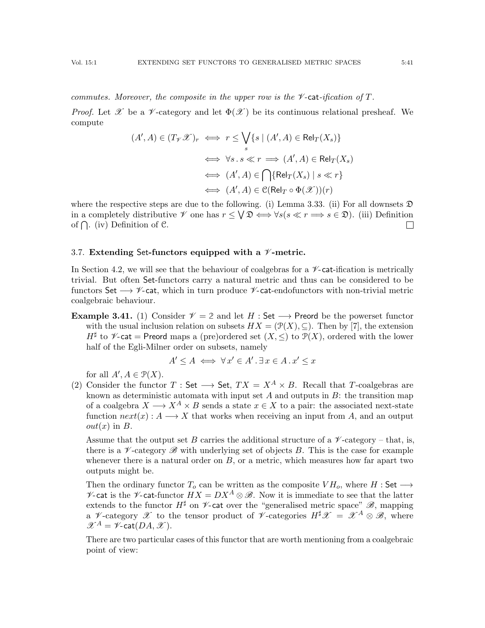commutes. Moreover, the composite in the upper row is the  $\nu$ -cat-ification of T.

*Proof.* Let  $\mathscr X$  be a  $\mathscr V$ -category and let  $\Phi(\mathscr X)$  be its continuous relational presheaf. We compute

$$
(A', A) \in (T_{\mathcal{V}}\mathcal{X})_r \iff r \leq \bigvee_{s} \{s \mid (A', A) \in Rel_T(X_s)\}
$$

$$
\iff \forall s \, . \, s \ll r \implies (A', A) \in Rel_T(X_s)
$$

$$
\iff (A', A) \in \bigcap \{Rel_T(X_s) \mid s \ll r\}
$$

$$
\iff (A', A) \in \mathcal{C}(Rel_T \circ \Phi(\mathcal{X}))(r)
$$

where the respective steps are due to the following. (i) Lemma [3.33.](#page-36-1) (ii) For all downsets  $\mathfrak D$ in a completely distributive  $\mathscr V$  one has  $r \leq \bigvee \mathfrak{D} \iff \forall s (s \ll r \Longrightarrow s \in \mathfrak{D})$ . (iii) Definition of  $\bigcap$ . (iv) Definition of C.  $\Box$ 

#### <span id="page-40-0"></span>3.7. Extending Set-functors equipped with a  $\not\!\!\! \nu$ -metric.

In Section [4.2,](#page-49-0) we will see that the behaviour of coalgebras for a  $\mathscr{V}\text{-cat-ification}$  is metrically trivial. But often Set-functors carry a natural metric and thus can be considered to be functors Set  $\longrightarrow \mathscr{V}$ -cat, which in turn produce  $\mathscr{V}$ -cat-endofunctors with non-trivial metric coalgebraic behaviour.

**Example 3.41.** (1) Consider  $\mathcal{V} = 2$  and let H : Set  $\longrightarrow$  Preord be the powerset functor with the usual inclusion relation on subsets  $HX = (\mathcal{P}(X), \subseteq)$ . Then by [\[7\]](#page-54-21), the extension  $H^{\sharp}$  to  $\mathscr{V}\text{-}\mathsf{cat} = \mathsf{Preord}$  maps a (pre)ordered set  $(X, \leq)$  to  $\mathcal{P}(X)$ , ordered with the lower half of the Egli-Milner order on subsets, namely

$$
A' \le A \iff \forall x' \in A'. \exists x \in A. x' \le x
$$

for all  $A', A \in \mathcal{P}(X)$ .

<span id="page-40-1"></span>(2) Consider the functor T : Set  $\longrightarrow$  Set,  $TX = X^A \times B$ . Recall that T-coalgebras are known as deterministic automata with input set  $A$  and outputs in  $B$ : the transition map of a coalgebra  $X \longrightarrow X^A \times B$  sends a state  $x \in X$  to a pair: the associated next-state function  $next(x): A \longrightarrow X$  that works when receiving an input from A, and an output  $out(x)$  in B.

Assume that the output set B carries the additional structure of a  $\nu$ -category – that, is, there is a  $\mathcal V$ -category  $\mathscr B$  with underlying set of objects B. This is the case for example whenever there is a natural order on  $B$ , or a metric, which measures how far apart two outputs might be.

Then the ordinary functor  $T_o$  can be written as the composite  $V H_o$ , where  $H : Set \longrightarrow$  $\mathscr V$ -cat is the  $\mathscr V$ -cat-functor  $HX = DX^A \otimes \mathscr B$ . Now it is immediate to see that the latter extends to the functor  $H^{\sharp}$  on  $\nu$ -cat over the "generalised metric space"  $\mathscr{B}$ , mapping a V-category X to the tensor product of V-categories  $H^{\sharp}\mathscr{X} = \mathscr{X}^{A} \otimes \mathscr{B}$ , where  $\mathscr{X}^{A} = \mathscr{V}$ -cat $(DA, \mathscr{X})$ .

There are two particular cases of this functor that are worth mentioning from a coalgebraic point of view: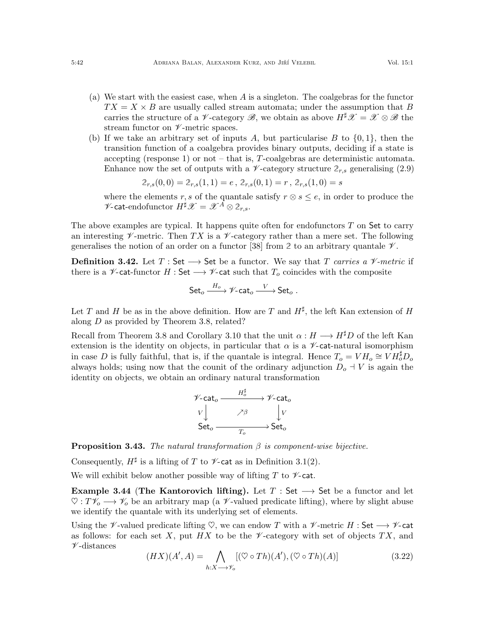- <span id="page-41-2"></span>(a) We start with the easiest case, when A is a singleton. The coalgebras for the functor  $TX = X \times B$  are usually called stream automata; under the assumption that B carries the structure of a  $\mathscr V$ -category  $\mathscr B$ , we obtain as above  $H^{\sharp}\mathscr X = \mathscr X \otimes \mathscr B$  the stream functor on  $\nu$ -metric spaces.
- <span id="page-41-3"></span>(b) If we take an arbitrary set of inputs A, but particularise B to  $\{0, 1\}$ , then the transition function of a coalgebra provides binary outputs, deciding if a state is accepting (response 1) or not – that is, T-coalgebras are deterministic automata. Enhance now the set of outputs with a  $\mathscr V$ -category structure  $2_{r,s}$  generalising [\(2.9\)](#page-11-1)

$$
2_{r,s}(0,0) = 2_{r,s}(1,1) = e, 2_{r,s}(0,1) = r, 2_{r,s}(1,0) = s
$$

where the elements r, s of the quantale satisfy  $r \otimes s \leq e$ , in order to produce the  $\mathscr{V}$ -cat-endofunctor  $H^{\sharp}\mathscr{X}=\mathscr{X}^{A}\otimes\mathscr{Z}_{r,s}.$ 

The above examples are typical. It happens quite often for endofunctors  $T$  on Set to carry an interesting  $\mathscr V$ -metric. Then TX is a  $\mathscr V$ -category rather than a mere set. The following generalises the notion of an order on a functor [\[38\]](#page-55-3) from 2 to an arbitrary quantale  $\mathcal V$ .

**Definition 3.42.** Let  $T : Set \longrightarrow Set$  be a functor. We say that T carries a V-metric if there is a  $\mathscr V$ -cat-functor H : Set  $\longrightarrow \mathscr V$ -cat such that  $T_o$  coincides with the composite

$$
{\sf Set}_o \xrightarrow{H_o} {\mathscr V} \text{-}{\sf cat}_o \xrightarrow{V} {\sf Set}_o \;.
$$

Let T and H be as in the above definition. How are T and  $H^{\sharp}$ , the left Kan extension of H along D as provided by Theorem [3.8,](#page-23-0) related?

Recall from Theorem [3.8](#page-23-0) and Corollary [3.10](#page-27-1) that the unit  $\alpha : H \longrightarrow H^{\sharp}D$  of the left Kan extension is the identity on objects, in particular that  $\alpha$  is a  $\nu$ -cat-natural isomorphism in case D is fully faithful, that is, if the quantale is integral. Hence  $T_o = V H_o \cong V H_o^{\sharp} D_o$ always holds; using now that the counit of the ordinary adjunction  $D_0 + V$  is again the identity on objects, we obtain an ordinary natural transformation

$$
\begin{array}{ccc}\n\mathscr{V}\text{-}\mathrm{cat}_o & \xrightarrow{H_o^{\sharp}} & \mathscr{V}\text{-}\mathrm{cat}_o \\
V & \nearrow \beta & & V \\
\text{Set}_o & \xrightarrow{T_o} & \text{Set}_o\n\end{array}
$$

<span id="page-41-1"></span>**Proposition 3.43.** The natural transformation  $\beta$  is component-wise bijective.

Consequently,  $H^{\sharp}$  is a lifting of T to  $\mathscr V$ -cat as in Definition [3.1\(](#page-18-2)[2\)](#page-18-3).

We will exhibit below another possible way of lifting  $T$  to  $\nu$ -cat.

Example 3.44 (The Kantorovich lifting). Let  $T : Set \longrightarrow Set$  be a functor and let  $\heartsuit: T\mathscr{V}_o \longrightarrow \mathscr{V}_o$  be an arbitrary map (a  $\mathscr{V}$ -valued predicate lifting), where by slight abuse we identify the quantale with its underlying set of elements.

Using the  $\mathscr V$ -valued predicate lifting  $\heartsuit$ , we can endow T with a  $\mathscr V$ -metric H : Set  $\longrightarrow \mathscr V$ -cat as follows: for each set X, put HX to be the  $\mathscr V$ -category with set of objects TX, and  $\nu$ -distances

<span id="page-41-0"></span>
$$
(HX)(A', A) = \bigwedge_{h:X \longrightarrow \mathscr{V}_o} [(\heartsuit \circ Th)(A'), (\heartsuit \circ Th)(A)] \tag{3.22}
$$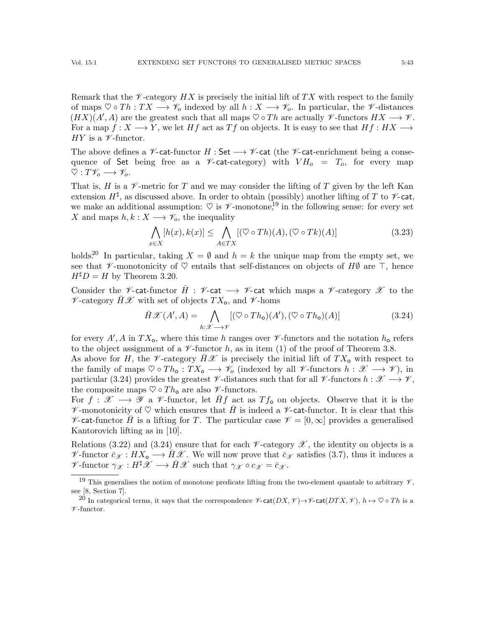Remark that the  $\mathscr V$ -category HX is precisely the initial lift of TX with respect to the family of maps  $\heartsuit \circ Th : TX \longrightarrow \mathscr{V}_o$  indexed by all  $h : X \longrightarrow \mathscr{V}_o$ . In particular, the  $\mathscr{V}$ -distances  $(HX)(A', A)$  are the greatest such that all maps  $\heartsuit \circ Th$  are actually  $\not\!\mathscr{V}$ -functors  $HX \longrightarrow \mathscr{V}$ . For a map  $f: X \longrightarrow Y$ , we let H f act as T f on objects. It is easy to see that  $Hf: HX \longrightarrow Y$  $HY$  is a  $\mathscr V$ -functor.

The above defines a  $\mathscr V$ -cat-functor H : Set  $\longrightarrow \mathscr V$ -cat (the  $\mathscr V$ -cat-enrichment being a consequence of Set being free as a  $\mathscr V$ -cat-category) with  $V H_o = T_o$ , for every map  $\heartsuit: T\mathscr{V}_o \longrightarrow \mathscr{V}_o.$ 

That is, H is a  $\mathscr V$ -metric for T and we may consider the lifting of T given by the left Kan extension  $H^{\sharp}$ , as discussed above. In order to obtain (possibly) another lifting of T to  $\nu$ -cat, we make an additional assumption:  $\heartsuit$  is  $\mathscr V$ -monotone,<sup>[19](#page-42-0)</sup> in the following sense: for every set  $X$  and maps  $h,k: X \longrightarrow \mathscr{V}_o,$  the inequality

<span id="page-42-3"></span>
$$
\bigwedge_{x \in X} [h(x), k(x)] \le \bigwedge_{A \in TX} [(\heartsuit \circ Th)(A), (\heartsuit \circ Tk)(A)] \tag{3.23}
$$

holds.<sup>[20](#page-42-1)</sup> In particular, taking  $X = \emptyset$  and  $h = k$  the unique map from the empty set, we see that  $\mathscr V$ -monotonicity of  $\heartsuit$  entails that self-distances on objects of  $H\emptyset$  are  $\top$ , hence  $H^{\sharp}D = H$  by Theorem [3.20.](#page-30-0)

Consider the  $\mathscr V$ -cat-functor  $H : \mathscr V$ -cat  $\longrightarrow \mathscr V$ -cat which maps a  $\mathscr V$ -category  $\mathscr X$  to the  $\nu$ -category  $\bar{H}\mathscr{X}$  with set of objects  $TX_o$ , and  $\nu$ -homs

<span id="page-42-2"></span>
$$
\bar{H}\mathcal{X}(A',A) = \bigwedge_{h:\mathcal{X}\longrightarrow\mathcal{Y}} [(\heartsuit \circ Th_{\mathbf{o}})(A'), (\heartsuit \circ Th_{\mathbf{o}})(A)] \tag{3.24}
$$

for every  $A', A$  in  $TX_0$ , where this time h ranges over  $\mathscr V$ -functors and the notation  $h_0$  refers to the object assignment of a  $\nu$ -functor h, as in item [\(1\)](#page-24-5) of the proof of Theorem [3.8.](#page-23-0)

As above for H, the V-category  $\bar{H}X$  is precisely the initial lift of  $TX_{\text{o}}$  with respect to the family of maps  $\heartsuit \circ Th_{o} : TX_{o} \longrightarrow \mathscr{V}_{o}$  (indexed by all  $\mathscr{V}$ -functors  $h : \mathscr{X} \longrightarrow \mathscr{V}$ ), in particular [\(3.24\)](#page-42-2) provides the greatest  $\mathscr V$ -distances such that for all  $\mathscr V$ -functors  $h : \mathscr X \longrightarrow \mathscr V$ , the composite maps  $\heartsuit \circ Th_{o}$  are also  $\nmathcal{V}$ -functors.

For  $f: \mathscr{X} \longrightarrow \mathscr{Y}$  a  $\mathscr{V}$ -functor, let  $\overline{H}f$  act as  $Tf_{\mathbf{0}}$  on objects. Observe that it is the  $\mathscr V$ -monotonicity of  $\heartsuit$  which ensures that  $\bar{H}$  is indeed a  $\mathscr V$ -cat-functor. It is clear that this  $\mathscr V$ -cat-functor H is a lifting for T. The particular case  $\mathscr V = [0,\infty]$  provides a generalised Kantorovich lifting as in [\[10\]](#page-54-22).

Relations [\(3.22\)](#page-41-0) and [\(3.24\)](#page-42-2) ensure that for each  $\nu$ -category  $\mathscr X$ , the identity on objects is a  $\mathscr{V}\text{-}\text{functor }\bar{c}_{\mathscr{X}}:H X_{\mathsf{o}} \longrightarrow \bar{H} \mathscr{X}$ . We will now prove that  $\bar{c}_{\mathscr{X}}$  satisfies [\(3.7\)](#page-24-1), thus it induces a  $\mathscr V\text{-}\mathrm{functor}\; \gamma_{\mathscr X}: H^\sharp \mathscr X \longrightarrow \bar H\mathscr X$  such that  $\gamma_{\mathscr X}\circ c_{\mathscr X}=\bar c_{\mathscr X}.$ 

<span id="page-42-0"></span><sup>&</sup>lt;sup>19</sup> This generalises the notion of monotone predicate lifting from the two-element quantale to arbitrary  $\mathcal{V}$ , see [\[8,](#page-54-3) Section 7].

<span id="page-42-1"></span><sup>&</sup>lt;sup>20</sup> In categorical terms, it says that the correspondence  $\mathscr{V}\text{-cat}(DX, \mathscr{V}) \rightarrow \mathscr{V}\text{-cat}(DTX, \mathscr{V})$ ,  $h \mapsto \heartsuit \circ Th$  is a  $\nu$  -functor.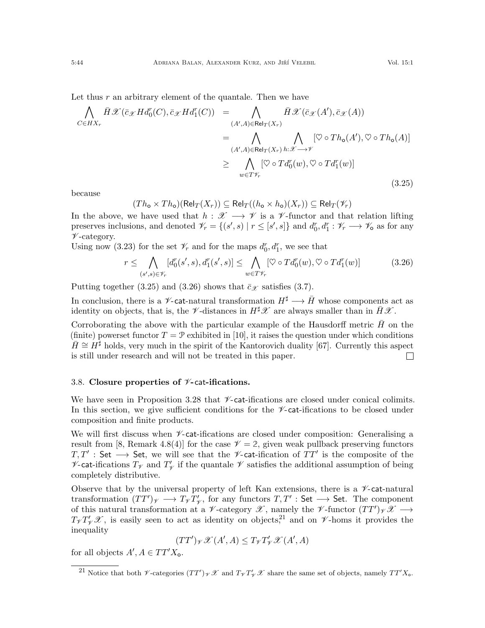Let thus  $r$  an arbitrary element of the quantale. Then we have

<span id="page-43-1"></span>
$$
\begin{split}\n\bigwedge_{C \in HX_r} \bar{H}\mathscr{X}(\bar{c}_{\mathscr{X}} H d_0^r(C), \bar{c}_{\mathscr{X}} H d_1^r(C)) &= \bigwedge_{(A',A) \in \text{Rel}_T(X_r)} \bar{H}\mathscr{X}(\bar{c}_{\mathscr{X}}(A'), \bar{c}_{\mathscr{X}}(A)) \\
&= \bigwedge_{(A',A) \in \text{Rel}_T(X_r)} \bigwedge_{h:\mathscr{X} \to \mathscr{Y}} [\heartsuit \circ Th_{\mathbf{o}}(A'), \heartsuit \circ Th_{\mathbf{o}}(A)] \\
&\geq \bigwedge_{w \in T\mathscr{Y}_r} [\heartsuit \circ T d_0^r(w), \heartsuit \circ T d_1^r(w)]\n\end{split}
$$
\n(3.25)

because

$$
(Th_{\mathbf{o}} \times Th_{\mathbf{o}})(\mathsf{Rel}_T(X_r)) \subseteq \mathsf{Rel}_T((h_{\mathbf{o}} \times h_{\mathbf{o}})(X_r)) \subseteq \mathsf{Rel}_T(\mathscr{V}_r)
$$

In the above, we have used that  $h : \mathscr{X} \longrightarrow \mathscr{V}$  is a  $\mathscr{V}\text{-functor}$  and that relation lifting preserves inclusions, and denoted  $\mathscr{V}_r = \{(s', s) | r \leq [s', s]\}$  and  $d_0^r, d_1^r : \mathscr{V}_r \longrightarrow \mathscr{V}_0$  as for any  $\nu$ -category.

Using now [\(3.23\)](#page-42-3) for the set  $\mathcal{V}_r$  and for the maps  $d_0^r, d_1^r$ , we see that

<span id="page-43-2"></span>
$$
r \leq \bigwedge_{(s',s)\in\mathscr{V}_r} [d_0^r(s',s), d_1^r(s',s)] \leq \bigwedge_{w\in T\mathscr{V}_r} [\heartsuit \circ Td_0^r(w), \heartsuit \circ Td_1^r(w)] \tag{3.26}
$$

Putting together [\(3.25\)](#page-43-1) and [\(3.26\)](#page-43-2) shows that  $\bar{c}_{\mathscr{X}}$  satisfies [\(3.7\)](#page-24-1).

In conclusion, there is a  $\mathscr{V}$ -cat-natural transformation  $H^{\sharp} \longrightarrow \bar{H}$  whose components act as identity on objects, that is, the  $\not\!\mathscr{V}$ -distances in  $H^{\sharp}\mathscr{X}$  are always smaller than in  $\bar{H}\mathscr{X}$ .

Corroborating the above with the particular example of the Hausdorff metric  $\tilde{H}$  on the (finite) powerset functor  $T = \mathcal{P}$  exhibited in [\[10\]](#page-54-22), it raises the question under which conditions  $H \cong H^{\sharp}$  holds, very much in the spirit of the Kantorovich duality [\[67\]](#page-56-9). Currently this aspect is still under research and will not be treated in this paper.  $\Box$ 

## <span id="page-43-0"></span>3.8. Closure properties of  $\nu$ -cat-ifications.

We have seen in Proposition [3.28](#page-34-3) that  $\mathscr V$ -cat-ifications are closed under conical colimits. In this section, we give sufficient conditions for the  $\nu$ -cat-ifications to be closed under composition and finite products.

We will first discuss when  $\mathscr V$ -cat-ifications are closed under composition: Generalising a result from [\[8,](#page-54-3) Remark 4.8(4)] for the case  $\mathcal{V} = 2$ , given weak pullback preserving functors  $T, T'$  : Set → Set, we will see that the *V*-cat-ification of  $TT'$  is the composite of the  $\mathscr{V}\text{-cat-ifications } T_{\mathscr{V}} \text{ and } T'_{\mathscr{V}}$  $\mathcal{V}_{\mathcal{V}}$  if the quantale  $\mathcal{V}$  satisfies the additional assumption of being completely distributive.

Observe that by the universal property of left Kan extensions, there is a  $\mathscr{V}\text{-cat-natural}$ transformation  $(TT')_{\mathscr{V}} \longrightarrow T_{\mathscr{V}} T'_{\mathscr{V}}$  $\gamma'$ , for any functors  $T, T' : Set \longrightarrow Set$ . The component of this natural transformation at a  $\mathscr V$ -category  $\mathscr X$ , namely the  $\mathscr V$ -functor  $(TT')_{\mathscr V}\mathscr X\longrightarrow$  $T_{\mathscr{V}} T_{\mathscr{V}}' \mathscr{X}$ , is easily seen to act as identity on objects,<sup>[21](#page-43-3)</sup> and on  $\mathscr{V}$ -homs it provides the inequality

$$
(TT')_{\mathscr{V}}\mathscr{X}(A',A) \leq T_{\mathscr{V}}T'_{\mathscr{V}}\mathscr{X}(A',A)
$$

for all objects  $A', A \in TT'X_{o}$ .

<span id="page-43-3"></span><sup>&</sup>lt;sup>21</sup> Notice that both *V*-categories  $(T T')_{\gamma} \mathscr{X}$  and  $T_{\gamma} T'_{\gamma} \mathscr{X}$  share the same set of objects, namely  $T T' X_{o}$ .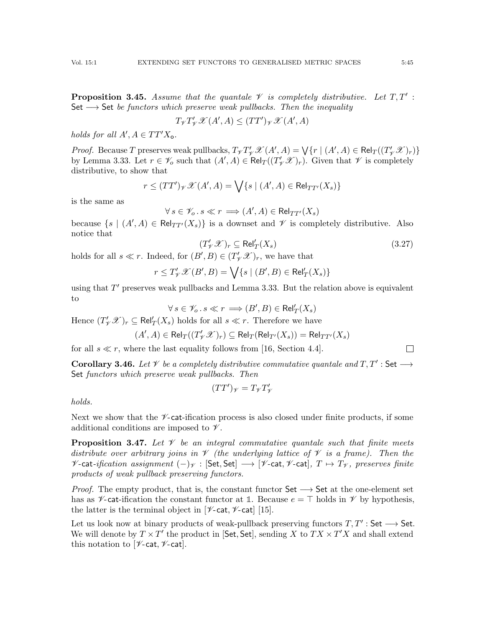**Proposition 3.45.** Assume that the quantale  $\mathcal V$  is completely distributive. Let  $T, T'$ : Set  $\longrightarrow$  Set be functors which preserve weak pullbacks. Then the inequality

$$
T_{\mathscr{V}}T_{\mathscr{V}}'\mathscr{X}(A',A)\leq (TT')_{\mathscr{V}}\mathscr{X}(A',A)
$$

holds for all  $A', A \in TT'X_{o}$ .

*Proof.* Because T preserves weak pullbacks,  $T_{\mathcal{V}} T_{\mathcal{V}}' \mathcal{X}(A', A) = \bigvee \{r \mid (A', A) \in \text{Rel}_T((T_{\mathcal{V}}' \mathcal{X})_r)\}$ by Lemma [3.33.](#page-36-1) Let  $r \in \mathscr{V}_o$  such that  $(A', A) \in \text{Rel}_T((T'_\mathscr{V}\mathscr{X})_r)$ . Given that  $\mathscr{V}$  is completely distributive, to show that

$$
r \le (TT')_{\mathcal{V}} \mathcal{X}(A', A) = \bigvee \{ s \mid (A', A) \in \text{Rel}_{TT'}(X_s) \}
$$

is the same as

$$
\forall s \in \mathscr{V}_o \, . \, s \ll r \implies (A', A) \in \text{Rel}_{TT'}(X_s)
$$

because  $\{s \mid (A', A) \in \text{Rel}_{TT'}(X_s)\}\$ is a downset and  $\mathscr V$  is completely distributive. Also notice that

$$
(T'_{\mathscr{V}}\mathscr{X})_r \subseteq \text{Rel}'_T(X_s) \tag{3.27}
$$

holds for all  $s \ll r$ . Indeed, for  $(B', B) \in (T'_\n\mathscr{Y})_r$ , we have that

$$
r \le T'_{\mathscr{V}} \mathscr{X}(B', B) = \bigvee \{ s \mid (B', B) \in \mathsf{Rel}'_T(X_s) \}
$$

using that  $T'$  preserves weak pullbacks and Lemma [3.33.](#page-36-1) But the relation above is equivalent to

$$
\forall\,s\in\mathscr{V}_o\,.\,s\ll r\,\Longrightarrow (B',B)\in\mathsf{Rel}'_T(X_s)
$$

Hence  $(T'_{\mathscr{V}}\mathscr{X})_r \subseteq \text{Rel}'_T(X_s)$  holds for all  $s \ll r$ . Therefore we have

$$
(A',A)\in \mathsf{Rel}_T((T'_\mathscr{V}\mathscr{X})_r)\subseteq \mathsf{Rel}_T(\mathsf{Rel}_{T'}(X_s))=\mathsf{Rel}_{TT'}(X_s)
$$

for all  $s \ll r$ , where the last equality follows from [\[16,](#page-54-23) Section 4.4].

**Corollary 3.46.** Let  $\mathscr V$  be a completely distributive commutative quantale and  $T, T'$ : Set  $\longrightarrow$ Set functors which preserve weak pullbacks. Then

$$
(TT')_{\mathscr{V}}=T_{\mathscr{V}}T'_{\mathscr{V}}
$$

holds.

Next we show that the  $\mathscr{V}\text{-}\mathsf{cat\text{-}ification}$  process is also closed under finite products, if some additional conditions are imposed to  $\mathscr V$ .

**Proposition 3.47.** Let  $\mathcal V$  be an integral commutative quantale such that finite meets distribute over arbitrary joins in  $\mathscr V$  (the underlying lattice of  $\mathscr V$  is a frame). Then the  $\mathscr V$ -cat-ification assignment  $(-)_\mathscr V$  :  $[Set, Set] \longrightarrow [\mathscr V$ -cat,  $\mathscr V$ -cat],  $T \mapsto T_\mathscr V$ , preserves finite products of weak pullback preserving functors.

*Proof.* The empty product, that is, the constant functor  $\mathsf{Set} \longrightarrow \mathsf{Set}$  at the one-element set has as  $\mathcal V$ -cat-ification the constant functor at 1. Because  $e = \top$  holds in  $\mathcal V$  by hypothesis, the latter is the terminal object in  $[\mathcal{V}\text{-cat}, \mathcal{V}\text{-cat}]$  [\[15\]](#page-54-24).

Let us look now at binary products of weak-pullback preserving functors  $T, T'$ : Set  $\longrightarrow$  Set. We will denote by  $T \times T'$  the product in [Set, Set], sending X to  $TX \times T'X$  and shall extend this notation to  $[\mathcal{V}\text{-cat}, \mathcal{V}\text{-cat}]$ .

 $\Box$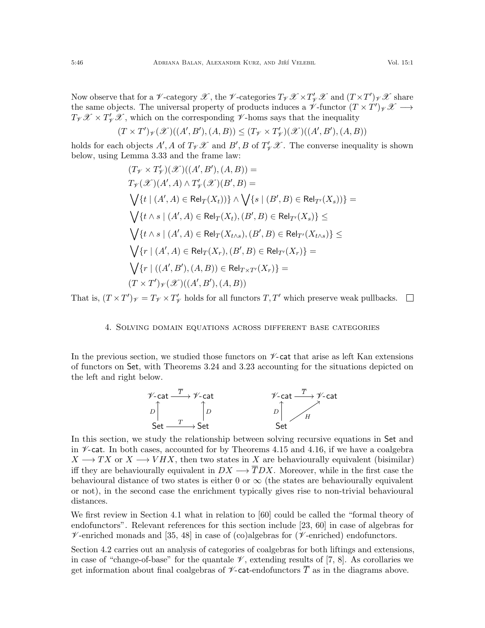Now observe that for a  $\mathscr V$ -category  $\mathscr X$ , the  $\mathscr V$ -categories  $T_{\mathscr V}\mathscr X\times T'_{\mathscr V}\mathscr X$  and  $(T\times T')_{\mathscr V}\mathscr X$  share the same objects. The universal property of products induces a  $\check{\mathscr{V}}$ -functor  $(T \times T')_{\check{\mathscr{V}}} \mathscr{X} \longrightarrow$  $T_{\mathscr{V}}\mathscr{X} \times T'_{\mathscr{V}}\mathscr{X}$ , which on the corresponding  $\mathscr{V}$ -homs says that the inequality

$$
(T \times T')_{\mathscr{V}}(\mathscr{X})((A',B'),(A,B)) \leq (T_{\mathscr{V}} \times T'_{\mathscr{V}})(\mathscr{X})((A',B'),(A,B))
$$

holds for each objects  $A', A$  of  $T_{\mathscr{V}}\mathscr{X}$  and  $B', B$  of  $T'_{\mathscr{V}}\mathscr{X}$ . The converse inequality is shown below, using Lemma [3.33](#page-36-1) and the frame law:

$$
(T_{\mathcal{V}} \times T_{\mathcal{V}}')(\mathcal{X})((A', B'), (A, B)) =
$$
  
\n
$$
T_{\mathcal{V}}(\mathcal{X})(A', A) \wedge T_{\mathcal{V}}'(\mathcal{X})(B', B) =
$$
  
\n
$$
\bigvee \{t \mid (A', A) \in Rel_T(X_t))\} \wedge \bigvee \{s \mid (B', B) \in Rel_{T'}(X_s))\} =
$$
  
\n
$$
\bigvee \{t \wedge s \mid (A', A) \in Rel_T(X_t), (B', B) \in Rel_{T'}(X_s)\} \le
$$
  
\n
$$
\bigvee \{t \wedge s \mid (A', A) \in Rel_T(X_{t \wedge s}), (B', B) \in Rel_{T'}(X_{t \wedge s})\} \le
$$
  
\n
$$
\bigvee \{r \mid (A', A) \in Rel_T(X_r), (B', B) \in Rel_{T'}(X_r)\} =
$$
  
\n
$$
\bigvee \{r \mid ((A', B'), (A, B)) \in Rel_{T \times T'}(X_r)\} =
$$
  
\n
$$
(T \times T')_{\mathcal{V}}(\mathcal{X})((A', B'), (A, B))
$$

<span id="page-45-0"></span>That is,  $(T \times T')_{\mathscr{V}} = T_{\mathscr{V}} \times T'_{\mathscr{V}}$  $\gamma'_{\!\mathscr{V}}$  holds for all functors  $T,T'$  which preserve weak pullbacks.

### 4. Solving domain equations across different base categories

In the previous section, we studied those functors on  $\nu$ -cat that arise as left Kan extensions of functors on Set, with Theorems [3.24](#page-33-2) and [3.23](#page-33-1) accounting for the situations depicted on the left and right below.



In this section, we study the relationship between solving recursive equations in Set and in  $\nu$ -cat. In both cases, accounted for by Theorems [4.15](#page-52-0) and [4.16,](#page-52-1) if we have a coalgebra  $X \longrightarrow TX$  or  $X \longrightarrow VHX$ , then two states in X are behaviourally equivalent (bisimilar) iff they are behaviourally equivalent in  $DX \longrightarrow \overline{T}DX$ . Moreover, while in the first case the behavioural distance of two states is either 0 or  $\infty$  (the states are behaviourally equivalent or not), in the second case the enrichment typically gives rise to non-trivial behavioural distances.

We first review in Section [4.1](#page-46-0) what in relation to [\[60\]](#page-55-23) could be called the "formal theory of endofunctors". Relevant references for this section include [\[23,](#page-54-25) [60\]](#page-55-23) in case of algebras for  $\mathscr V$ -enriched monads and [\[35,](#page-55-16) [48\]](#page-55-24) in case of (co)algebras for ( $\mathscr V$ -enriched) endofunctors.

Section [4.2](#page-49-0) carries out an analysis of categories of coalgebras for both liftings and extensions, in case of "change-of-base" for the quantale  $\mathscr V$ , extending results of [\[7,](#page-54-21) [8\]](#page-54-3). As corollaries we get information about final coalgebras of  $\nu$ -cat-endofunctors  $\overline{T}$  as in the diagrams above.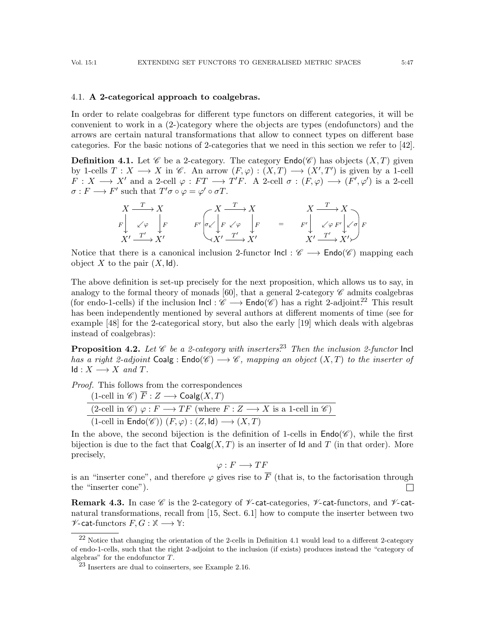## <span id="page-46-0"></span>4.1. A 2-categorical approach to coalgebras.

In order to relate coalgebras for different type functors on different categories, it will be convenient to work in a (2-)category where the objects are types (endofunctors) and the arrows are certain natural transformations that allow to connect types on different base categories. For the basic notions of 2-categories that we need in this section we refer to [\[42\]](#page-55-25).

<span id="page-46-3"></span>**Definition 4.1.** Let  $\mathscr C$  be a 2-category. The category  $\mathsf{End}(\mathscr C)$  has objects  $(X,T)$  given by 1-cells  $T: X \longrightarrow X$  in  $\mathscr{C}$ . An arrow  $(F, \varphi) : (X, T) \longrightarrow (X', T')$  is given by a 1-cell  $F: X \longrightarrow X'$  and a 2-cell  $\varphi: FT \longrightarrow T'F$ . A 2-cell  $\sigma: (F, \varphi) \longrightarrow (F', \varphi')$  is a 2-cell  $\sigma: F \longrightarrow F'$  such that  $T' \sigma \circ \varphi = \varphi' \circ \sigma T$ .

$$
\begin{array}{ccc}\nX & \xrightarrow{T} & X \\
F \downarrow & \swarrow \varphi \\
X' & \xrightarrow{T'} & X'\n\end{array}\n\qquad\n\begin{array}{ccc}\nX & \xrightarrow{T} & X & \xrightarrow{T} & X \\
F \downarrow & \swarrow \varphi & \downarrow F & \xrightarrow{F'} & \swarrow \varphi F' \downarrow \swarrow \sigma \\
X' & \xrightarrow{T'} & X'\n\end{array}\n\qquad\n\begin{array}{ccc}\nX & \xrightarrow{T} & X \\
F \downarrow & \swarrow \varphi F' \downarrow \swarrow \sigma \\
X' & \xrightarrow{T'} & X'\n\end{array}
$$

Notice that there is a canonical inclusion 2-functor  $\text{Incl}: \mathscr{C} \longrightarrow \text{Endo}(\mathscr{C})$  mapping each object X to the pair  $(X, \mathsf{Id})$ .

The above definition is set-up precisely for the next proposition, which allows us to say, in analogy to the formal theory of monads [\[60\]](#page-55-23), that a general 2-category  $\mathscr C$  admits coalgebras (for endo-1-cells) if the inclusion  $\text{Incl} : \mathscr{C} \longrightarrow \text{Endo}(\mathscr{C})$  has a right 2-adjoint.<sup>[22](#page-46-1)</sup> This result has been independently mentioned by several authors at different moments of time (see for example [\[48\]](#page-55-24) for the 2-categorical story, but also the early [\[19\]](#page-54-26) which deals with algebras instead of coalgebras):

**Proposition 4.2.** Let  $\mathscr C$  be a 2-category with inserters.<sup>[23](#page-46-2)</sup> Then the inclusion 2-functor lncl has a right 2-adjoint  $\text{Coalg}: \text{Endo}(\mathscr{C}) \longrightarrow \mathscr{C}$ , mapping an object  $(X,T)$  to the inserter of  $Id: X \longrightarrow X$  and T.

Proof. This follows from the correspondences

| $(1\text{-cell in }\mathscr{C}) \overline{F}: Z \longrightarrow \text{Coalg}(X,T)$                                                          |
|---------------------------------------------------------------------------------------------------------------------------------------------|
| $(2\text{-cell in }\mathscr{C}) \varphi : F \longrightarrow TF \text{ (where } F : Z \longrightarrow X \text{ is a 1-cell in }\mathscr{C})$ |
| $(1\text{-cell in Endo}(\mathscr{C})) (F, \varphi) : (Z, \mathsf{Id}) \longrightarrow (X, T)$                                               |

In the above, the second bijection is the definition of 1-cells in  $\text{End}(C)$ , while the first bijection is due to the fact that  $\mathsf{Coalg}(X,T)$  is an inserter of Id and T (in that order). More precisely,

$$
\varphi: F \longrightarrow TF
$$

is an "inserter cone", and therefore  $\varphi$  gives rise to  $\overline{F}$  (that is, to the factorisation through the "inserter cone").  $\Box$ 

**Remark 4.3.** In case  $\mathscr C$  is the 2-category of  $\mathscr V$ -cat-categories,  $\mathscr V$ -cat-functors, and  $\mathscr V$ -catnatural transformations, recall from [\[15,](#page-54-24) Sect. 6.1] how to compute the inserter between two  $\mathscr{V}\text{-cat-functors } F, G : \mathbb{X} \longrightarrow \mathbb{Y}:$ 

<span id="page-46-1"></span><sup>22</sup> Notice that changing the orientation of the 2-cells in Definition [4.1](#page-46-3) would lead to a different 2-category of endo-1-cells, such that the right 2-adjoint to the inclusion (if exists) produces instead the "category of algebras" for the endofunctor T.

<span id="page-46-2"></span><sup>23</sup> Inserters are dual to coinserters, see Example [2.16.](#page-16-6)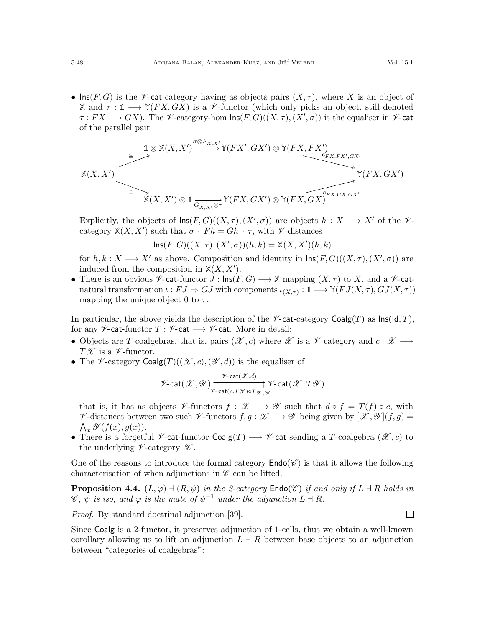• Ins(F, G) is the V-cat-category having as objects pairs  $(X, \tau)$ , where X is an object of **X** and  $\tau : \mathbb{1} \longrightarrow \mathbb{Y}(FX, GX)$  is a *V*-functor (which only picks an object, still denoted  $\tau: FX\longrightarrow GX$ ). The  $\mathscr V$ -category-hom  $\mathsf{Ins}(F,G)((X,\tau),(X',\sigma))$  is the equaliser in  $\mathscr V$ -cat of the parallel pair

$$
\mathbb{X}(X,X') \xrightarrow{\cong} \mathbb{X}(X,X') \xrightarrow{\sigma \otimes F_{X,X'}} \mathbb{Y}(FX',GX') \otimes \mathbb{Y}(FX,FX') \xrightarrow{c_{FX,FX',GX'}} \mathbb{Y}(FX,GX') \xrightarrow{\cong} \mathbb{Y}(FX,X') \otimes \mathbb{1}_{G_{X,X'} \otimes \tau} \mathbb{Y}(FX,GX') \otimes \mathbb{Y}(FX,GX)^{c_{FX,GX,GX'}} \xrightarrow{\mathbb{Y}(FX,GX')}
$$

Explicitly, the objects of  $\text{Ins}(F, G)((X, \tau), (X', \sigma))$  are objects  $h : X \longrightarrow X'$  of the  $\mathcal{V}$ category  $\mathbb{X}(X, X')$  such that  $\sigma \cdot Fh = Gh \cdot \tau$ , with  $\nu$ -distances

$$
Ins(F, G)((X, \tau), (X', \sigma))(h, k) = \mathbb{X}(X, X')(h, k)
$$

for  $h, k: X \longrightarrow X'$  as above. Composition and identity in  $\textsf{Ins}(F, G)((X, \tau), (X', \sigma))$  are induced from the composition in  $\mathbb{X}(X, X')$ .

• There is an obvious  $\mathscr V$ -cat-functor  $J : \text{Ins}(F, G) \longrightarrow \mathbb X$  mapping  $(X, \tau)$  to X, and a  $\mathscr V$ -catnatural transformation  $\iota : FJ \Rightarrow GJ$  with components  $\iota_{(X,\tau)} : \mathbb{1} \longrightarrow \mathbb{Y}(FJ(X,\tau), GJ(X,\tau))$ mapping the unique object 0 to  $\tau$ .

In particular, the above yields the description of the  $\mathscr V$ -cat-category Coalg(T) as  $\text{Ins}(\mathsf{Id}, T)$ , for any  $\mathscr V$ -cat-functor  $T : \mathscr V$ -cat  $\longrightarrow \mathscr V$ -cat. More in detail:

- Objects are T-coalgebras, that is, pairs  $(\mathscr{X}, c)$  where  $\mathscr{X}$  is a  $\mathscr{Y}$ -category and  $c : \mathscr{X} \longrightarrow$  $T\mathscr{X}$  is a  $\mathscr{V}$ -functor.
- The *V*-category  $Coalg(T)((\mathcal{X}, c),(\mathcal{Y}, d))$  is the equaliser of

$$
\mathscr{V}\text{-}\mathrm{cat}(\mathscr{X},\mathscr{Y})\xrightarrow[\mathscr{V}\text{-}\mathrm{cat}(c,T\mathscr{Y})\circ T_{\mathscr{X},\mathscr{Y}}]{}\mathscr{V}\text{-}\mathrm{cat}(\mathscr{X},T\mathscr{Y})
$$

that is, it has as objects  $\mathscr V$ -functors  $f : \mathscr X \longrightarrow \mathscr Y$  such that  $d \circ f = T(f) \circ c$ , with  $\mathscr V$ -distances between two such  $\mathscr V$ -functors  $f, g: \mathscr X \longrightarrow \mathscr Y$  being given by  $[\mathscr X, \mathscr Y](f, g) =$  $\bigwedge_x \mathscr{Y}(f(x), g(x)).$ 

• There is a forgetful  $\mathscr V$ -cat-functor  $\mathsf{Coalg}(T) \longrightarrow \mathscr V$ -cat sending a T-coalgebra  $(\mathscr X, c)$  to the underlying  $\nu$ -category  $\mathscr X$ .

One of the reasons to introduce the formal category  $\mathsf{End}(\mathscr{C})$  is that it allows the following characterisation of when adjunctions in  $\mathscr C$  can be lifted.

**Proposition 4.4.**  $(L, \varphi) \dashv (R, \psi)$  in the 2-category  $\text{Endo}(\mathscr{C})$  if and only if  $L \dashv R$  holds in  $\mathscr{C}, \psi$  is iso, and  $\varphi$  is the mate of  $\psi^{-1}$  under the adjunction  $L \dashv R$ .

Proof. By standard doctrinal adjunction [\[39\]](#page-55-26).

Since Coalg is a 2-functor, it preserves adjunction of 1-cells, thus we obtain a well-known corollary allowing us to lift an adjunction  $L \doteq R$  between base objects to an adjunction between "categories of coalgebras":

 $\Box$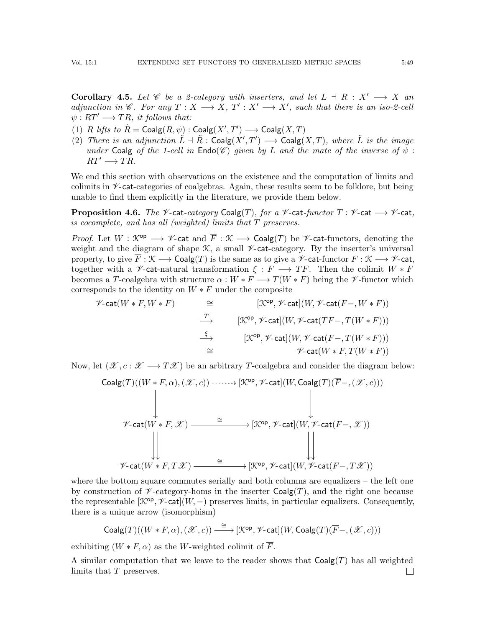Corollary 4.5. Let C be a 2-category with inserters, and let  $L \dashv R : X' \longrightarrow X$  and adjunction in  $\mathscr{C}$ . For any  $T : X \longrightarrow X$ ,  $T' : X' \longrightarrow X'$ , such that there is an iso-2-cell  $\psi : RT' \longrightarrow TR$ , it follows that:

- (1) R lifts to  $\tilde{R} = \text{Coalg}(R, \psi) : \text{Coalg}(X', T') \longrightarrow \text{Coalg}(X, T)$
- (2) There is an adjunction  $\tilde{L} \dashv \tilde{R}$  : Coalg $(X',T') \longrightarrow$  Coalg $(X,T)$ , where  $\tilde{L}$  is the image under Coalg of the 1-cell in  $\text{End}(C)$  given by L and the mate of the inverse of  $\psi$ :  $RT' \longrightarrow TR.$

We end this section with observations on the existence and the computation of limits and colimits in  $\mathcal V$ -cat-categories of coalgebras. Again, these results seem to be folklore, but being unable to find them explicitly in the literature, we provide them below.

**Proposition 4.6.** The  $\mathcal V$ -cat-category Coalg(T), for a  $\mathcal V$ -cat-functor  $T : \mathcal V$ -cat  $\longrightarrow \mathcal V$ -cat, is cocomplete, and has all (weighted) limits that T preserves.

*Proof.* Let  $W : \mathcal{K}^{\text{op}} \longrightarrow \mathcal{V}$ -cat and  $\overline{F} : \mathcal{K} \longrightarrow \text{Coalg}(T)$  be  $\mathcal{V}$ -cat-functors, denoting the weight and the diagram of shape  $\mathcal{K}$ , a small  $\not\!\mathcal{V}$ -cat-category. By the inserter's universal property, to give  $\overline{F}$  :  $\mathcal{K} \longrightarrow$  Coalg(T) is the same as to give a  $\mathcal{V}$ -cat-functor  $F : \mathcal{K} \longrightarrow \mathcal{V}$ -cat, together with a *V*-cat-natural transformation  $\xi : F \longrightarrow TF$ . Then the colimit  $W * F$ becomes a T-coalgebra with structure  $\alpha : W * F \longrightarrow T(W * F)$  being the V-functor which corresponds to the identity on  $W * F$  under the composite

$$
\begin{array}{ccc}\n\mathscr{V}\text{-}\mathrm{cat}(W*F,W*F) & \cong & [\mathfrak{K}^{\mathrm{op}},\mathscr{V}\text{-}\mathrm{cat}](W,\mathscr{V}\text{-}\mathrm{cat}(F-,W*F)) \\
& \xrightarrow{\hspace{2.5cm}} & [\mathfrak{K}^{\mathrm{op}},\mathscr{V}\text{-}\mathrm{cat}](W,\mathscr{V}\text{-}\mathrm{cat}(TF-,T(W*F))) \\
& \xrightarrow{\xi} & [\mathfrak{K}^{\mathrm{op}},\mathscr{V}\text{-}\mathrm{cat}](W,\mathscr{V}\text{-}\mathrm{cat}(F-,T(W*F))) \\
& \cong & \mathscr{V}\text{-}\mathrm{cat}(W*F,T(W*F))\n\end{array}
$$

Now, let  $(\mathscr{X}, c : \mathscr{X} \longrightarrow T\mathscr{X})$  be an arbitrary T-coalgebra and consider the diagram below:

| \n $\text{Coalg}(T)((W * F, \alpha), (\mathcal{X}, c)) \xrightarrow{\text{com}} [\mathcal{K}^{\text{op}}, \mathcal{V}\text{-}\text{cat}](W, \text{Coalg}(T)(\overline{F} -, (\mathcal{X}, c)))$ \n |
|----------------------------------------------------------------------------------------------------------------------------------------------------------------------------------------------------|
| \n $\mathcal{V}\text{-}\text{cat}(W * F, \mathcal{X}) \xrightarrow{\cong} [\mathcal{K}^{\text{op}}, \mathcal{V}\text{-}\text{cat}](W, \mathcal{V}\text{-}\text{cat}(F-, \mathcal{X}))$ \n          |
| \n $\mathcal{V}\text{-}\text{cat}(W * F, T\mathcal{X}) \xrightarrow{\cong} [\mathcal{K}^{\text{op}}, \mathcal{V}\text{-}\text{cat}](W, \mathcal{V}\text{-}\text{cat}(F-, T\mathcal{X}))$ \n        |

where the bottom square commutes serially and both columns are equalizers – the left one by construction of  $\mathscr V$ -category-homs in the inserter  $Coalg(T)$ , and the right one because the representable  $[\mathcal{K}^{op}, \mathcal{V}\text{-}\mathsf{cat}](W, -)$  preserves limits, in particular equalizers. Consequently, there is a unique arrow (isomorphism)

$$
\mathsf{Coalg}(T)((W \ast F, \alpha), (\mathscr{X}, c)) \stackrel{\cong}{\longrightarrow} [\mathcal{K}^\mathsf{op}, \mathscr{V}\text{-}\mathsf{cat}](W, \mathsf{Coalg}(T)(\overline{F} -, (\mathscr{X}, c)))
$$

exhibiting  $(W * F, \alpha)$  as the W-weighted colimit of  $\overline{F}$ .

A similar computation that we leave to the reader shows that  $Coalg(T)$  has all weighted limits that T preserves.  $\Box$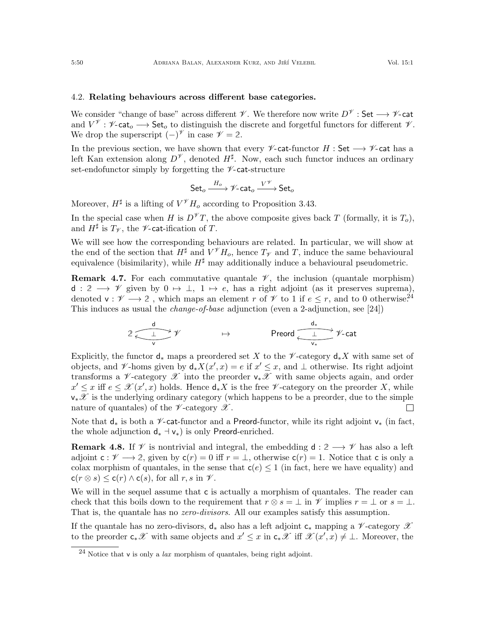# <span id="page-49-0"></span>4.2. Relating behaviours across different base categories.

We consider "change of base" across different  $\mathscr V$ . We therefore now write  $D^{\mathscr V}$  : Set  $\longrightarrow \mathscr V$ -cat and  $V^{\mathscr{V}}: \mathscr{V}\text{-}\mathsf{cat}_o \longrightarrow \mathsf{Set}_o$  to distinguish the discrete and forgetful functors for different  $\mathscr{V}.$ We drop the superscript  $(-)^\mathcal{V}$  in case  $\mathcal{V} = 2$ .

In the previous section, we have shown that every  $\mathscr V$ -cat-functor H : Set  $\longrightarrow \mathscr V$ -cat has a left Kan extension along  $D^{\mathscr{V}}$ , denoted  $H^{\sharp}$ . Now, each such functor induces an ordinary set-endofunctor simply by forgetting the  $\mathscr V$ -cat-structure

$$
\mathsf{Set}_o \xrightarrow{H_o} \mathscr{V}\text{-}\mathsf{cat}_o \xrightarrow{V^{\mathscr{V}}} \mathsf{Set}_o
$$

Moreover,  $H^{\sharp}$  is a lifting of  $V^{\mathscr{V}}H_{o}$  according to Proposition [3.43.](#page-41-1)

In the special case when H is  $D^{\mathscr{V}}T$ , the above composite gives back T (formally, it is  $T_o$ ), and  $H^{\sharp}$  is  $T_{\mathscr{V}}$ , the  $\mathscr{V}\text{-cat-ification of }T$ .

We will see how the corresponding behaviours are related. In particular, we will show at the end of the section that  $H^{\sharp}$  and  $V^{\mathscr{V}}H_o$ , hence  $T_{\mathscr{V}}$  and T, induce the same behavioural equivalence (bisimilarity), while  $H^{\sharp}$  may additionally induce a behavioural pseudometric.

**Remark 4.7.** For each commutative quantale  $\mathscr{V}$ , the inclusion (quantale morphism) d :  $2 \longrightarrow \mathscr{V}$  given by  $0 \mapsto \perp$ ,  $1 \mapsto e$ , has a right adjoint (as it preserves suprema), denoted  $\mathsf{v}: \mathscr{V} \longrightarrow 2$ , which maps an element r of  $\mathscr{V}$  to 1 if  $e \leq r$ , and to 0 otherwise.<sup>[24](#page-49-2)</sup> This induces as usual the *change-of-base* adjunction (even a 2-adjunction, see [\[24\]](#page-54-12))

$$
2 \xleftarrow{\underline{d}} \mathscr{V} \qquad \qquad \mapsto \qquad \qquad \text{Preord} \xleftarrow{\underline{d}_*} \mathscr{V}\text{-cat}
$$

Explicitly, the functor  $d_*$  maps a preordered set X to the  $\mathscr V$ -category  $d_*X$  with same set of objects, and  $\mathscr V$ -homs given by  $d_*X(x',x) = e$  if  $x' \leq x$ , and  $\perp$  otherwise. Its right adjoint transforms a  $\mathscr V$ -category  $\mathscr X$  into the preorder  $\mathsf v_*\mathscr X$  with same objects again, and order  $x' \leq x$  iff  $e \leq \mathscr{X}(x',x)$  holds. Hence  $d_*X$  is the free  $\mathscr{V}\text{-category on the preorder }X$ , while  $v_*\mathscr{X}$  is the underlying ordinary category (which happens to be a preorder, due to the simple nature of quantales) of the  $\nu$ -category  $\mathscr X$ .  $\Box$ 

Note that  $d_*$  is both a V-cat-functor and a Preord-functor, while its right adjoint  $v_*$  (in fact, the whole adjunction  $d_* \dashv v_*$ ) is only Preord-enriched.

<span id="page-49-1"></span>**Remark 4.8.** If  $\mathscr V$  is nontrivial and integral, the embedding  $d: 2 \longrightarrow \mathscr V$  has also a left adjoint  $c: \mathscr{V} \longrightarrow 2$ , given by  $c(r) = 0$  iff  $r = \bot$ , otherwise  $c(r) = 1$ . Notice that c is only a colax morphism of quantales, in the sense that  $c(e) \leq 1$  (in fact, here we have equality) and  $c(r \otimes s) \leq c(r) \wedge c(s)$ , for all  $r, s$  in  $\mathcal V$ .

We will in the sequel assume that c is actually a morphism of quantales. The reader can check that this boils down to the requirement that  $r \otimes s = \perp$  in  $\mathscr V$  implies  $r = \perp$  or  $s = \perp$ . That is, the quantale has no *zero-divisors*. All our examples satisfy this assumption.

If the quantale has no zero-divisors,  $d_*$  also has a left adjoint  $c_*$  mapping a  $\mathscr V$ -category  $\mathscr X$ to the preorder  $c_*\mathscr{X}$  with same objects and  $x' \leq x$  in  $c_*\mathscr{X}$  iff  $\mathscr{X}(x',x) \neq \bot$ . Moreover, the

<span id="page-49-2"></span> $^{24}$  Notice that v is only a *lax* morphism of quantales, being right adjoint.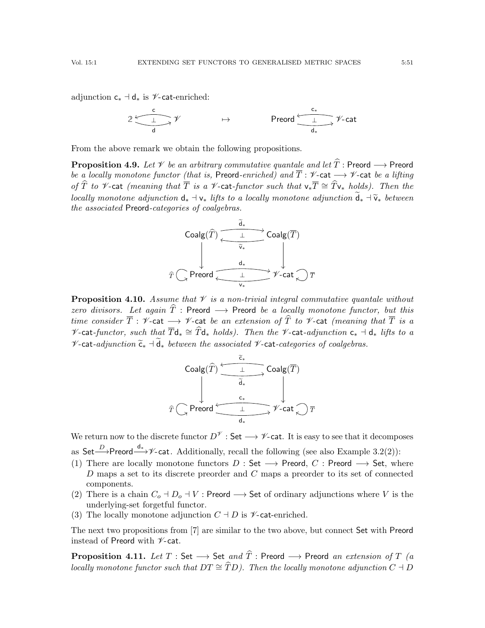adjunction  $c_* \dashv d_*$  is  $\mathscr{V}\text{-cat-enriched:}$ 

$$
2\xrightarrow{\mathsf{c}} \mathscr{V} \qquad \qquad \mapsto \qquad \qquad \mathsf{Preord} \xrightarrow{\mathsf{c}_*} \mathscr{V}\text{-}\mathsf{cat}
$$

From the above remark we obtain the following propositions.

**Proposition 4.9.** Let  $\mathcal V$  be an arbitrary commutative quantale and let  $\widehat{T}$ : Preord  $\longrightarrow$  Preord be a locally monotone functor (that is, Preord-enriched) and  $\overline{T}$  :  $\mathscr V$ -cat  $\longrightarrow \mathscr V$ -cat be a lifting of  $\widehat{T}$  to  $\mathscr V$ -cat (meaning that  $\overline{T}$  is a  $\mathscr V$ -cat-functor such that  $\mathsf v_*\overline{T} \cong \widehat{T}\mathsf v_*$  holds). Then the locally monotone adjunction  $d_* \dashv v_*$  lifts to a locally monotone adjunction  $\widetilde{d}_* \dashv \widetilde{v}_*$  between the associated Preord-categories of coalgebras.

| \n $\text{Coalg}(\widehat{T})$ \n | \n $\begin{array}{c}\n \overbrace{\phantom{a}}^{1} & \text{Coalg}(\overline{T}) \\  \downarrow & \downarrow \\  \overbrace{\phantom{a}}^{1} & \downarrow \\  \text{Cone to } \overbrace{\phantom{a}}^{1} & \downarrow \\  \downarrow & \downarrow \\  \text{Cone to } \overbrace{\phantom{a}}^{1} & \downarrow \\  \downarrow & \downarrow \\  \text{Cone to } \overbrace{\phantom{a}}^{1} & \downarrow \\  \downarrow & \downarrow \\  \text{Cone to } \overbrace{\phantom{a}}^{1} & \downarrow \\  \downarrow & \downarrow \\  \text{Cone to } \overline{\phantom{a}}^{1} & \downarrow \\  \downarrow & \downarrow \\  \text{Cone to } \overline{\phantom{a}}^{1} & \downarrow \\  \downarrow & \downarrow \\  \text{Cone to } \overline{\phantom{a}}^{1} & \downarrow \\  \downarrow & \downarrow \\  \text{Cone to } \overline{\phantom{a}}^{1} & \downarrow \\  \downarrow & \downarrow \\  \text{Cone to } \overline{\phantom{a}}^{1} & \downarrow \\  \downarrow & \downarrow \\  \text{Cone to } \overline{\phantom{a}}^{1} & \downarrow \\  \downarrow & \downarrow \\  \text{Cone to } \overline{\phantom{a}}^{1} & \downarrow \\  \downarrow & \downarrow \\  \text{Cone to } \overline{\phantom{a}}^{1} & \downarrow \\  \downarrow & \downarrow \\  \text{Cone to } \overline{\phantom{a}}^{1} & \downarrow \\  \downarrow & \downarrow \\  \text{Cone to } \overline{\phantom{a}}^{1} & \downarrow \\  \downarrow & \downarrow \\  \downarrow & \downarrow \\  \downarrow & \downarrow \\  \text{Cone to } \overline{\phantom{a}}^{1} & \downarrow \\  \downarrow & \downarrow \\  \downarrow & \downarrow \\  \downarrow & \downarrow \\  \downarrow & \downarrow \\  \downarrow & \downarrow \\  \downarrow & \downarrow \\  \downarrow & \downarrow \\  \downarrow & \downarrow \\  \downarrow & \downarrow \\  \downarrow & \downarrow \\  \downarrow & \downarrow \\  \downarrow$ |
|-----------------------------------|------------------------------------------------------------------------------------------------------------------------------------------------------------------------------------------------------------------------------------------------------------------------------------------------------------------------------------------------------------------------------------------------------------------------------------------------------------------------------------------------------------------------------------------------------------------------------------------------------------------------------------------------------------------------------------------------------------------------------------------------------------------------------------------------------------------------------------------------------------------------------------------------------------------------------------------------------------------------------------------------------------------------------------------------------------------------------------------------------------------------------------------------------------------------------------------------------------------------------------------------------------------------------------------------------------------------------------------------------------------------------------------------------------------------------------------------------------------------------------------------------------------------------------------------------------------------------------------------------------------------------------------------------------------------------------------------------------------------------------------------------------------------------------------------------------------------------------------------------------------------------------------------------|
|-----------------------------------|------------------------------------------------------------------------------------------------------------------------------------------------------------------------------------------------------------------------------------------------------------------------------------------------------------------------------------------------------------------------------------------------------------------------------------------------------------------------------------------------------------------------------------------------------------------------------------------------------------------------------------------------------------------------------------------------------------------------------------------------------------------------------------------------------------------------------------------------------------------------------------------------------------------------------------------------------------------------------------------------------------------------------------------------------------------------------------------------------------------------------------------------------------------------------------------------------------------------------------------------------------------------------------------------------------------------------------------------------------------------------------------------------------------------------------------------------------------------------------------------------------------------------------------------------------------------------------------------------------------------------------------------------------------------------------------------------------------------------------------------------------------------------------------------------------------------------------------------------------------------------------------------------|

**Proposition 4.10.** Assume that  $\mathcal V$  is a non-trivial integral commutative quantale without zero divisors. Let again  $\widehat{T}$  : Preord  $\longrightarrow$  Preord be a locally monotone functor, but this time consider  $\overline{T}$  :  $\mathscr V$ -cat  $\longrightarrow$   $\mathscr V$ -cat be an extension of  $\widehat{T}$  to  $\mathscr V$ -cat (meaning that  $\overline{T}$  is a  $\mathscr V$ -cat-functor, such that  $\overline{T}d_* \cong \widehat{T}d_*$  holds). Then the  $\mathscr V$ -cat-adjunction  $c_* \dashv d_*$  lifts to a  $\mathcal V$ -cat-adjunction  $\widetilde{\mathsf{c}}_*$   $\neg$   $\widetilde{\mathsf{d}}_*$  between the associated  $\mathcal V$ -cat-categories of coalgebras.

$$
\widehat{T} \subsetneq \text{Preord} \xrightarrow{\widetilde{c}_{*}} \text{Coalg}(\overline{T})
$$
\n
$$
\widehat{\widetilde{d}_{*}} \qquad \qquad \downarrow \qquad \text{Coalg}(\overline{T})
$$
\n
$$
\widehat{T} \subsetneq \text{Preord} \xrightarrow{\underline{c}_{*}} \overline{\mathcal{V}} \text{-cat} \bigcircneq \overline{T}
$$

We return now to the discrete functor  $D^{\mathscr{V}}:$  Set  $\longrightarrow$   $\mathscr{V}$ -cat. It is easy to see that it decomposes as  $\mathsf{Set} \xrightarrow{D} \mathsf{Preord} \xrightarrow{d_*} \mathscr{V}$ -cat. Additionally, recall the following (see also Example [3.2\(](#page-18-4)[2\)](#page-18-5)):

- (1) There are locally monotone functors  $D : Set \longrightarrow$  Preord, C : Preord  $\longrightarrow$  Set, where D maps a set to its discrete preorder and C maps a preorder to its set of connected components.
- (2) There is a chain  $C_o \dashv D_o \dashv V$  : Preord  $\longrightarrow$  Set of ordinary adjunctions where V is the underlying-set forgetful functor.
- (3) The locally monotone adjunction  $C \dashv D$  is  $\not\!\mathscr{V}\n$ -cat-enriched.

The next two propositions from [\[7\]](#page-54-21) are similar to the two above, but connect Set with Preord instead of Preord with  $\nu$ -cat.

**Proposition 4.11.** Let  $T$  : Set  $\longrightarrow$  Set and  $\widehat{T}$  : Preord  $\longrightarrow$  Preord an extension of  $T$  (a locally monotone functor such that  $DT \cong \widehat{T}D$ ). Then the locally monotone adjunction  $C \dashv D$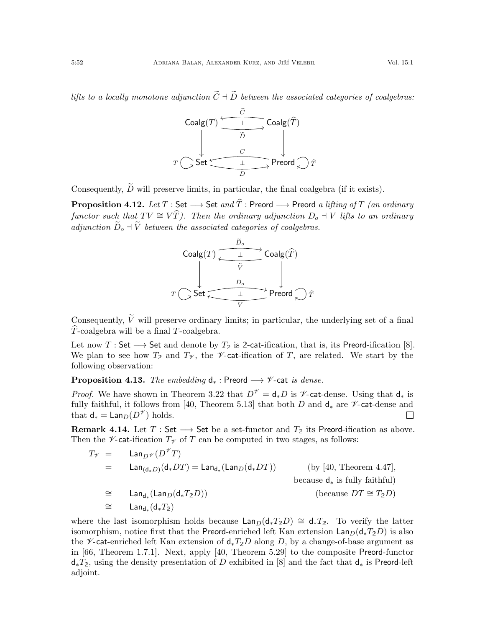lifts to a locally monotone adjunction  $\widetilde{C}+\widetilde{D}$  between the associated categories of coalgebras:

| Coalg(T)       | C                  |         |        |
|----------------|--------------------|---------|--------|
| $\overline{D}$ | Coalg(\widehat{T}) |         |        |
| $\overline{D}$ | $\overline{D}$     |         |        |
| $T$            | Set                | $\perp$ | Preord |
| $\overline{D}$ | Preord             |         |        |

Consequently,  $\widetilde{D}$  will preserve limits, in particular, the final coalgebra (if it exists).

**Proposition 4.12.** Let  $T : Set \longrightarrow Set \text{ and } \hat{T} :$  Preord  $\longrightarrow$  Preord a lifting of T (an ordinary functor such that  $TV \cong V\hat{T}$ ). Then the ordinary adjunction  $D_o + V$  lifts to an ordinary adjunction  $\widetilde{D}_o + \widetilde{V}$  between the associated categories of coalgebras.



Consequently,  $\widetilde{V}$  will preserve ordinary limits; in particular, the underlying set of a final  $\hat{T}$ -coalgebra will be a final T-coalgebra.

Let now  $T : Set \longrightarrow Set$  and denote by  $T_2$  is 2-cat-ification, that is, its Preord-ification [\[8\]](#page-54-3). We plan to see how  $T_2$  and  $T_\mathscr{V}$ , the  $\mathscr{V}\text{-cat-ification of }T$ , are related. We start by the following observation:

**Proposition 4.13.** The embedding  $d_*$ : Preord  $\longrightarrow \mathscr{V}$ -cat is dense.

*Proof.* We have shown in Theorem [3.22](#page-32-0) that  $D^{\mathscr{V}} = d_*D$  is  $\mathscr{V}$ -cat-dense. Using that  $d_*$  is fully faithful, it follows from [\[40,](#page-55-5) Theorem 5.13] that both D and  $d_*$  are  $\mathscr V$ -cat-dense and that  $\mathsf{d}_* = \mathsf{Lan}_D(D^{\mathscr{V}})$  holds.  $\Box$ 

**Remark 4.14.** Let  $T : Set \longrightarrow Set$  be a set-functor and  $T_2$  its Preord-ification as above. Then the  $\nu$ -cat-ification  $T_{\nu}$  of T can be computed in two stages, as follows:

$$
T_{\mathcal{V}} = \text{Lan}_{D^{\mathcal{V}}}(D^{\mathcal{V}}T)
$$
  
\n
$$
= \text{Lan}_{(\text{d}_{*}D)}(\text{d}_{*}DT) = \text{Lan}_{\text{d}_{*}}(\text{Lan}_{D}(\text{d}_{*}DT))
$$
 (by [40, Theorem 4.47],  
\nbecause  $\text{d}_{*}$  is fully faithful)  
\n
$$
\cong \text{Lan}_{\text{d}_{*}}(\text{Lan}_{D}(\text{d}_{*}T_{2}D))
$$
 (because  $DT \cong T_{2}D$ )  
\n
$$
\cong \text{Lan}_{\text{d}_{*}}(\text{d}_{*}T_{2})
$$

where the last isomorphism holds because  $\text{Lan}_D(d_*T_2D) \cong d_*T_2$ . To verify the latter isomorphism, notice first that the Preord-enriched left Kan extension  $\text{Lan}_D(\text{d}_*T_2D)$  is also the *V*-cat-enriched left Kan extension of  $d_*T_2D$  along D, by a change-of-base argument as in [\[66,](#page-56-10) Theorem 1.7.1]. Next, apply [\[40,](#page-55-5) Theorem 5.29] to the composite Preord-functor d∗T**2**, using the density presentation of D exhibited in [\[8\]](#page-54-3) and the fact that d<sup>∗</sup> is Preord-left adjoint.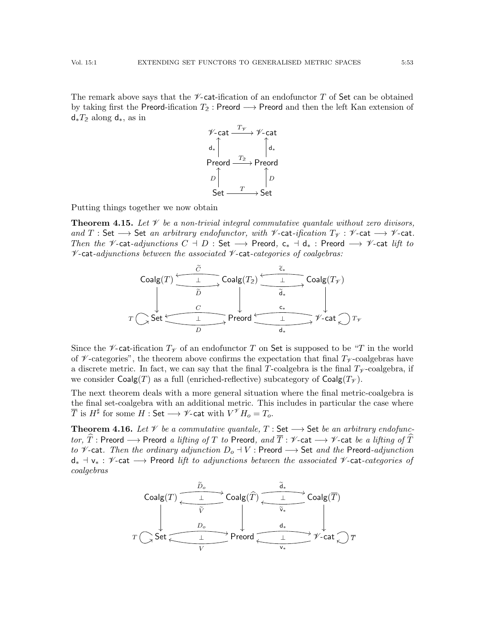The remark above says that the  $\mathscr V$ -cat-ification of an endofunctor T of Set can be obtained by taking first the Preord-ification T**<sup>2</sup>** : Preord −→ Preord and then the left Kan extension of d∗T**<sup>2</sup>** along d∗, as in



Putting things together we now obtain

<span id="page-52-0"></span>**Theorem 4.15.** Let  $\mathcal V$  be a non-trivial integral commutative quantale without zero divisors, and T : Set  $\longrightarrow$  Set an arbitrary endofunctor, with  $\not\!\!\nu$ -cat-ification  $T_{\nu}$  :  $\not\!\!\nu$ -cat  $\longrightarrow$   $\not\!\nu$ -cat. Then the  $\mathscr V$ -cat-adjunctions  $C \dashv D$  : Set  $\longrightarrow$  Preord,  $\mathsf c_* \dashv \mathsf d_*$  : Preord  $\longrightarrow \mathscr V$ -cat lift to  $\nu$ -cat-adjunctions between the associated  $\nu$ -cat-categories of coalgebras:

| Coalg(T) | $\frac{\tilde{C}}{\frac{1}{\tilde{D}}}$ | Coalg(T <sub>2</sub> ) | $\frac{1}{\tilde{d}_*}$ | Coalg(T <sub>\psi</sub> ) |   |   |   |
|----------|-----------------------------------------|------------------------|-------------------------|---------------------------|---|---|---|
| T        | Set                                     | 1                      | Preord                  | 1                         | 1 | 1 | 1 |
| D        | d_*                                     | 1                      | 1                       | 1                         |   |   |   |

Since the  $\mathscr V$ -cat-ification  $T_\mathscr V$  of an endofunctor T on Set is supposed to be "T in the world of  $\mathscr V$ -categories", the theorem above confirms the expectation that final  $T_{\mathscr V}$ -coalgebras have a discrete metric. In fact, we can say that the final T-coalgebra is the final  $T_{\mathscr{V}}$ -coalgebra, if we consider Coalg(T) as a full (enriched-reflective) subcategory of Coalg( $T<sub>\gamma</sub>$ ).

The next theorem deals with a more general situation where the final metric-coalgebra is the final set-coalgebra with an additional metric. This includes in particular the case where  $\overline{T}$  is  $H^{\sharp}$  for some  $H:$  Set  $\longrightarrow \mathscr{V}$ -cat with  $V^{\mathscr{V}}H_{o}=T_{o}.$ 

<span id="page-52-1"></span>**Theorem 4.16.** Let  $\mathcal V$  be a commutative quantale,  $T$  : Set  $\longrightarrow$  Set be an arbitrary endofunctor,  $\widehat{T}$ : Preord  $\longrightarrow$  Preord a lifting of T to Preord, and  $\overline{T}$ :  $\mathscr V$ -cat  $\longrightarrow$   $\mathscr V$ -cat be a lifting of  $\widehat{T}$ to  $\mathscr V$ -cat. Then the ordinary adjunction  $D_o \dashv V$  : Preord  $\longrightarrow$  Set and the Preord-adjunction  $d_*$   $\exists$  v<sub>\*</sub> :  $\mathscr{V}\text{-cat} \longrightarrow$  Preord lift to adjunctions between the associated  $\mathscr{V}\text{-cat-}categories$  of coalgebras

| Coalg(T) | $\overbrace{\frac{\overbrace{\phantom{a}}^{D_o}}{\overbrace{\phantom{a}}^{V}}}$ | Coalg( $\widehat{T}$ )          | $\overbrace{\frac{\overbrace{\phantom{a}}^{V_o}}{\overbrace{\phantom{a}}^{V_o}}}$ | Coalg( $\overline{T}$ )         |               |
|----------|---------------------------------------------------------------------------------|---------------------------------|-----------------------------------------------------------------------------------|---------------------------------|---------------|
| $P$      | $\overbrace{\phantom{a}}^{D_o}$                                                 | $\overbrace{\phantom{a}}^{V_o}$ | $\overbrace{\phantom{a}}^{V_o}$                                                   |                                 |               |
| $T$      | Set                                                                             | $\underline{\phantom{a}}^{V_o}$ | Preord                                                                            | $\underline{\phantom{a}}^{V_o}$ | $\gamma$ -cat |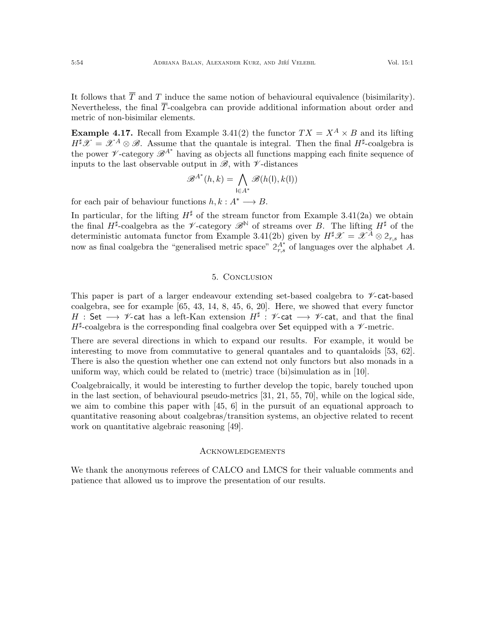It follows that  $\overline{T}$  and  $T$  induce the same notion of behavioural equivalence (bisimilarity). Nevertheless, the final  $\overline{T}$ -coalgebra can provide additional information about order and metric of non-bisimilar elements.

**Example 4.17.** Recall from Example [3.41\(](#page-0-0)[2\)](#page-40-1) the functor  $TX = X^A \times B$  and its lifting  $H^{\sharp}\mathscr{X}=\mathscr{X}^{A}\otimes\mathscr{B}$ . Assume that the quantale is integral. Then the final  $H^{\sharp}$ -coalgebra is the power  $\mathscr{V}\text{-category }\mathscr{B}^{A^*}$  having as objects all functions mapping each finite sequence of inputs to the last observable output in  $\mathscr{B}$ , with  $\nu$ -distances

$$
\mathcal{B}^{A^*}(h,k) = \bigwedge_{\mathsf{l} \in A^*} \mathcal{B}(h(\mathsf{l}),k(\mathsf{l}))
$$

for each pair of behaviour functions  $h, k : A^* \longrightarrow B$ .

In particular, for the lifting  $H^{\sharp}$  of the stream functor from Example [3.41\(](#page-0-0)[2a\)](#page-41-2) we obtain the final  $H^{\sharp}$ -coalgebra as the *V*-category  $\mathscr{B}^{\mathbb{N}}$  of streams over B. The lifting  $H^{\sharp}$  of the deterministic automata functor from Example [3.41](#page-0-0)[\(2b\)](#page-41-3) given by  $H^{\sharp}\mathscr{X} = \mathscr{X}^{\overline{A}} \otimes 2_{r,s}$  has now as final coalgebra the "generalised metric space"  $2A^*$  of languages over the alphabet A.

#### 5. Conclusion

<span id="page-53-0"></span>This paper is part of a larger endeavour extending set-based coalgebra to  $\nu$ -cat-based coalgebra, see for example [\[65,](#page-56-6) [43,](#page-55-27) [14,](#page-54-27) [8,](#page-54-3) [45,](#page-55-28) [6,](#page-54-28) [20\]](#page-54-17). Here, we showed that every functor H : Set  $\longrightarrow \mathscr{V}$ -cat has a left-Kan extension  $H^\sharp$  :  $\mathscr{V}$ -cat  $\longrightarrow \mathscr{V}$ -cat, and that the final  $H^{\sharp}$ -coalgebra is the corresponding final coalgebra over Set equipped with a  $\nu$ -metric.

There are several directions in which to expand our results. For example, it would be interesting to move from commutative to general quantales and to quantaloids [\[53,](#page-55-8) [62\]](#page-56-11). There is also the question whether one can extend not only functors but also monads in a uniform way, which could be related to (metric) trace (bi)simulation as in [\[10\]](#page-54-22).

Coalgebraically, it would be interesting to further develop the topic, barely touched upon in the last section, of behavioural pseudo-metrics [\[31,](#page-55-29) [21,](#page-54-29) [55,](#page-55-4) [70\]](#page-56-1), while on the logical side, we aim to combine this paper with [\[45,](#page-55-28) [6\]](#page-54-28) in the pursuit of an equational approach to quantitative reasoning about coalgebras/transition systems, an objective related to recent work on quantitative algebraic reasoning [\[49\]](#page-55-30).

#### <span id="page-53-1"></span>**ACKNOWLEDGEMENTS**

We thank the anonymous referees of CALCO and LMCS for their valuable comments and patience that allowed us to improve the presentation of our results.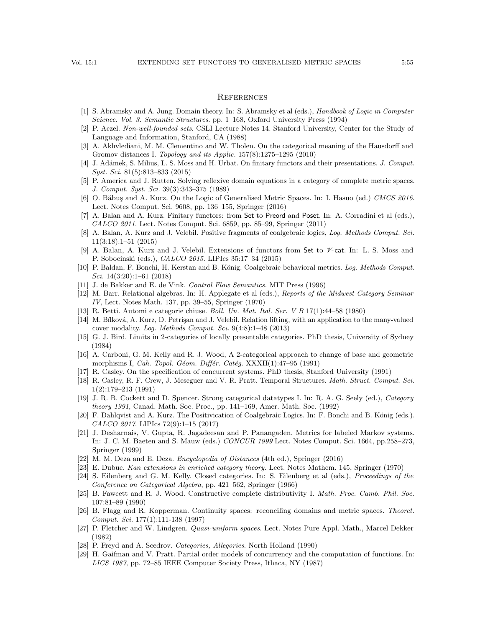### <span id="page-54-0"></span>**REFERENCES**

- <span id="page-54-1"></span>[1] S. Abramsky and A. Jung. Domain theory. In: S. Abramsky et al (eds.), Handbook of Logic in Computer Science. Vol. 3. Semantic Structures. pp. 1–168, Oxford University Press (1994)
- <span id="page-54-2"></span>[2] P. Aczel. Non-well-founded sets. CSLI Lecture Notes 14. Stanford University, Center for the Study of Language and Information, Stanford, CA (1988)
- <span id="page-54-20"></span>[3] A. Akhvlediani, M. M. Clementino and W. Tholen. On the categorical meaning of the Hausdorff and Gromov distances I. Topology and its Applic. 157(8):1275–1295 (2010)
- <span id="page-54-15"></span>[4] J. Adámek, S. Milius, L. S. Moss and H. Urbat. On finitary functors and their presentations. J. Comput. Syst. Sci. 81(5):813–833 (2015)
- <span id="page-54-11"></span>[5] P. America and J. Rutten. Solving reflexive domain equations in a category of complete metric spaces. J. Comput. Syst. Sci. 39(3):343–375 (1989)
- <span id="page-54-28"></span>[6] O. Băbuș and A. Kurz. On the Logic of Generalised Metric Spaces. In: I. Hasuo (ed.) CMCS 2016. Lect. Notes Comput. Sci. 9608, pp. 136–155, Springer (2016)
- <span id="page-54-21"></span>[7] A. Balan and A. Kurz. Finitary functors: from Set to Preord and Poset. In: A. Corradini et al (eds.), CALCO 2011. Lect. Notes Comput. Sci. 6859, pp. 85–99, Springer (2011)
- <span id="page-54-3"></span>[8] A. Balan, A. Kurz and J. Velebil. Positive fragments of coalgebraic logics, Log. Methods Comput. Sci. 11(3:18):1–51 (2015)
- <span id="page-54-4"></span> $[9]$  A. Balan, A. Kurz and J. Velebil. Extensions of functors from Set to  $\mathscr{V}\text{-cat.}$  In: L. S. Moss and P. Sobocinski (eds.), CALCO 2015. LIPIcs 35:17–34 (2015)
- <span id="page-54-22"></span>[10] P. Baldan, F. Bonchi, H. Kerstan and B. König. Coalgebraic behavioral metrics. Log. Methods Comput. Sci. 14(3:20):1–61 (2018)
- <span id="page-54-18"></span>[11] J. de Bakker and E. de Vink. Control Flow Semantics. MIT Press (1996)
- <span id="page-54-13"></span>[12] M. Barr. Relational algebras. In: H. Applegate et al (eds.), Reports of the Midwest Category Seminar IV, Lect. Notes Math. 137, pp. 39–55, Springer (1970)
- <span id="page-54-7"></span>[13] R. Betti. Automi e categorie chiuse. Boll. Un. Mat. Ital. Ser. V B 17(1):44–58 (1980)
- <span id="page-54-27"></span>[14] M. Bílková, A. Kurz, D. Petrişan and J. Velebil. Relation lifting, with an application to the many-valued cover modality. Log. Methods Comput. Sci. 9(4:8):1–48 (2013)
- <span id="page-54-24"></span>[15] G. J. Bird. Limits in 2-categories of locally presentable categories. PhD thesis, University of Sydney (1984)
- <span id="page-54-23"></span>[16] A. Carboni, G. M. Kelly and R. J. Wood, A 2-categorical approach to change of base and geometric morphisms I, Cah. Topol. Géom. Différ. Catég.  $\text{XXXII}(1):47-95$  (1991)
- <span id="page-54-5"></span>[17] R. Casley. On the specification of concurrent systems. PhD thesis, Stanford University (1991)
- <span id="page-54-9"></span>[18] R. Casley, R. F. Crew, J. Meseguer and V. R. Pratt. Temporal Structures. Math. Struct. Comput. Sci. 1(2):179–213 (1991)
- <span id="page-54-26"></span>[19] J. R. B. Cockett and D. Spencer. Strong categorical datatypes I. In: R. A. G. Seely (ed.), Category theory 1991, Canad. Math. Soc. Proc., pp. 141–169, Amer. Math. Soc. (1992)
- <span id="page-54-17"></span>[20] F. Dahlqvist and A. Kurz. The Positivication of Coalgebraic Logics. In: F. Bonchi and B. König (eds.). CALCO 2017. LIPIcs 72(9):1–15 (2017)
- <span id="page-54-29"></span>[21] J. Desharnais, V. Gupta, R. Jagadeesan and P. Panangaden. Metrics for labeled Markov systems. In: J. C. M. Baeten and S. Mauw (eds.) CONCUR 1999 Lect. Notes Comput. Sci. 1664, pp.258–273, Springer (1999)
- <span id="page-54-16"></span>[22] M. M. Deza and E. Deza. Encyclopedia of Distances (4th ed.), Springer (2016)
- <span id="page-54-25"></span>[23] E. Dubuc. Kan extensions in enriched category theory. Lect. Notes Mathem. 145, Springer (1970)
- <span id="page-54-12"></span>[24] S. Eilenberg and G. M. Kelly. Closed categories. In: S. Eilenberg et al (eds.), Proceedings of the Conference on Categorical Algebra, pp. 421–562, Springer (1966)
- <span id="page-54-19"></span>[25] B. Fawcett and R. J. Wood. Constructive complete distributivity I. Math. Proc. Camb. Phil. Soc. 107:81–89 (1990)
- <span id="page-54-6"></span>[26] B. Flagg and R. Kopperman. Continuity spaces: reconciling domains and metric spaces. Theoret. Comput. Sci. 177(1):111-138 (1997)
- <span id="page-54-8"></span>[27] P. Fletcher and W. Lindgren. *Quasi-uniform spaces*. Lect. Notes Pure Appl. Math., Marcel Dekker (1982)
- <span id="page-54-14"></span>[28] P. Freyd and A. Scedrov. Categories, Allegories. North Holland (1990)
- <span id="page-54-10"></span>[29] H. Gaifman and V. Pratt. Partial order models of concurrency and the computation of functions. In: LICS 1987, pp. 72–85 IEEE Computer Society Press, Ithaca, NY (1987)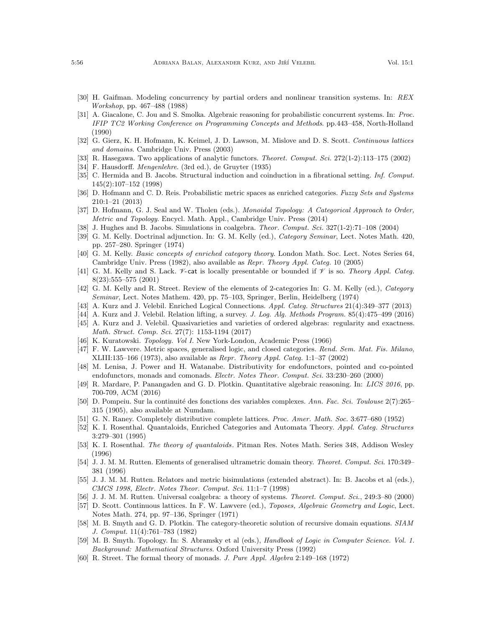- <span id="page-55-11"></span>[30] H. Gaifman. Modeling concurrency by partial orders and nonlinear transition systems. In: REX Workshop, pp. 467–488 (1988)
- <span id="page-55-29"></span>[31] A. Giacalone, C. Jou and S. Smolka. Algebraic reasoning for probabilistic concurrent systems. In: Proc. IFIP TC2 Working Conference on Programming Concepts and Methods. pp.443–458, North-Holland (1990)
- <span id="page-55-12"></span>[32] G. Gierz, K. H. Hofmann, K. Keimel, J. D. Lawson, M. Mislove and D. S. Scott. Continuous lattices and domains. Cambridge Univ. Press (2003)
- <span id="page-55-18"></span>[33] R. Hasegawa. Two applications of analytic functors. Theoret. Comput. Sci. 272(1-2):113–175 (2002)
- <span id="page-55-20"></span>[34] F. Hausdorff. Mengenlehre. (3rd ed.), de Gruyter (1935)
- <span id="page-55-16"></span>[35] C. Hermida and B. Jacobs. Structural induction and coinduction in a fibrational setting. Inf. Comput. 145(2):107–152 (1998)
- <span id="page-55-7"></span>[36] D. Hofmann and C. D. Reis. Probabilistic metric spaces as enriched categories. Fuzzy Sets and Systems 210:1–21 (2013)
- <span id="page-55-14"></span>[37] D. Hofmann, G. J. Seal and W. Tholen (eds.). Monoidal Topology: A Categorical Approach to Order, Metric and Topology. Encycl. Math. Appl., Cambridge Univ. Press (2014)
- <span id="page-55-3"></span>[38] J. Hughes and B. Jacobs. Simulations in coalgebra. Theor. Comput. Sci. 327(1-2):71–108 (2004)
- <span id="page-55-26"></span>[39] G. M. Kelly. Doctrinal adjunction. In: G. M. Kelly (ed.), Category Seminar, Lect. Notes Math. 420, pp. 257–280. Springer (1974)
- <span id="page-55-5"></span>[40] G. M. Kelly. Basic concepts of enriched category theory. London Math. Soc. Lect. Notes Series 64, Cambridge Univ. Press (1982), also available as Repr. Theory Appl. Categ. 10 (2005)
- <span id="page-55-13"></span>[41] G. M. Kelly and S. Lack.  $\mathscr V$ -cat is locally presentable or bounded if  $\mathscr V$  is so. Theory Appl. Categ. 8(23):555–575 (2001)
- <span id="page-55-25"></span>[42] G. M. Kelly and R. Street. Review of the elements of 2-categories In: G. M. Kelly (ed.), Category Seminar, Lect. Notes Mathem. 420, pp. 75–103, Springer, Berlin, Heidelberg (1974)
- <span id="page-55-27"></span>[43] A. Kurz and J. Velebil. Enriched Logical Connections. Appl. Categ. Structures 21(4):349–377 (2013)
- <span id="page-55-17"></span>[44] A. Kurz and J. Velebil. Relation lifting, a survey. J. Log. Alg. Methods Program. 85(4):475–499 (2016)
- <span id="page-55-28"></span>[45] A. Kurz and J. Velebil. Quasivarieties and varieties of ordered algebras: regularity and exactness. Math. Struct. Comp. Sci. 27(7): 1153-1194 (2017)
- <span id="page-55-22"></span>[46] K. Kuratowski. Topology. Vol I. New York-London, Academic Press (1966)
- <span id="page-55-6"></span>[47] F. W. Lawvere. Metric spaces, generalised logic, and closed categories. Rend. Sem. Mat. Fis. Milano. XLIII:135–166 (1973), also available as Repr. Theory Appl. Categ. 1:1–37 (2002)
- <span id="page-55-24"></span>[48] M. Lenisa, J. Power and H. Watanabe. Distributivity for endofunctors, pointed and co-pointed endofunctors, monads and comonads. Electr. Notes Theor. Comput. Sci. 33:230-260 (2000)
- <span id="page-55-30"></span>[49] R. Mardare, P. Panangaden and G. D. Plotkin. Quantitative algebraic reasoning. In: LICS 2016, pp. 700-709, ACM (2016)
- <span id="page-55-21"></span>[50] D. Pompeiu. Sur la continuité des fonctions des variables complexes. Ann. Fac. Sci. Toulouse 2(7):265– 315 (1905), also available at [Numdam.](http://www.numdam.org/item?id=AFST_1905_2_7_3_265_0)
- <span id="page-55-19"></span>[51] G. N. Raney. Completely distributive complete lattices. Proc. Amer. Math. Soc. 3:677–680 (1952)
- <span id="page-55-10"></span>[52] K. I. Rosenthal. Quantaloids, Enriched Categories and Automata Theory. Appl. Categ. Structures 3:279–301 (1995)
- <span id="page-55-8"></span>[53] K. I. Rosenthal. The theory of quantaloids. Pitman Res. Notes Math. Series 348, Addison Wesley (1996)
- <span id="page-55-9"></span>[54] J. J. M. M. Rutten. Elements of generalised ultrametric domain theory. Theoret. Comput. Sci. 170:349– 381 (1996)
- <span id="page-55-4"></span>[55] J. J. M. M. Rutten. Relators and metric bisimulations (extended abstract). In: B. Jacobs et al (eds.), CMCS 1998, Electr. Notes Theor. Comput. Sci. 11:1–7 (1998)
- <span id="page-55-2"></span>[56] J. J. M. M. Rutten. Universal coalgebra: a theory of systems. Theoret. Comput. Sci., 249:3–80 (2000)
- <span id="page-55-1"></span>[57] D. Scott. Continuous lattices. In F. W. Lawvere (ed.), Toposes, Algebraic Geometry and Logic, Lect. Notes Math. 274, pp. 97–136, Springer (1971)
- <span id="page-55-0"></span>[58] M. B. Smyth and G. D. Plotkin. The category-theoretic solution of recursive domain equations. SIAM J. Comput. 11(4):761–783 (1982)
- <span id="page-55-15"></span>[59] M. B. Smyth. Topology. In: S. Abramsky et al (eds.), Handbook of Logic in Computer Science. Vol. 1. Background: Mathematical Structures. Oxford University Press (1992)
- <span id="page-55-23"></span>[60] R. Street. The formal theory of monads. J. Pure Appl. Algebra 2:149–168 (1972)